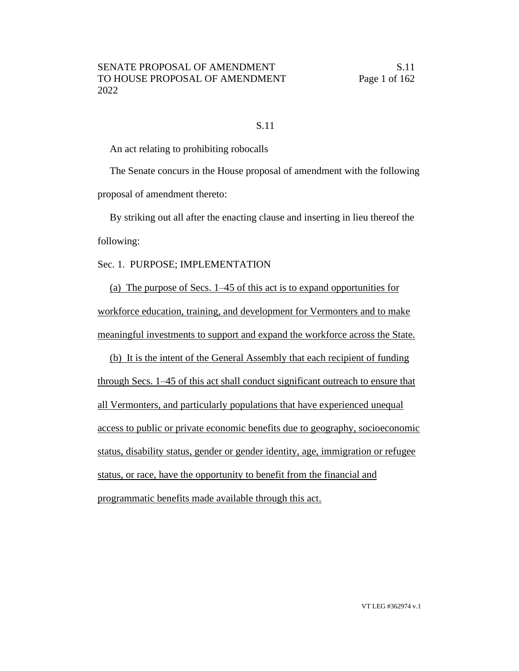#### S.11

An act relating to prohibiting robocalls

The Senate concurs in the House proposal of amendment with the following proposal of amendment thereto:

By striking out all after the enacting clause and inserting in lieu thereof the following:

Sec. 1. PURPOSE; IMPLEMENTATION

(a) The purpose of Secs. 1–45 of this act is to expand opportunities for workforce education, training, and development for Vermonters and to make meaningful investments to support and expand the workforce across the State.

(b) It is the intent of the General Assembly that each recipient of funding through Secs. 1–45 of this act shall conduct significant outreach to ensure that all Vermonters, and particularly populations that have experienced unequal access to public or private economic benefits due to geography, socioeconomic status, disability status, gender or gender identity, age, immigration or refugee status, or race, have the opportunity to benefit from the financial and programmatic benefits made available through this act.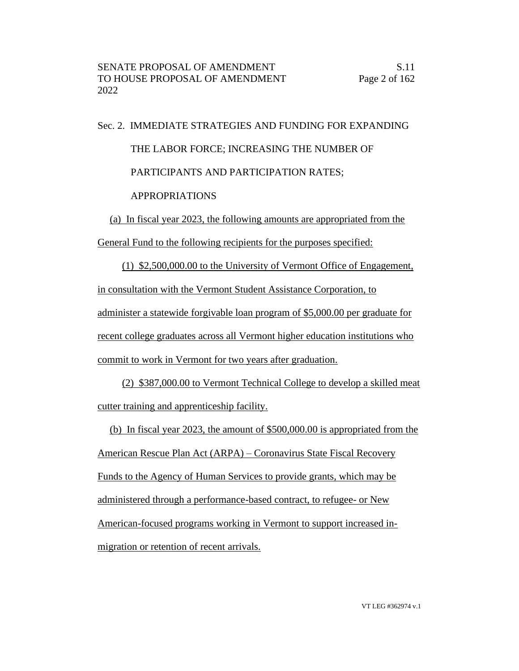Sec. 2. IMMEDIATE STRATEGIES AND FUNDING FOR EXPANDING THE LABOR FORCE; INCREASING THE NUMBER OF PARTICIPANTS AND PARTICIPATION RATES; APPROPRIATIONS

(a) In fiscal year 2023, the following amounts are appropriated from the

General Fund to the following recipients for the purposes specified:

(1) \$2,500,000.00 to the University of Vermont Office of Engagement, in consultation with the Vermont Student Assistance Corporation, to administer a statewide forgivable loan program of \$5,000.00 per graduate for recent college graduates across all Vermont higher education institutions who commit to work in Vermont for two years after graduation.

(2) \$387,000.00 to Vermont Technical College to develop a skilled meat cutter training and apprenticeship facility.

(b) In fiscal year 2023, the amount of \$500,000.00 is appropriated from the American Rescue Plan Act (ARPA) – Coronavirus State Fiscal Recovery Funds to the Agency of Human Services to provide grants, which may be administered through a performance-based contract, to refugee- or New American-focused programs working in Vermont to support increased inmigration or retention of recent arrivals.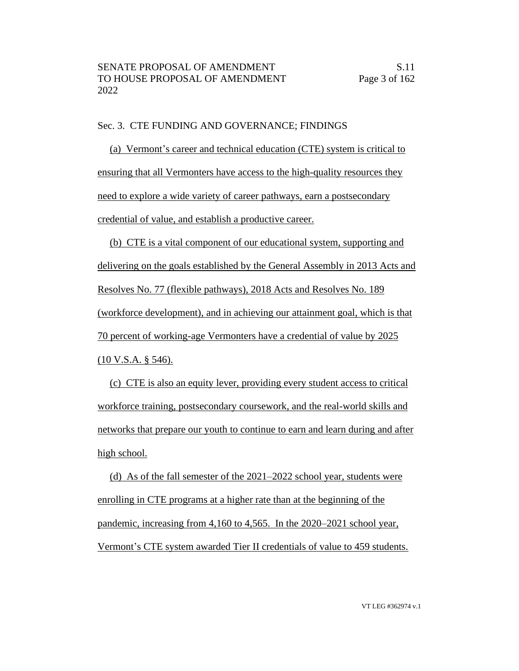#### Sec. 3. CTE FUNDING AND GOVERNANCE; FINDINGS

(a) Vermont's career and technical education (CTE) system is critical to ensuring that all Vermonters have access to the high-quality resources they need to explore a wide variety of career pathways, earn a postsecondary credential of value, and establish a productive career.

(b) CTE is a vital component of our educational system, supporting and delivering on the goals established by the General Assembly in 2013 Acts and Resolves No. 77 (flexible pathways), 2018 Acts and Resolves No. 189 (workforce development), and in achieving our attainment goal, which is that 70 percent of working-age Vermonters have a credential of value by 2025 (10 V.S.A. § 546).

(c) CTE is also an equity lever, providing every student access to critical workforce training, postsecondary coursework, and the real-world skills and networks that prepare our youth to continue to earn and learn during and after high school.

(d) As of the fall semester of the 2021–2022 school year, students were enrolling in CTE programs at a higher rate than at the beginning of the pandemic, increasing from 4,160 to 4,565. In the 2020–2021 school year, Vermont's CTE system awarded Tier II credentials of value to 459 students.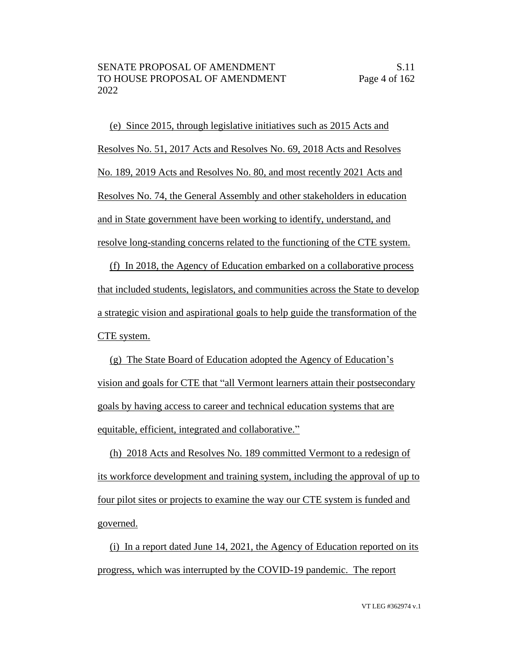(e) Since 2015, through legislative initiatives such as 2015 Acts and Resolves No. 51, 2017 Acts and Resolves No. 69, 2018 Acts and Resolves No. 189, 2019 Acts and Resolves No. 80, and most recently 2021 Acts and Resolves No. 74, the General Assembly and other stakeholders in education and in State government have been working to identify, understand, and resolve long-standing concerns related to the functioning of the CTE system.

(f) In 2018, the Agency of Education embarked on a collaborative process that included students, legislators, and communities across the State to develop a strategic vision and aspirational goals to help guide the transformation of the CTE system.

(g) The State Board of Education adopted the Agency of Education's vision and goals for CTE that "all Vermont learners attain their postsecondary goals by having access to career and technical education systems that are equitable, efficient, integrated and collaborative."

(h) 2018 Acts and Resolves No. 189 committed Vermont to a redesign of its workforce development and training system, including the approval of up to four pilot sites or projects to examine the way our CTE system is funded and governed.

(i) In a report dated June 14, 2021, the Agency of Education reported on its progress, which was interrupted by the COVID-19 pandemic. The report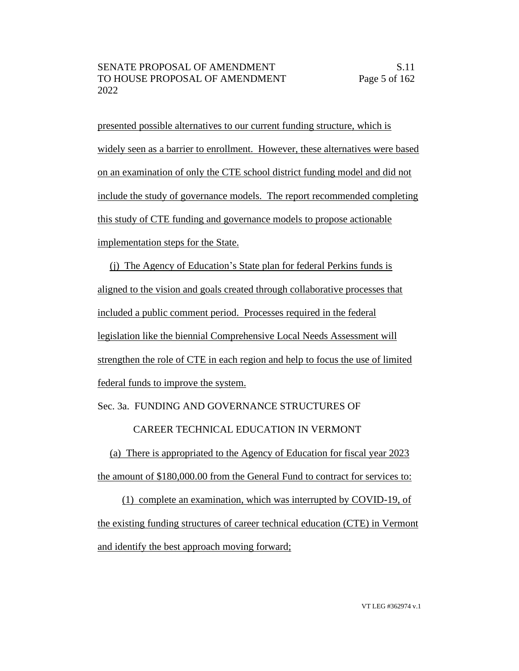presented possible alternatives to our current funding structure, which is widely seen as a barrier to enrollment. However, these alternatives were based on an examination of only the CTE school district funding model and did not include the study of governance models. The report recommended completing this study of CTE funding and governance models to propose actionable implementation steps for the State.

(j) The Agency of Education's State plan for federal Perkins funds is aligned to the vision and goals created through collaborative processes that included a public comment period. Processes required in the federal legislation like the biennial Comprehensive Local Needs Assessment will strengthen the role of CTE in each region and help to focus the use of limited federal funds to improve the system.

## Sec. 3a. FUNDING AND GOVERNANCE STRUCTURES OF

## CAREER TECHNICAL EDUCATION IN VERMONT

(a) There is appropriated to the Agency of Education for fiscal year 2023 the amount of \$180,000.00 from the General Fund to contract for services to:

(1) complete an examination, which was interrupted by COVID-19, of the existing funding structures of career technical education (CTE) in Vermont and identify the best approach moving forward;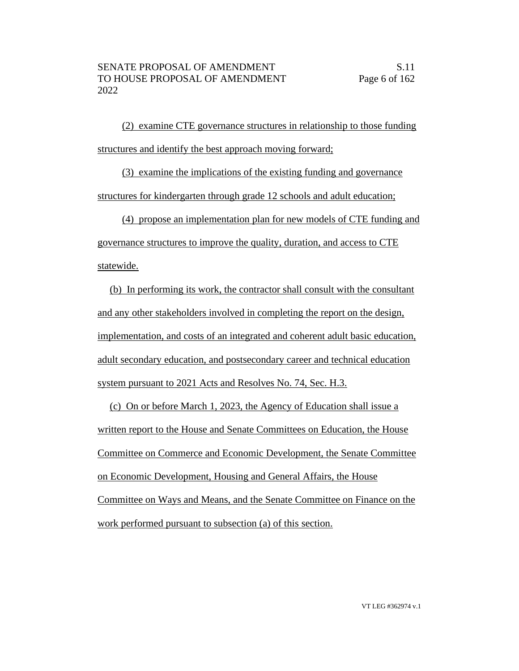(2) examine CTE governance structures in relationship to those funding structures and identify the best approach moving forward;

(3) examine the implications of the existing funding and governance structures for kindergarten through grade 12 schools and adult education;

(4) propose an implementation plan for new models of CTE funding and governance structures to improve the quality, duration, and access to CTE

statewide.

(b) In performing its work, the contractor shall consult with the consultant and any other stakeholders involved in completing the report on the design, implementation, and costs of an integrated and coherent adult basic education, adult secondary education, and postsecondary career and technical education system pursuant to 2021 Acts and Resolves No. 74, Sec. H.3.

(c) On or before March 1, 2023, the Agency of Education shall issue a written report to the House and Senate Committees on Education, the House Committee on Commerce and Economic Development, the Senate Committee on Economic Development, Housing and General Affairs, the House Committee on Ways and Means, and the Senate Committee on Finance on the work performed pursuant to subsection (a) of this section.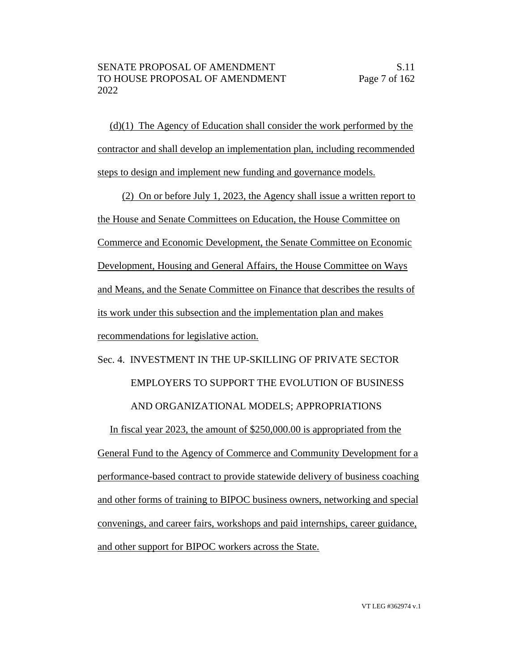$(d)(1)$  The Agency of Education shall consider the work performed by the contractor and shall develop an implementation plan, including recommended steps to design and implement new funding and governance models.

(2) On or before July 1, 2023, the Agency shall issue a written report to the House and Senate Committees on Education, the House Committee on Commerce and Economic Development, the Senate Committee on Economic Development, Housing and General Affairs, the House Committee on Ways and Means, and the Senate Committee on Finance that describes the results of its work under this subsection and the implementation plan and makes recommendations for legislative action.

# Sec. 4. INVESTMENT IN THE UP-SKILLING OF PRIVATE SECTOR

EMPLOYERS TO SUPPORT THE EVOLUTION OF BUSINESS

# AND ORGANIZATIONAL MODELS; APPROPRIATIONS

In fiscal year 2023, the amount of \$250,000.00 is appropriated from the General Fund to the Agency of Commerce and Community Development for a performance-based contract to provide statewide delivery of business coaching and other forms of training to BIPOC business owners, networking and special convenings, and career fairs, workshops and paid internships, career guidance, and other support for BIPOC workers across the State.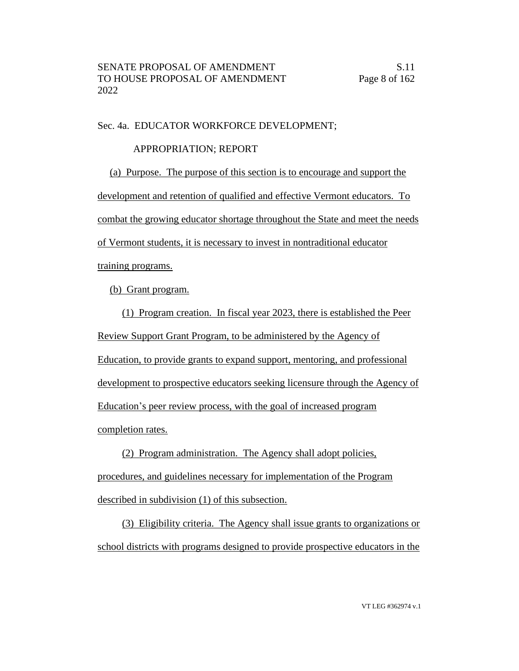#### Sec. 4a. EDUCATOR WORKFORCE DEVELOPMENT;

## APPROPRIATION; REPORT

(a) Purpose. The purpose of this section is to encourage and support the development and retention of qualified and effective Vermont educators. To combat the growing educator shortage throughout the State and meet the needs of Vermont students, it is necessary to invest in nontraditional educator training programs.

(b) Grant program.

(1) Program creation. In fiscal year 2023, there is established the Peer Review Support Grant Program, to be administered by the Agency of Education, to provide grants to expand support, mentoring, and professional development to prospective educators seeking licensure through the Agency of Education's peer review process, with the goal of increased program completion rates.

(2) Program administration. The Agency shall adopt policies, procedures, and guidelines necessary for implementation of the Program described in subdivision (1) of this subsection.

(3) Eligibility criteria. The Agency shall issue grants to organizations or school districts with programs designed to provide prospective educators in the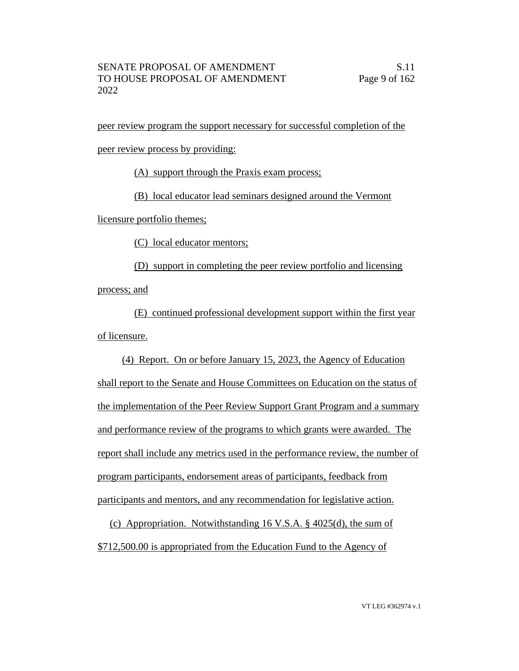peer review program the support necessary for successful completion of the

peer review process by providing:

(A) support through the Praxis exam process;

(B) local educator lead seminars designed around the Vermont

licensure portfolio themes;

(C) local educator mentors;

(D) support in completing the peer review portfolio and licensing process; and

(E) continued professional development support within the first year of licensure.

(4) Report. On or before January 15, 2023, the Agency of Education shall report to the Senate and House Committees on Education on the status of the implementation of the Peer Review Support Grant Program and a summary and performance review of the programs to which grants were awarded. The report shall include any metrics used in the performance review, the number of program participants, endorsement areas of participants, feedback from participants and mentors, and any recommendation for legislative action.

(c) Appropriation. Notwithstanding 16 V.S.A. § 4025(d), the sum of \$712,500.00 is appropriated from the Education Fund to the Agency of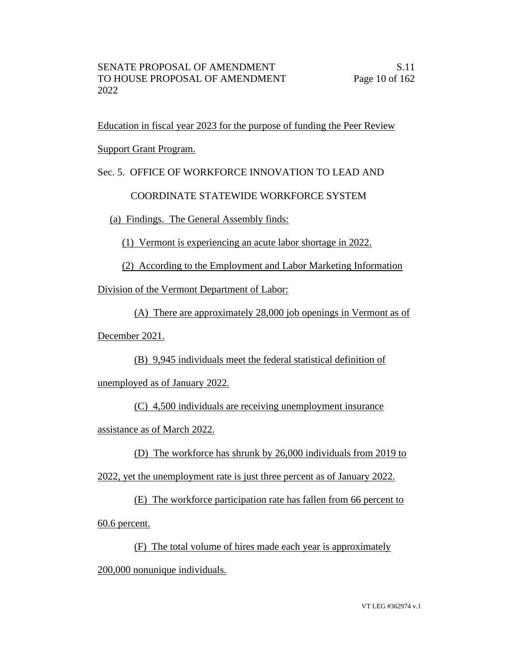Education in fiscal year 2023 for the purpose of funding the Peer Review

Support Grant Program.

Sec. 5. OFFICE OF WORKFORCE INNOVATION TO LEAD AND

COORDINATE STATEWIDE WORKFORCE SYSTEM

(a) Findings. The General Assembly finds:

(1) Vermont is experiencing an acute labor shortage in 2022.

(2) According to the Employment and Labor Marketing Information

Division of the Vermont Department of Labor:

(A) There are approximately 28,000 job openings in Vermont as of

December 2021.

(B) 9,945 individuals meet the federal statistical definition of

unemployed as of January 2022.

(C) 4,500 individuals are receiving unemployment insurance

assistance as of March 2022.

(D) The workforce has shrunk by 26,000 individuals from 2019 to

2022, yet the unemployment rate is just three percent as of January 2022.

(E) The workforce participation rate has fallen from 66 percent to

60.6 percent.

(F) The total volume of hires made each year is approximately

200,000 nonunique individuals.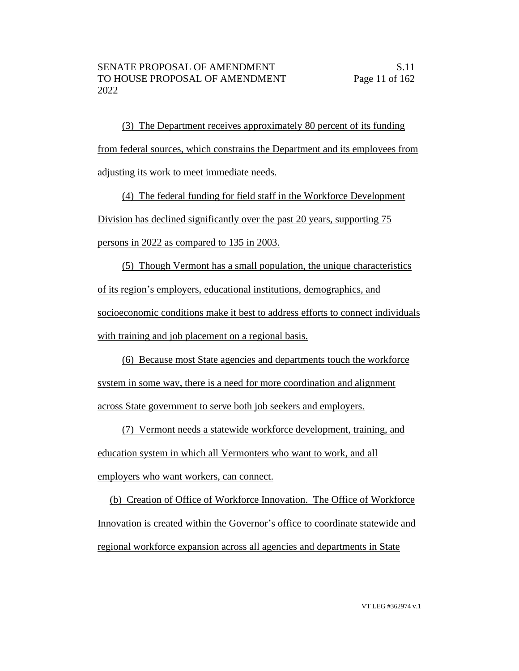(3) The Department receives approximately 80 percent of its funding from federal sources, which constrains the Department and its employees from adjusting its work to meet immediate needs.

(4) The federal funding for field staff in the Workforce Development Division has declined significantly over the past 20 years, supporting 75 persons in 2022 as compared to 135 in 2003.

(5) Though Vermont has a small population, the unique characteristics of its region's employers, educational institutions, demographics, and socioeconomic conditions make it best to address efforts to connect individuals with training and job placement on a regional basis.

(6) Because most State agencies and departments touch the workforce system in some way, there is a need for more coordination and alignment across State government to serve both job seekers and employers.

(7) Vermont needs a statewide workforce development, training, and education system in which all Vermonters who want to work, and all employers who want workers, can connect.

(b) Creation of Office of Workforce Innovation. The Office of Workforce Innovation is created within the Governor's office to coordinate statewide and regional workforce expansion across all agencies and departments in State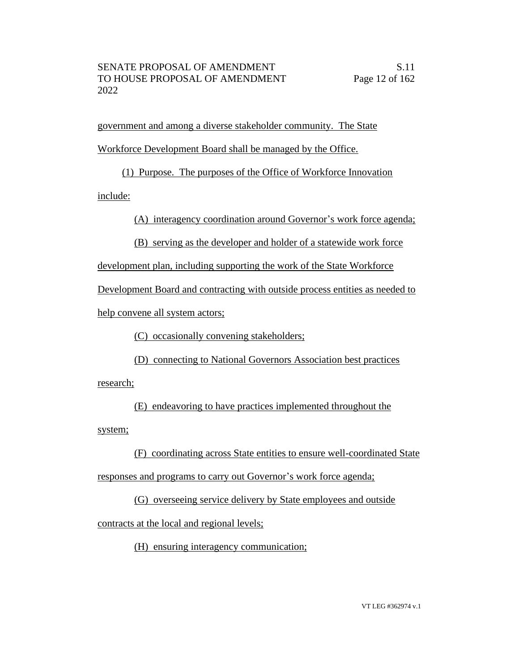government and among a diverse stakeholder community. The State Workforce Development Board shall be managed by the Office.

(1) Purpose. The purposes of the Office of Workforce Innovation

include:

(A) interagency coordination around Governor's work force agenda;

(B) serving as the developer and holder of a statewide work force

development plan, including supporting the work of the State Workforce

Development Board and contracting with outside process entities as needed to

help convene all system actors;

(C) occasionally convening stakeholders;

(D) connecting to National Governors Association best practices

research;

(E) endeavoring to have practices implemented throughout the

system;

(F) coordinating across State entities to ensure well-coordinated State

responses and programs to carry out Governor's work force agenda;

(G) overseeing service delivery by State employees and outside

contracts at the local and regional levels;

(H) ensuring interagency communication;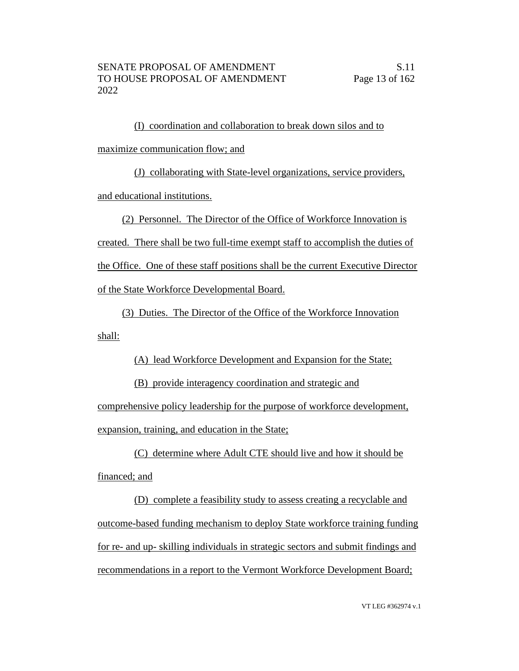(I) coordination and collaboration to break down silos and to maximize communication flow; and

(J) collaborating with State-level organizations, service providers, and educational institutions.

(2) Personnel. The Director of the Office of Workforce Innovation is

created. There shall be two full-time exempt staff to accomplish the duties of

the Office. One of these staff positions shall be the current Executive Director

of the State Workforce Developmental Board.

(3) Duties. The Director of the Office of the Workforce Innovation shall:

(A) lead Workforce Development and Expansion for the State;

(B) provide interagency coordination and strategic and

comprehensive policy leadership for the purpose of workforce development, expansion, training, and education in the State;

(C) determine where Adult CTE should live and how it should be financed; and

(D) complete a feasibility study to assess creating a recyclable and outcome-based funding mechanism to deploy State workforce training funding for re- and up- skilling individuals in strategic sectors and submit findings and recommendations in a report to the Vermont Workforce Development Board;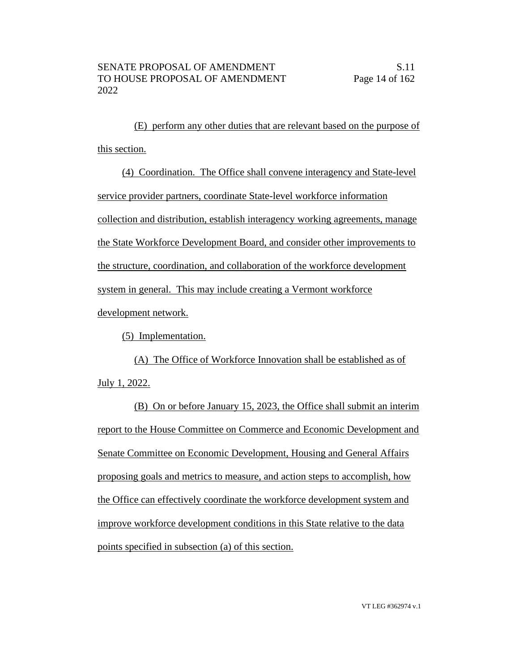(E) perform any other duties that are relevant based on the purpose of this section.

(4) Coordination. The Office shall convene interagency and State-level service provider partners, coordinate State-level workforce information collection and distribution, establish interagency working agreements, manage the State Workforce Development Board, and consider other improvements to the structure, coordination, and collaboration of the workforce development system in general. This may include creating a Vermont workforce development network.

(5) Implementation.

(A) The Office of Workforce Innovation shall be established as of July 1, 2022.

(B) On or before January 15, 2023, the Office shall submit an interim report to the House Committee on Commerce and Economic Development and Senate Committee on Economic Development, Housing and General Affairs proposing goals and metrics to measure, and action steps to accomplish, how the Office can effectively coordinate the workforce development system and improve workforce development conditions in this State relative to the data points specified in subsection (a) of this section.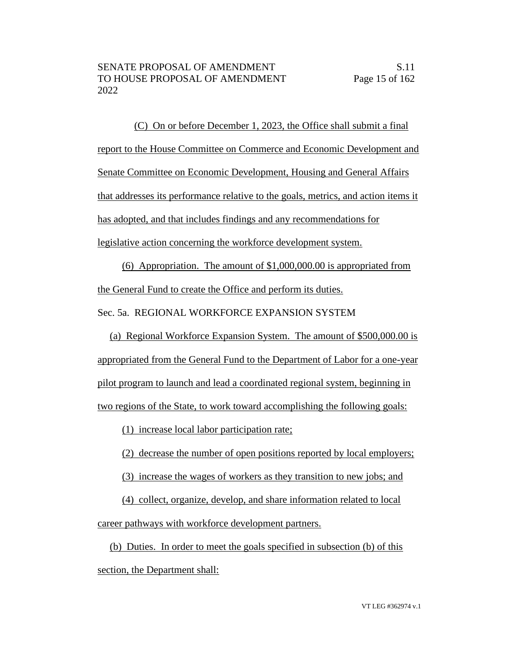(C) On or before December 1, 2023, the Office shall submit a final report to the House Committee on Commerce and Economic Development and Senate Committee on Economic Development, Housing and General Affairs that addresses its performance relative to the goals, metrics, and action items it has adopted, and that includes findings and any recommendations for legislative action concerning the workforce development system.

(6) Appropriation. The amount of \$1,000,000.00 is appropriated from the General Fund to create the Office and perform its duties.

Sec. 5a. REGIONAL WORKFORCE EXPANSION SYSTEM

(a) Regional Workforce Expansion System. The amount of \$500,000.00 is appropriated from the General Fund to the Department of Labor for a one-year pilot program to launch and lead a coordinated regional system, beginning in two regions of the State, to work toward accomplishing the following goals:

(1) increase local labor participation rate;

(2) decrease the number of open positions reported by local employers;

(3) increase the wages of workers as they transition to new jobs; and

(4) collect, organize, develop, and share information related to local

career pathways with workforce development partners.

(b) Duties. In order to meet the goals specified in subsection (b) of this section, the Department shall: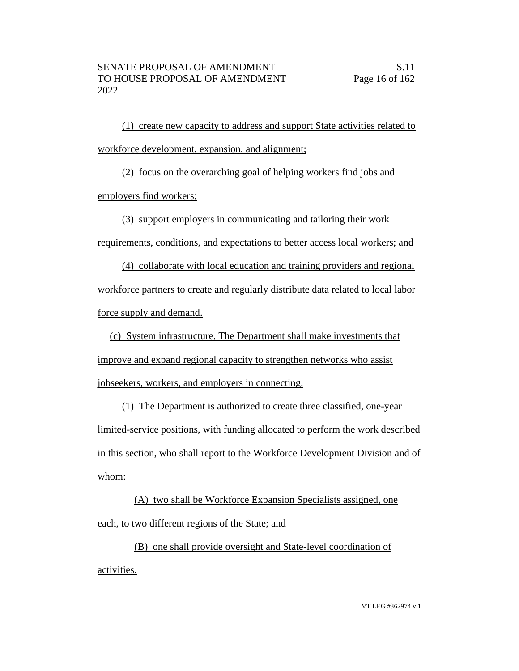(1) create new capacity to address and support State activities related to workforce development, expansion, and alignment;

(2) focus on the overarching goal of helping workers find jobs and employers find workers;

(3) support employers in communicating and tailoring their work

requirements, conditions, and expectations to better access local workers; and

(4) collaborate with local education and training providers and regional workforce partners to create and regularly distribute data related to local labor force supply and demand.

(c) System infrastructure. The Department shall make investments that improve and expand regional capacity to strengthen networks who assist jobseekers, workers, and employers in connecting.

(1) The Department is authorized to create three classified, one-year limited-service positions, with funding allocated to perform the work described in this section, who shall report to the Workforce Development Division and of whom:

(A) two shall be Workforce Expansion Specialists assigned, one each, to two different regions of the State; and

(B) one shall provide oversight and State-level coordination of activities.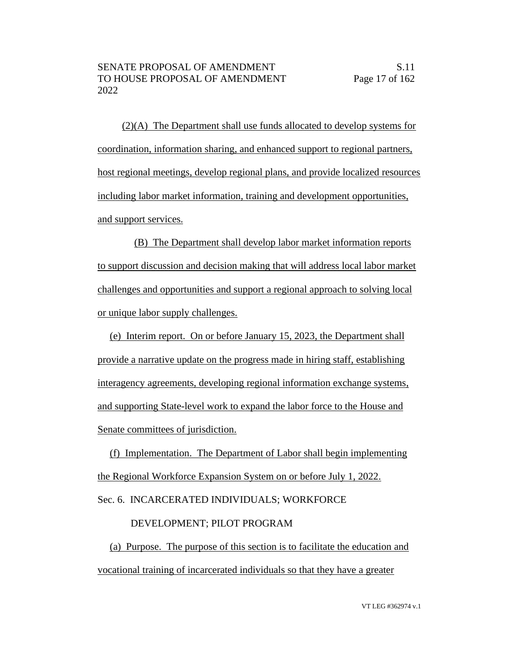(2)(A) The Department shall use funds allocated to develop systems for coordination, information sharing, and enhanced support to regional partners, host regional meetings, develop regional plans, and provide localized resources including labor market information, training and development opportunities, and support services.

(B) The Department shall develop labor market information reports to support discussion and decision making that will address local labor market challenges and opportunities and support a regional approach to solving local or unique labor supply challenges.

(e) Interim report. On or before January 15, 2023, the Department shall provide a narrative update on the progress made in hiring staff, establishing interagency agreements, developing regional information exchange systems, and supporting State-level work to expand the labor force to the House and Senate committees of jurisdiction.

(f) Implementation. The Department of Labor shall begin implementing the Regional Workforce Expansion System on or before July 1, 2022.

Sec. 6. INCARCERATED INDIVIDUALS; WORKFORCE

# DEVELOPMENT; PILOT PROGRAM

(a) Purpose. The purpose of this section is to facilitate the education and vocational training of incarcerated individuals so that they have a greater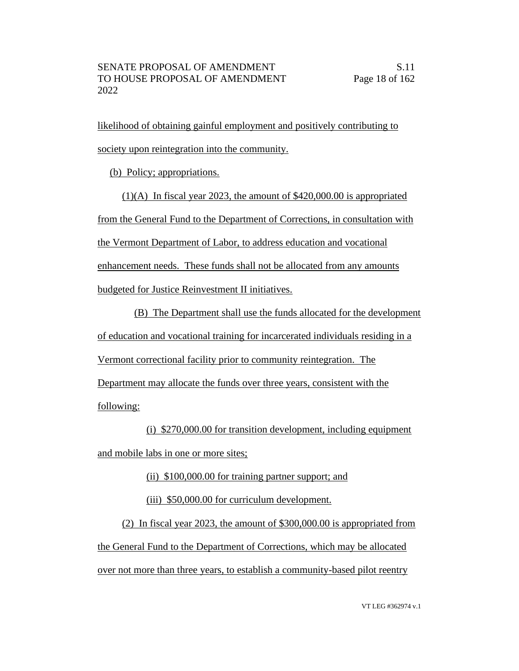likelihood of obtaining gainful employment and positively contributing to society upon reintegration into the community.

(b) Policy; appropriations.

(1)(A) In fiscal year 2023, the amount of \$420,000.00 is appropriated from the General Fund to the Department of Corrections, in consultation with the Vermont Department of Labor, to address education and vocational enhancement needs. These funds shall not be allocated from any amounts budgeted for Justice Reinvestment II initiatives.

(B) The Department shall use the funds allocated for the development of education and vocational training for incarcerated individuals residing in a Vermont correctional facility prior to community reintegration. The Department may allocate the funds over three years, consistent with the following:

(i) \$270,000.00 for transition development, including equipment and mobile labs in one or more sites;

(ii) \$100,000.00 for training partner support; and

(iii) \$50,000.00 for curriculum development.

(2) In fiscal year 2023, the amount of \$300,000.00 is appropriated from the General Fund to the Department of Corrections, which may be allocated over not more than three years, to establish a community-based pilot reentry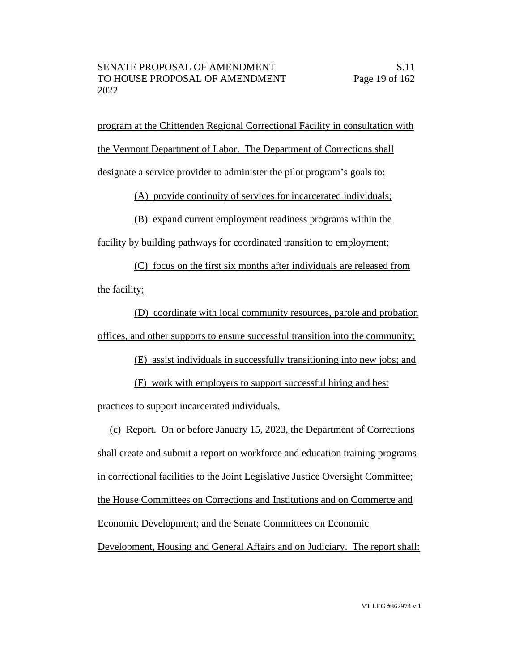program at the Chittenden Regional Correctional Facility in consultation with the Vermont Department of Labor. The Department of Corrections shall designate a service provider to administer the pilot program's goals to:

(A) provide continuity of services for incarcerated individuals;

(B) expand current employment readiness programs within the

facility by building pathways for coordinated transition to employment;

(C) focus on the first six months after individuals are released from the facility;

(D) coordinate with local community resources, parole and probation offices, and other supports to ensure successful transition into the community;

(E) assist individuals in successfully transitioning into new jobs; and

(F) work with employers to support successful hiring and best practices to support incarcerated individuals.

(c) Report. On or before January 15, 2023, the Department of Corrections shall create and submit a report on workforce and education training programs in correctional facilities to the Joint Legislative Justice Oversight Committee; the House Committees on Corrections and Institutions and on Commerce and Economic Development; and the Senate Committees on Economic Development, Housing and General Affairs and on Judiciary. The report shall: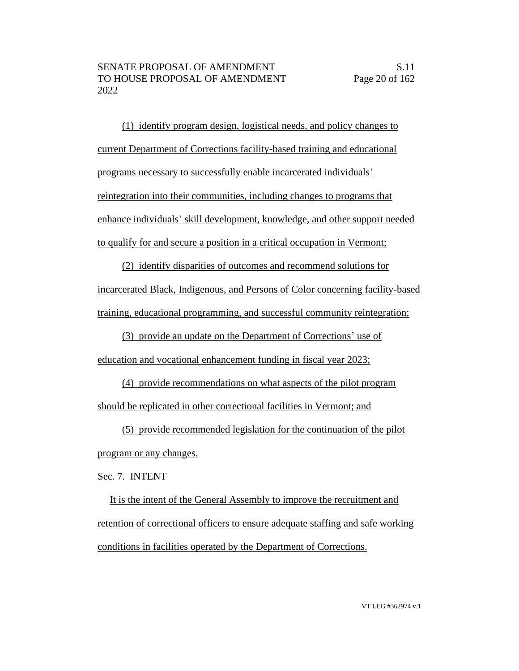(1) identify program design, logistical needs, and policy changes to current Department of Corrections facility-based training and educational programs necessary to successfully enable incarcerated individuals' reintegration into their communities, including changes to programs that enhance individuals' skill development, knowledge, and other support needed to qualify for and secure a position in a critical occupation in Vermont;

(2) identify disparities of outcomes and recommend solutions for incarcerated Black, Indigenous, and Persons of Color concerning facility-based training, educational programming, and successful community reintegration;

(3) provide an update on the Department of Corrections' use of

education and vocational enhancement funding in fiscal year 2023;

(4) provide recommendations on what aspects of the pilot program should be replicated in other correctional facilities in Vermont; and

(5) provide recommended legislation for the continuation of the pilot program or any changes.

Sec. 7. INTENT

It is the intent of the General Assembly to improve the recruitment and retention of correctional officers to ensure adequate staffing and safe working conditions in facilities operated by the Department of Corrections.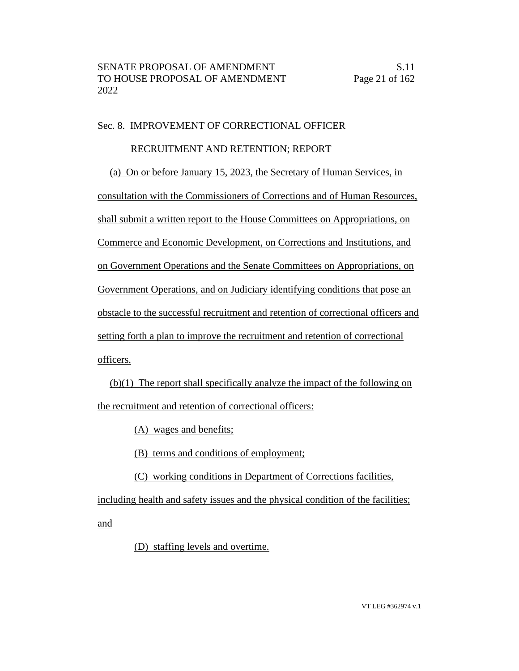## Sec. 8. IMPROVEMENT OF CORRECTIONAL OFFICER

## RECRUITMENT AND RETENTION; REPORT

(a) On or before January 15, 2023, the Secretary of Human Services, in consultation with the Commissioners of Corrections and of Human Resources, shall submit a written report to the House Committees on Appropriations, on Commerce and Economic Development, on Corrections and Institutions, and on Government Operations and the Senate Committees on Appropriations, on Government Operations, and on Judiciary identifying conditions that pose an obstacle to the successful recruitment and retention of correctional officers and setting forth a plan to improve the recruitment and retention of correctional officers.

(b)(1) The report shall specifically analyze the impact of the following on the recruitment and retention of correctional officers:

(A) wages and benefits;

(B) terms and conditions of employment;

(C) working conditions in Department of Corrections facilities,

including health and safety issues and the physical condition of the facilities;

and

(D) staffing levels and overtime.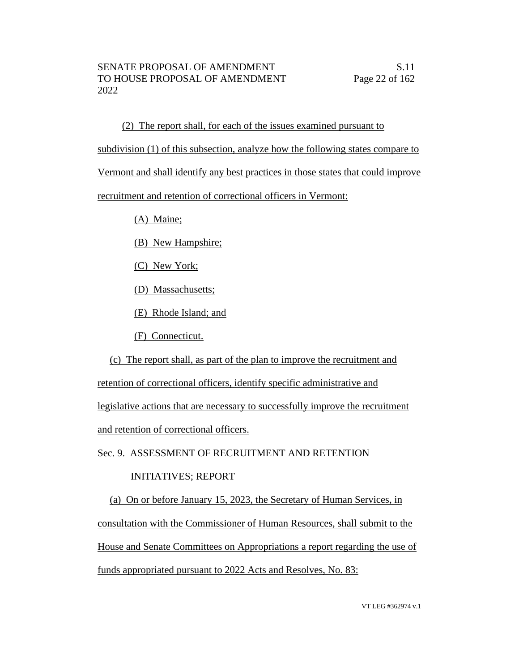(2) The report shall, for each of the issues examined pursuant to subdivision (1) of this subsection, analyze how the following states compare to Vermont and shall identify any best practices in those states that could improve recruitment and retention of correctional officers in Vermont:

(A) Maine;

(B) New Hampshire;

(C) New York;

(D) Massachusetts;

(E) Rhode Island; and

(F) Connecticut.

(c) The report shall, as part of the plan to improve the recruitment and retention of correctional officers, identify specific administrative and legislative actions that are necessary to successfully improve the recruitment and retention of correctional officers.

Sec. 9. ASSESSMENT OF RECRUITMENT AND RETENTION

## INITIATIVES; REPORT

(a) On or before January 15, 2023, the Secretary of Human Services, in consultation with the Commissioner of Human Resources, shall submit to the House and Senate Committees on Appropriations a report regarding the use of funds appropriated pursuant to 2022 Acts and Resolves, No. 83: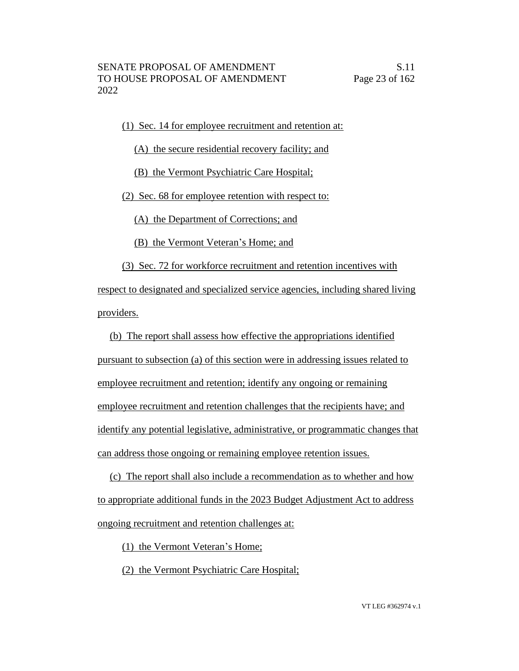(1) Sec. 14 for employee recruitment and retention at:

(A) the secure residential recovery facility; and

(B) the Vermont Psychiatric Care Hospital;

(2) Sec. 68 for employee retention with respect to:

(A) the Department of Corrections; and

(B) the Vermont Veteran's Home; and

(3) Sec. 72 for workforce recruitment and retention incentives with

respect to designated and specialized service agencies, including shared living providers.

(b) The report shall assess how effective the appropriations identified pursuant to subsection (a) of this section were in addressing issues related to employee recruitment and retention; identify any ongoing or remaining employee recruitment and retention challenges that the recipients have; and identify any potential legislative, administrative, or programmatic changes that can address those ongoing or remaining employee retention issues.

(c) The report shall also include a recommendation as to whether and how to appropriate additional funds in the 2023 Budget Adjustment Act to address ongoing recruitment and retention challenges at:

(1) the Vermont Veteran's Home;

(2) the Vermont Psychiatric Care Hospital;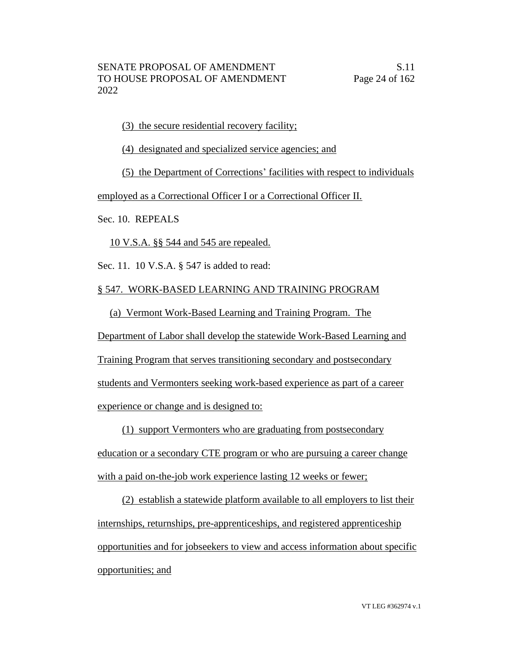(3) the secure residential recovery facility;

(4) designated and specialized service agencies; and

(5) the Department of Corrections' facilities with respect to individuals

employed as a Correctional Officer I or a Correctional Officer II.

Sec. 10. REPEALS

10 V.S.A. §§ 544 and 545 are repealed.

Sec. 11. 10 V.S.A. § 547 is added to read:

## § 547. WORK-BASED LEARNING AND TRAINING PROGRAM

(a) Vermont Work-Based Learning and Training Program. The

Department of Labor shall develop the statewide Work-Based Learning and

Training Program that serves transitioning secondary and postsecondary

students and Vermonters seeking work-based experience as part of a career

experience or change and is designed to:

(1) support Vermonters who are graduating from postsecondary education or a secondary CTE program or who are pursuing a career change with a paid on-the-job work experience lasting 12 weeks or fewer;

(2) establish a statewide platform available to all employers to list their internships, returnships, pre-apprenticeships, and registered apprenticeship opportunities and for jobseekers to view and access information about specific opportunities; and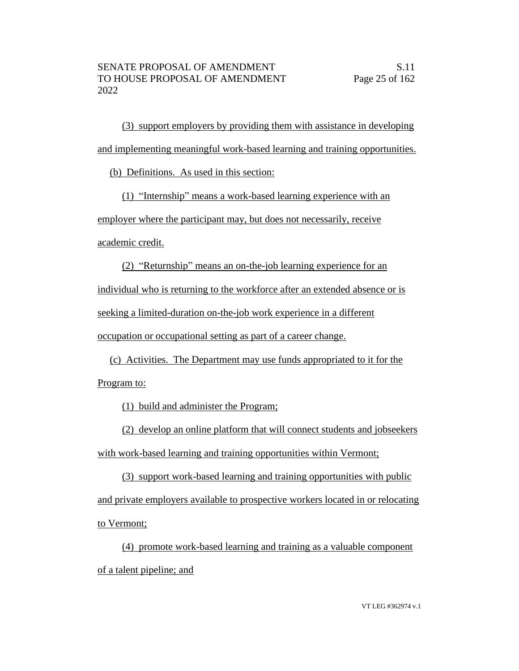(3) support employers by providing them with assistance in developing and implementing meaningful work-based learning and training opportunities.

(b) Definitions. As used in this section:

(1) "Internship" means a work-based learning experience with an employer where the participant may, but does not necessarily, receive academic credit.

(2) "Returnship" means an on-the-job learning experience for an individual who is returning to the workforce after an extended absence or is seeking a limited-duration on-the-job work experience in a different occupation or occupational setting as part of a career change.

(c) Activities. The Department may use funds appropriated to it for the Program to:

(1) build and administer the Program;

(2) develop an online platform that will connect students and jobseekers with work-based learning and training opportunities within Vermont;

(3) support work-based learning and training opportunities with public and private employers available to prospective workers located in or relocating to Vermont;

(4) promote work-based learning and training as a valuable component of a talent pipeline; and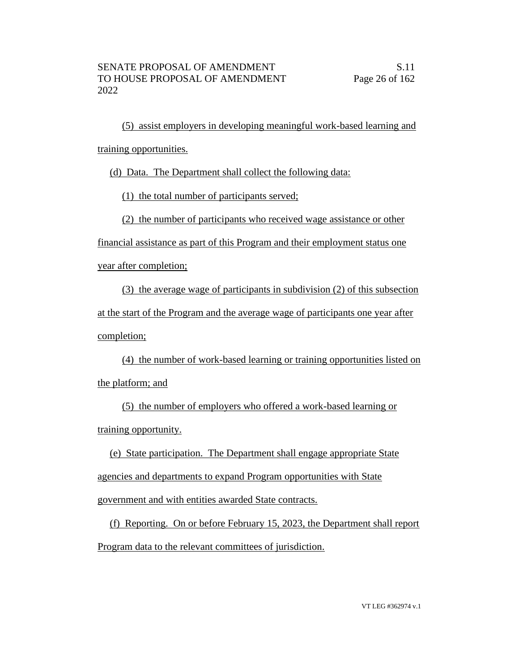(5) assist employers in developing meaningful work-based learning and training opportunities.

(d) Data. The Department shall collect the following data:

(1) the total number of participants served;

(2) the number of participants who received wage assistance or other

financial assistance as part of this Program and their employment status one

year after completion;

(3) the average wage of participants in subdivision (2) of this subsection at the start of the Program and the average wage of participants one year after completion;

(4) the number of work-based learning or training opportunities listed on the platform; and

(5) the number of employers who offered a work-based learning or training opportunity.

(e) State participation. The Department shall engage appropriate State agencies and departments to expand Program opportunities with State government and with entities awarded State contracts.

(f) Reporting. On or before February 15, 2023, the Department shall report Program data to the relevant committees of jurisdiction.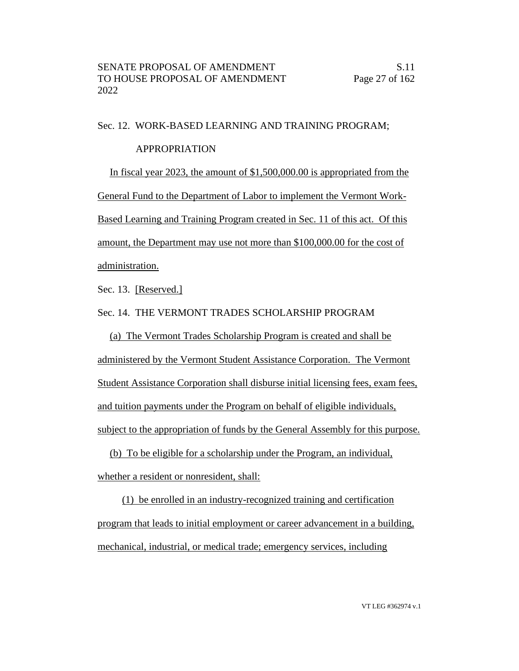#### Sec. 12. WORK-BASED LEARNING AND TRAINING PROGRAM;

#### APPROPRIATION

In fiscal year 2023, the amount of \$1,500,000.00 is appropriated from the General Fund to the Department of Labor to implement the Vermont Work-Based Learning and Training Program created in Sec. 11 of this act. Of this amount, the Department may use not more than \$100,000.00 for the cost of administration.

Sec. 13. [Reserved.]

Sec. 14. THE VERMONT TRADES SCHOLARSHIP PROGRAM

(a) The Vermont Trades Scholarship Program is created and shall be administered by the Vermont Student Assistance Corporation. The Vermont Student Assistance Corporation shall disburse initial licensing fees, exam fees, and tuition payments under the Program on behalf of eligible individuals, subject to the appropriation of funds by the General Assembly for this purpose.

(b) To be eligible for a scholarship under the Program, an individual, whether a resident or nonresident, shall:

(1) be enrolled in an industry-recognized training and certification program that leads to initial employment or career advancement in a building, mechanical, industrial, or medical trade; emergency services, including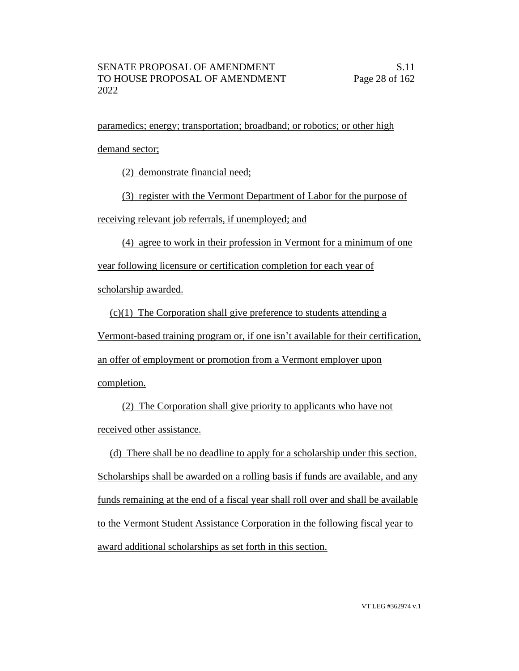paramedics; energy; transportation; broadband; or robotics; or other high demand sector;

(2) demonstrate financial need;

(3) register with the Vermont Department of Labor for the purpose of

receiving relevant job referrals, if unemployed; and

(4) agree to work in their profession in Vermont for a minimum of one

year following licensure or certification completion for each year of

scholarship awarded.

(c)(1) The Corporation shall give preference to students attending a

Vermont-based training program or, if one isn't available for their certification,

an offer of employment or promotion from a Vermont employer upon

completion.

(2) The Corporation shall give priority to applicants who have not received other assistance.

(d) There shall be no deadline to apply for a scholarship under this section. Scholarships shall be awarded on a rolling basis if funds are available, and any funds remaining at the end of a fiscal year shall roll over and shall be available to the Vermont Student Assistance Corporation in the following fiscal year to award additional scholarships as set forth in this section.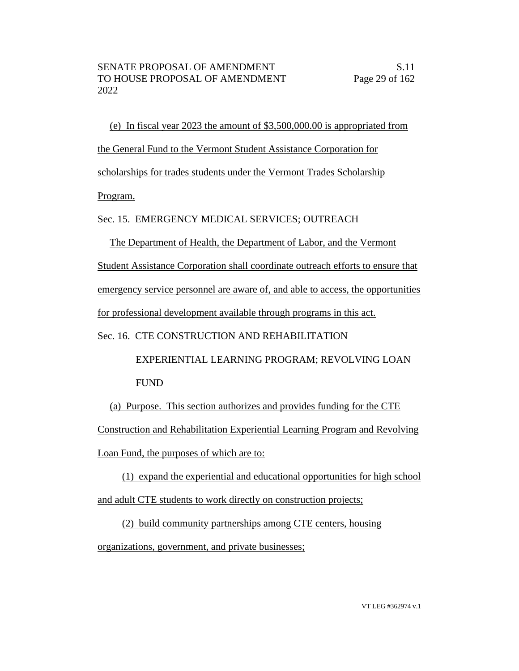(e) In fiscal year 2023 the amount of \$3,500,000.00 is appropriated from the General Fund to the Vermont Student Assistance Corporation for scholarships for trades students under the Vermont Trades Scholarship Program.

Sec. 15. EMERGENCY MEDICAL SERVICES; OUTREACH

The Department of Health, the Department of Labor, and the Vermont Student Assistance Corporation shall coordinate outreach efforts to ensure that emergency service personnel are aware of, and able to access, the opportunities for professional development available through programs in this act.

Sec. 16. CTE CONSTRUCTION AND REHABILITATION

 EXPERIENTIAL LEARNING PROGRAM; REVOLVING LOAN FUND

(a) Purpose. This section authorizes and provides funding for the CTE Construction and Rehabilitation Experiential Learning Program and Revolving Loan Fund, the purposes of which are to:

(1) expand the experiential and educational opportunities for high school and adult CTE students to work directly on construction projects;

(2) build community partnerships among CTE centers, housing organizations, government, and private businesses;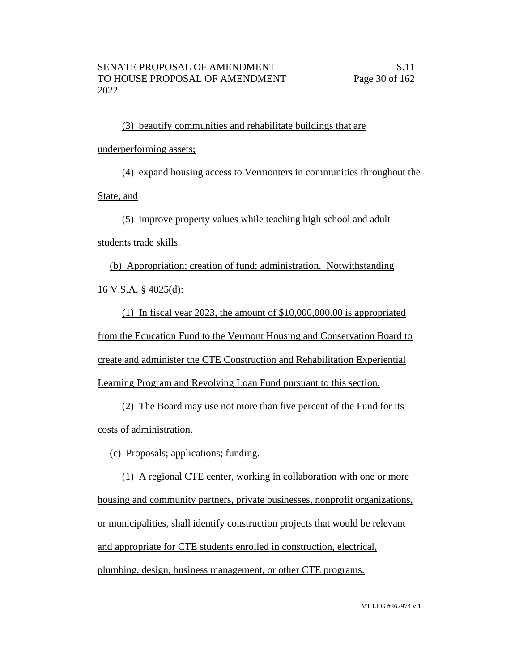(3) beautify communities and rehabilitate buildings that are underperforming assets;

(4) expand housing access to Vermonters in communities throughout the State; and

(5) improve property values while teaching high school and adult

students trade skills.

(b) Appropriation; creation of fund; administration. Notwithstanding 16 V.S.A. § 4025(d):

(1) In fiscal year 2023, the amount of \$10,000,000.00 is appropriated from the Education Fund to the Vermont Housing and Conservation Board to create and administer the CTE Construction and Rehabilitation Experiential Learning Program and Revolving Loan Fund pursuant to this section.

(2) The Board may use not more than five percent of the Fund for its costs of administration.

(c) Proposals; applications; funding.

(1) A regional CTE center, working in collaboration with one or more housing and community partners, private businesses, nonprofit organizations, or municipalities, shall identify construction projects that would be relevant and appropriate for CTE students enrolled in construction, electrical, plumbing, design, business management, or other CTE programs.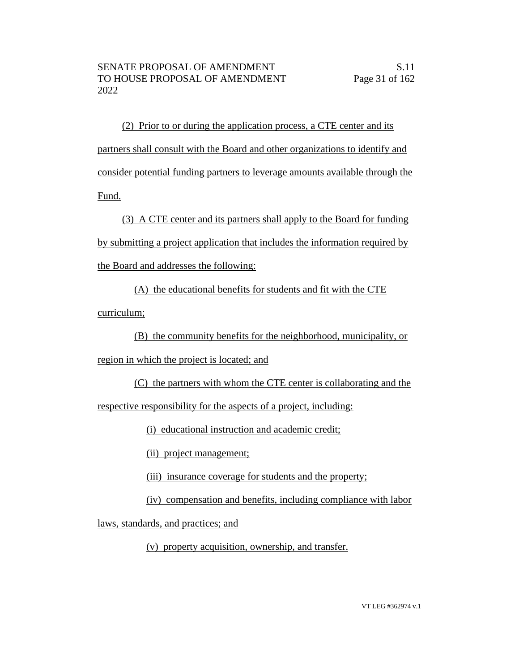(2) Prior to or during the application process, a CTE center and its partners shall consult with the Board and other organizations to identify and consider potential funding partners to leverage amounts available through the Fund.

(3) A CTE center and its partners shall apply to the Board for funding by submitting a project application that includes the information required by the Board and addresses the following:

(A) the educational benefits for students and fit with the CTE curriculum;

(B) the community benefits for the neighborhood, municipality, or

region in which the project is located; and

(C) the partners with whom the CTE center is collaborating and the

respective responsibility for the aspects of a project, including:

(i) educational instruction and academic credit;

(ii) project management;

(iii) insurance coverage for students and the property;

(iv) compensation and benefits, including compliance with labor

laws, standards, and practices; and

(v) property acquisition, ownership, and transfer.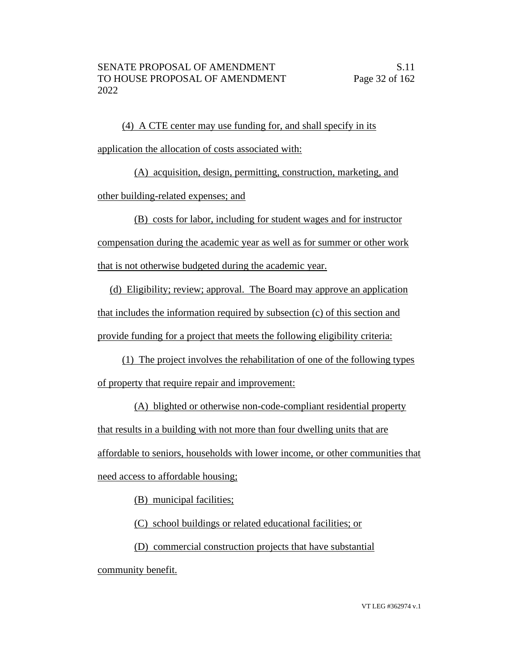(4) A CTE center may use funding for, and shall specify in its application the allocation of costs associated with:

(A) acquisition, design, permitting, construction, marketing, and other building-related expenses; and

(B) costs for labor, including for student wages and for instructor

compensation during the academic year as well as for summer or other work that is not otherwise budgeted during the academic year.

(d) Eligibility; review; approval. The Board may approve an application that includes the information required by subsection (c) of this section and provide funding for a project that meets the following eligibility criteria:

(1) The project involves the rehabilitation of one of the following types of property that require repair and improvement:

(A) blighted or otherwise non-code-compliant residential property that results in a building with not more than four dwelling units that are affordable to seniors, households with lower income, or other communities that need access to affordable housing;

(B) municipal facilities;

(C) school buildings or related educational facilities; or

(D) commercial construction projects that have substantial

community benefit.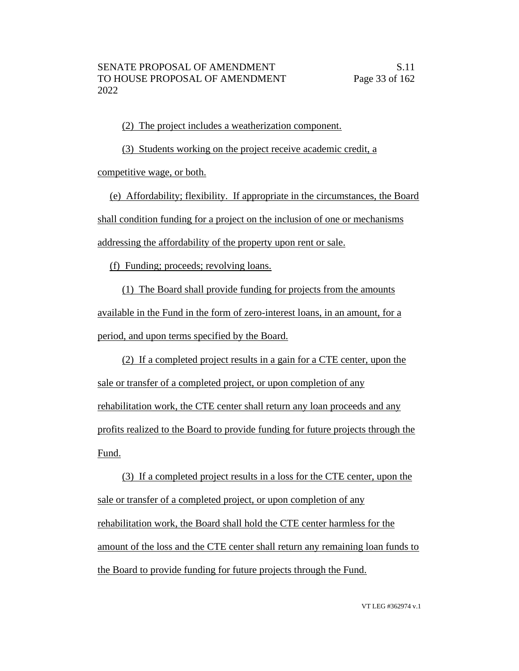(2) The project includes a weatherization component.

(3) Students working on the project receive academic credit, a competitive wage, or both.

(e) Affordability; flexibility. If appropriate in the circumstances, the Board shall condition funding for a project on the inclusion of one or mechanisms addressing the affordability of the property upon rent or sale.

(f) Funding; proceeds; revolving loans.

(1) The Board shall provide funding for projects from the amounts available in the Fund in the form of zero-interest loans, in an amount, for a period, and upon terms specified by the Board.

(2) If a completed project results in a gain for a CTE center, upon the sale or transfer of a completed project, or upon completion of any rehabilitation work, the CTE center shall return any loan proceeds and any profits realized to the Board to provide funding for future projects through the Fund.

(3) If a completed project results in a loss for the CTE center, upon the sale or transfer of a completed project, or upon completion of any rehabilitation work, the Board shall hold the CTE center harmless for the amount of the loss and the CTE center shall return any remaining loan funds to the Board to provide funding for future projects through the Fund.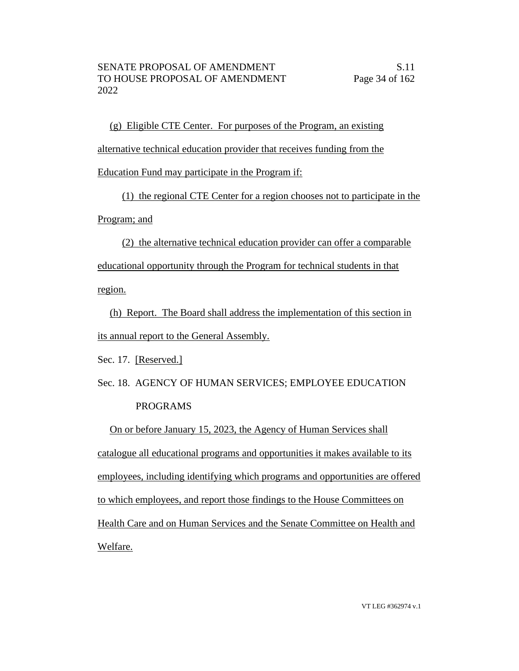(g) Eligible CTE Center. For purposes of the Program, an existing alternative technical education provider that receives funding from the Education Fund may participate in the Program if:

(1) the regional CTE Center for a region chooses not to participate in the Program; and

(2) the alternative technical education provider can offer a comparable educational opportunity through the Program for technical students in that region.

(h) Report. The Board shall address the implementation of this section in its annual report to the General Assembly.

Sec. 17. [Reserved.]

Sec. 18. AGENCY OF HUMAN SERVICES; EMPLOYEE EDUCATION PROGRAMS

On or before January 15, 2023, the Agency of Human Services shall catalogue all educational programs and opportunities it makes available to its employees, including identifying which programs and opportunities are offered to which employees, and report those findings to the House Committees on Health Care and on Human Services and the Senate Committee on Health and Welfare.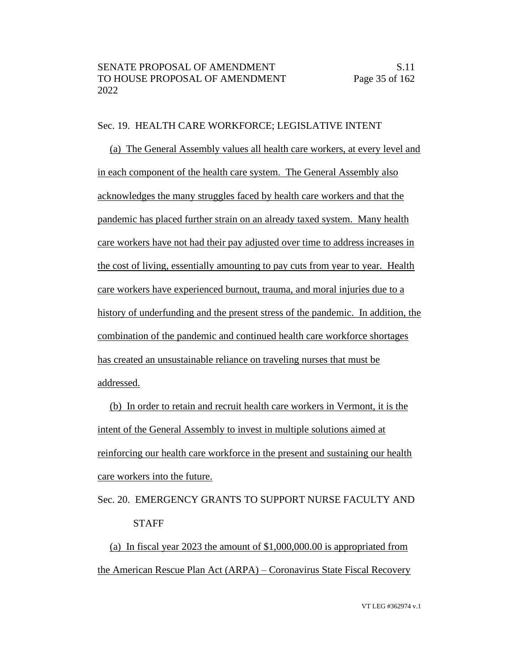#### Sec. 19. HEALTH CARE WORKFORCE; LEGISLATIVE INTENT

(a) The General Assembly values all health care workers, at every level and in each component of the health care system. The General Assembly also acknowledges the many struggles faced by health care workers and that the pandemic has placed further strain on an already taxed system. Many health care workers have not had their pay adjusted over time to address increases in the cost of living, essentially amounting to pay cuts from year to year. Health care workers have experienced burnout, trauma, and moral injuries due to a history of underfunding and the present stress of the pandemic. In addition, the combination of the pandemic and continued health care workforce shortages has created an unsustainable reliance on traveling nurses that must be addressed.

(b) In order to retain and recruit health care workers in Vermont, it is the intent of the General Assembly to invest in multiple solutions aimed at reinforcing our health care workforce in the present and sustaining our health care workers into the future.

Sec. 20. EMERGENCY GRANTS TO SUPPORT NURSE FACULTY AND **STAFF** 

(a) In fiscal year 2023 the amount of \$1,000,000.00 is appropriated from the American Rescue Plan Act (ARPA) – Coronavirus State Fiscal Recovery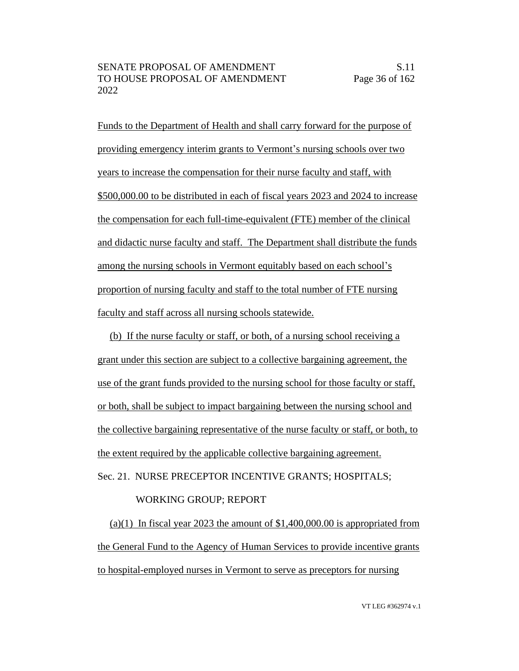Funds to the Department of Health and shall carry forward for the purpose of providing emergency interim grants to Vermont's nursing schools over two years to increase the compensation for their nurse faculty and staff, with \$500,000.00 to be distributed in each of fiscal years 2023 and 2024 to increase the compensation for each full-time-equivalent (FTE) member of the clinical and didactic nurse faculty and staff. The Department shall distribute the funds among the nursing schools in Vermont equitably based on each school's proportion of nursing faculty and staff to the total number of FTE nursing faculty and staff across all nursing schools statewide.

(b) If the nurse faculty or staff, or both, of a nursing school receiving a grant under this section are subject to a collective bargaining agreement, the use of the grant funds provided to the nursing school for those faculty or staff, or both, shall be subject to impact bargaining between the nursing school and the collective bargaining representative of the nurse faculty or staff, or both, to the extent required by the applicable collective bargaining agreement. Sec. 21. NURSE PRECEPTOR INCENTIVE GRANTS; HOSPITALS;

# WORKING GROUP; REPORT

 $(a)(1)$  In fiscal year 2023 the amount of \$1,400,000.00 is appropriated from the General Fund to the Agency of Human Services to provide incentive grants to hospital-employed nurses in Vermont to serve as preceptors for nursing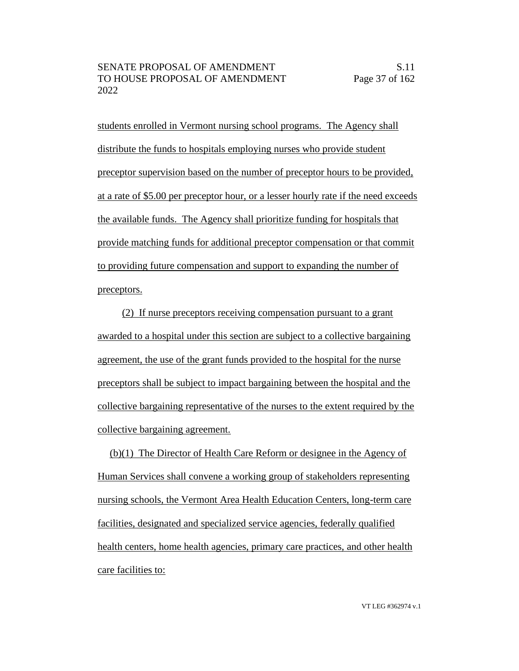students enrolled in Vermont nursing school programs. The Agency shall distribute the funds to hospitals employing nurses who provide student preceptor supervision based on the number of preceptor hours to be provided, at a rate of \$5.00 per preceptor hour, or a lesser hourly rate if the need exceeds the available funds. The Agency shall prioritize funding for hospitals that provide matching funds for additional preceptor compensation or that commit to providing future compensation and support to expanding the number of preceptors.

(2) If nurse preceptors receiving compensation pursuant to a grant awarded to a hospital under this section are subject to a collective bargaining agreement, the use of the grant funds provided to the hospital for the nurse preceptors shall be subject to impact bargaining between the hospital and the collective bargaining representative of the nurses to the extent required by the collective bargaining agreement.

(b)(1) The Director of Health Care Reform or designee in the Agency of Human Services shall convene a working group of stakeholders representing nursing schools, the Vermont Area Health Education Centers, long-term care facilities, designated and specialized service agencies, federally qualified health centers, home health agencies, primary care practices, and other health care facilities to: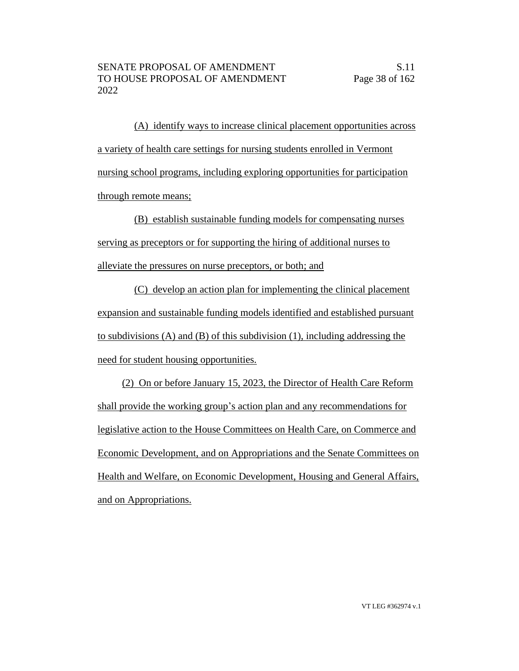(A) identify ways to increase clinical placement opportunities across a variety of health care settings for nursing students enrolled in Vermont nursing school programs, including exploring opportunities for participation through remote means;

(B) establish sustainable funding models for compensating nurses serving as preceptors or for supporting the hiring of additional nurses to alleviate the pressures on nurse preceptors, or both; and

(C) develop an action plan for implementing the clinical placement expansion and sustainable funding models identified and established pursuant to subdivisions (A) and (B) of this subdivision (1), including addressing the need for student housing opportunities.

(2) On or before January 15, 2023, the Director of Health Care Reform shall provide the working group's action plan and any recommendations for legislative action to the House Committees on Health Care, on Commerce and Economic Development, and on Appropriations and the Senate Committees on Health and Welfare, on Economic Development, Housing and General Affairs, and on Appropriations.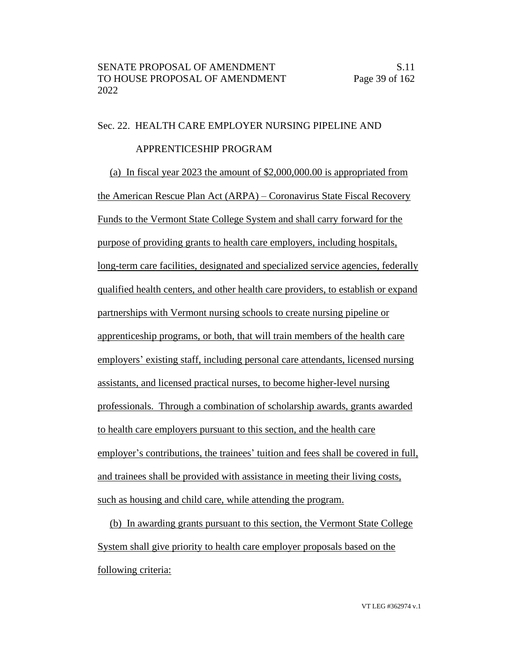#### Sec. 22. HEALTH CARE EMPLOYER NURSING PIPELINE AND

# APPRENTICESHIP PROGRAM

(a) In fiscal year 2023 the amount of \$2,000,000.00 is appropriated from the American Rescue Plan Act (ARPA) – Coronavirus State Fiscal Recovery Funds to the Vermont State College System and shall carry forward for the purpose of providing grants to health care employers, including hospitals, long-term care facilities, designated and specialized service agencies, federally qualified health centers, and other health care providers, to establish or expand partnerships with Vermont nursing schools to create nursing pipeline or apprenticeship programs, or both, that will train members of the health care employers' existing staff, including personal care attendants, licensed nursing assistants, and licensed practical nurses, to become higher-level nursing professionals. Through a combination of scholarship awards, grants awarded to health care employers pursuant to this section, and the health care employer's contributions, the trainees' tuition and fees shall be covered in full, and trainees shall be provided with assistance in meeting their living costs, such as housing and child care, while attending the program.

(b) In awarding grants pursuant to this section, the Vermont State College System shall give priority to health care employer proposals based on the following criteria: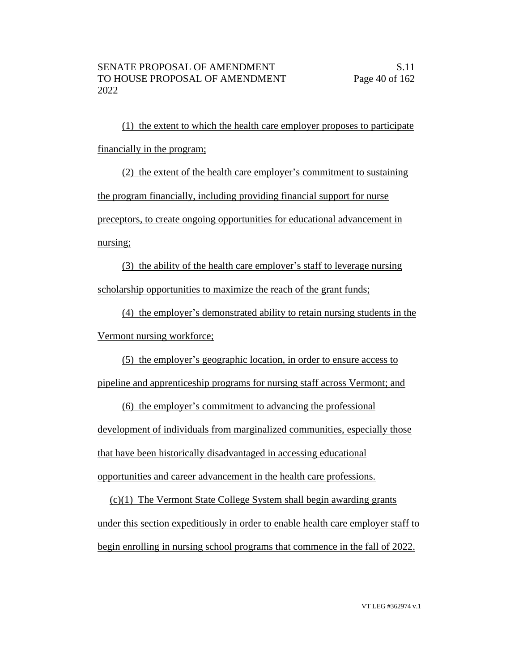(1) the extent to which the health care employer proposes to participate financially in the program;

(2) the extent of the health care employer's commitment to sustaining the program financially, including providing financial support for nurse preceptors, to create ongoing opportunities for educational advancement in nursing;

(3) the ability of the health care employer's staff to leverage nursing scholarship opportunities to maximize the reach of the grant funds;

(4) the employer's demonstrated ability to retain nursing students in the Vermont nursing workforce;

(5) the employer's geographic location, in order to ensure access to

pipeline and apprenticeship programs for nursing staff across Vermont; and

(6) the employer's commitment to advancing the professional development of individuals from marginalized communities, especially those that have been historically disadvantaged in accessing educational opportunities and career advancement in the health care professions.

(c)(1) The Vermont State College System shall begin awarding grants under this section expeditiously in order to enable health care employer staff to begin enrolling in nursing school programs that commence in the fall of 2022.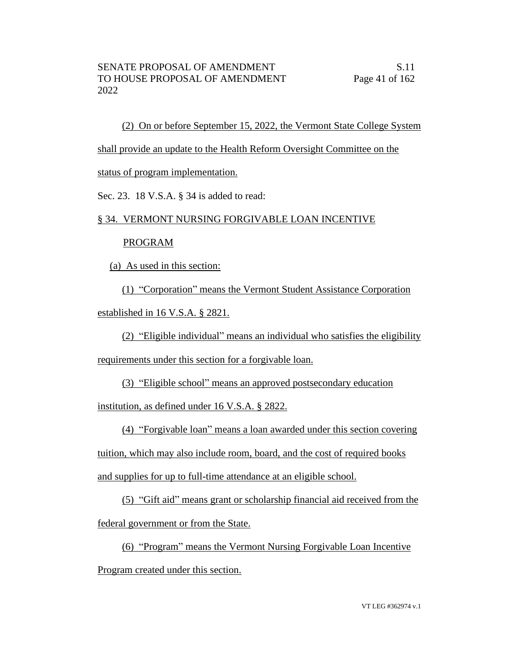(2) On or before September 15, 2022, the Vermont State College System

shall provide an update to the Health Reform Oversight Committee on the

status of program implementation.

Sec. 23. 18 V.S.A. § 34 is added to read:

#### § 34. VERMONT NURSING FORGIVABLE LOAN INCENTIVE

#### PROGRAM

(a) As used in this section:

(1) "Corporation" means the Vermont Student Assistance Corporation established in 16 V.S.A. § 2821.

(2) "Eligible individual" means an individual who satisfies the eligibility

requirements under this section for a forgivable loan.

(3) "Eligible school" means an approved postsecondary education

institution, as defined under 16 V.S.A. § 2822.

(4) "Forgivable loan" means a loan awarded under this section covering tuition, which may also include room, board, and the cost of required books and supplies for up to full-time attendance at an eligible school.

(5) "Gift aid" means grant or scholarship financial aid received from the federal government or from the State.

(6) "Program" means the Vermont Nursing Forgivable Loan Incentive Program created under this section.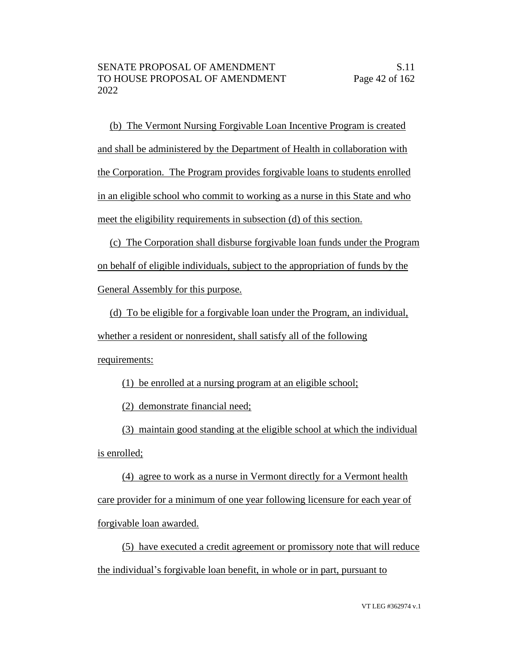(b) The Vermont Nursing Forgivable Loan Incentive Program is created and shall be administered by the Department of Health in collaboration with the Corporation. The Program provides forgivable loans to students enrolled in an eligible school who commit to working as a nurse in this State and who meet the eligibility requirements in subsection (d) of this section.

(c) The Corporation shall disburse forgivable loan funds under the Program on behalf of eligible individuals, subject to the appropriation of funds by the General Assembly for this purpose.

(d) To be eligible for a forgivable loan under the Program, an individual, whether a resident or nonresident, shall satisfy all of the following requirements:

(1) be enrolled at a nursing program at an eligible school;

(2) demonstrate financial need;

(3) maintain good standing at the eligible school at which the individual is enrolled;

(4) agree to work as a nurse in Vermont directly for a Vermont health care provider for a minimum of one year following licensure for each year of forgivable loan awarded.

(5) have executed a credit agreement or promissory note that will reduce the individual's forgivable loan benefit, in whole or in part, pursuant to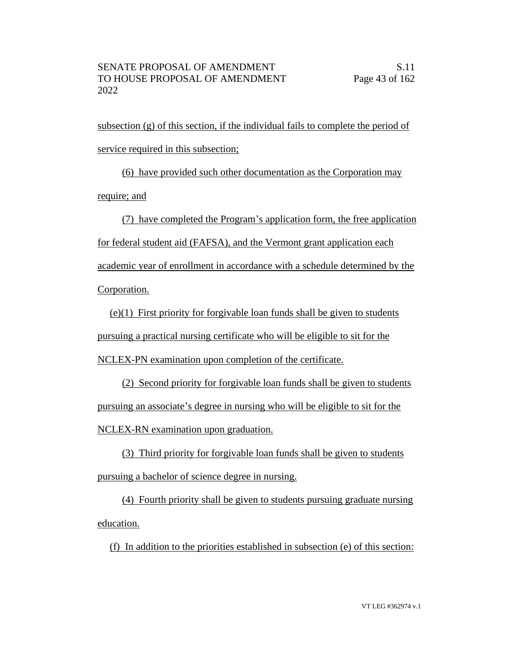subsection (g) of this section, if the individual fails to complete the period of service required in this subsection;

(6) have provided such other documentation as the Corporation may require; and

(7) have completed the Program's application form, the free application for federal student aid (FAFSA), and the Vermont grant application each academic year of enrollment in accordance with a schedule determined by the Corporation.

(e)(1) First priority for forgivable loan funds shall be given to students pursuing a practical nursing certificate who will be eligible to sit for the

NCLEX-PN examination upon completion of the certificate.

(2) Second priority for forgivable loan funds shall be given to students pursuing an associate's degree in nursing who will be eligible to sit for the NCLEX-RN examination upon graduation.

(3) Third priority for forgivable loan funds shall be given to students pursuing a bachelor of science degree in nursing.

(4) Fourth priority shall be given to students pursuing graduate nursing education.

(f) In addition to the priorities established in subsection (e) of this section: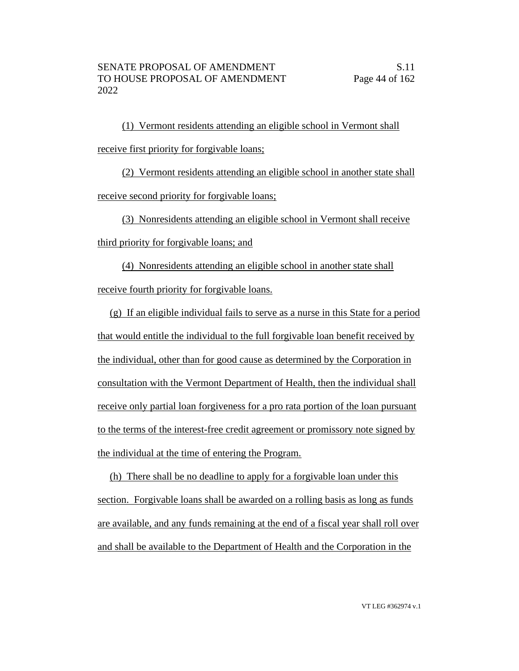(1) Vermont residents attending an eligible school in Vermont shall receive first priority for forgivable loans;

(2) Vermont residents attending an eligible school in another state shall receive second priority for forgivable loans;

(3) Nonresidents attending an eligible school in Vermont shall receive

third priority for forgivable loans; and

(4) Nonresidents attending an eligible school in another state shall receive fourth priority for forgivable loans.

(g) If an eligible individual fails to serve as a nurse in this State for a period that would entitle the individual to the full forgivable loan benefit received by the individual, other than for good cause as determined by the Corporation in consultation with the Vermont Department of Health, then the individual shall receive only partial loan forgiveness for a pro rata portion of the loan pursuant to the terms of the interest-free credit agreement or promissory note signed by the individual at the time of entering the Program.

(h) There shall be no deadline to apply for a forgivable loan under this section. Forgivable loans shall be awarded on a rolling basis as long as funds are available, and any funds remaining at the end of a fiscal year shall roll over and shall be available to the Department of Health and the Corporation in the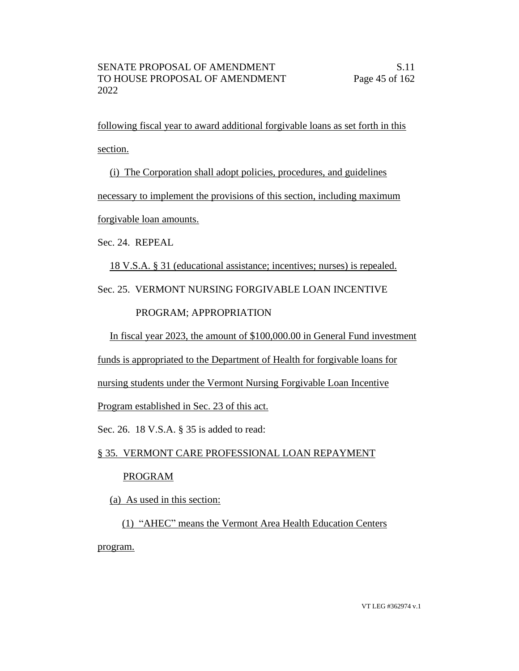following fiscal year to award additional forgivable loans as set forth in this section.

(i) The Corporation shall adopt policies, procedures, and guidelines necessary to implement the provisions of this section, including maximum forgivable loan amounts.

Sec. 24. REPEAL

18 V.S.A. § 31 (educational assistance; incentives; nurses) is repealed.

Sec. 25. VERMONT NURSING FORGIVABLE LOAN INCENTIVE

# PROGRAM; APPROPRIATION

In fiscal year 2023, the amount of \$100,000.00 in General Fund investment

funds is appropriated to the Department of Health for forgivable loans for

nursing students under the Vermont Nursing Forgivable Loan Incentive

Program established in Sec. 23 of this act.

Sec. 26. 18 V.S.A. § 35 is added to read:

# § 35. VERMONT CARE PROFESSIONAL LOAN REPAYMENT

# PROGRAM

(a) As used in this section:

(1) "AHEC" means the Vermont Area Health Education Centers program.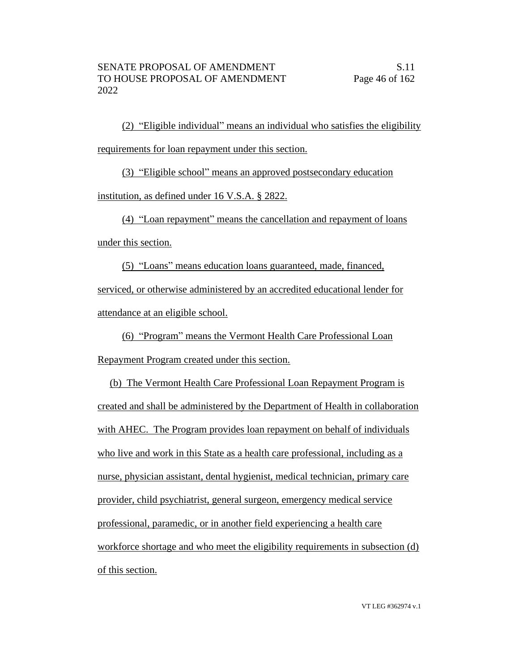(2) "Eligible individual" means an individual who satisfies the eligibility requirements for loan repayment under this section.

(3) "Eligible school" means an approved postsecondary education

institution, as defined under 16 V.S.A. § 2822.

(4) "Loan repayment" means the cancellation and repayment of loans under this section.

(5) "Loans" means education loans guaranteed, made, financed, serviced, or otherwise administered by an accredited educational lender for attendance at an eligible school.

(6) "Program" means the Vermont Health Care Professional Loan

Repayment Program created under this section.

(b) The Vermont Health Care Professional Loan Repayment Program is created and shall be administered by the Department of Health in collaboration with AHEC. The Program provides loan repayment on behalf of individuals who live and work in this State as a health care professional, including as a nurse, physician assistant, dental hygienist, medical technician, primary care provider, child psychiatrist, general surgeon, emergency medical service professional, paramedic, or in another field experiencing a health care workforce shortage and who meet the eligibility requirements in subsection (d) of this section.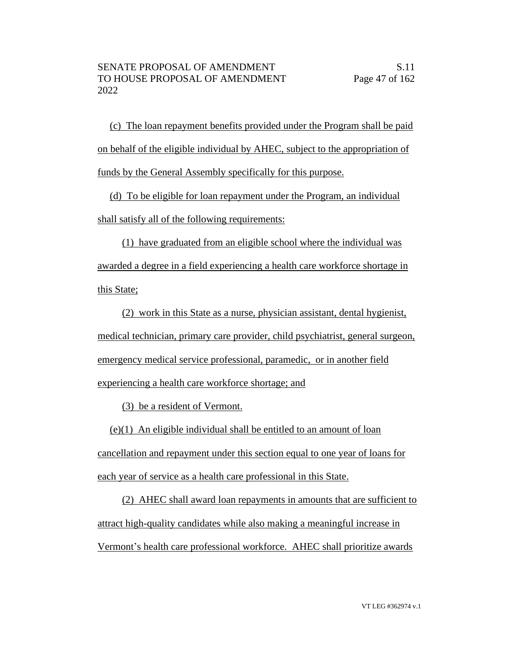(c) The loan repayment benefits provided under the Program shall be paid on behalf of the eligible individual by AHEC, subject to the appropriation of funds by the General Assembly specifically for this purpose.

(d) To be eligible for loan repayment under the Program, an individual shall satisfy all of the following requirements:

(1) have graduated from an eligible school where the individual was awarded a degree in a field experiencing a health care workforce shortage in this State;

(2) work in this State as a nurse, physician assistant, dental hygienist, medical technician, primary care provider, child psychiatrist, general surgeon, emergency medical service professional, paramedic, or in another field experiencing a health care workforce shortage; and

(3) be a resident of Vermont.

(e)(1) An eligible individual shall be entitled to an amount of loan cancellation and repayment under this section equal to one year of loans for each year of service as a health care professional in this State.

(2) AHEC shall award loan repayments in amounts that are sufficient to attract high-quality candidates while also making a meaningful increase in Vermont's health care professional workforce. AHEC shall prioritize awards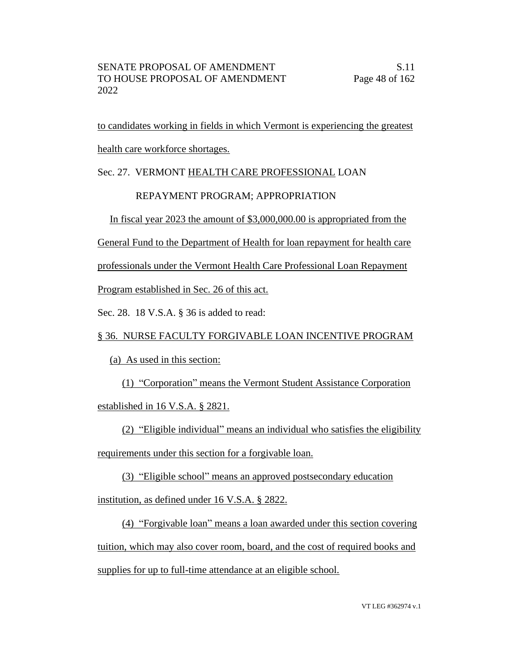to candidates working in fields in which Vermont is experiencing the greatest health care workforce shortages.

# Sec. 27. VERMONT HEALTH CARE PROFESSIONAL LOAN

# REPAYMENT PROGRAM; APPROPRIATION

In fiscal year 2023 the amount of \$3,000,000.00 is appropriated from the

General Fund to the Department of Health for loan repayment for health care

professionals under the Vermont Health Care Professional Loan Repayment

Program established in Sec. 26 of this act.

Sec. 28. 18 V.S.A. § 36 is added to read:

# § 36. NURSE FACULTY FORGIVABLE LOAN INCENTIVE PROGRAM

(a) As used in this section:

(1) "Corporation" means the Vermont Student Assistance Corporation

established in 16 V.S.A. § 2821.

(2) "Eligible individual" means an individual who satisfies the eligibility requirements under this section for a forgivable loan.

(3) "Eligible school" means an approved postsecondary education

institution, as defined under 16 V.S.A. § 2822.

(4) "Forgivable loan" means a loan awarded under this section covering tuition, which may also cover room, board, and the cost of required books and supplies for up to full-time attendance at an eligible school.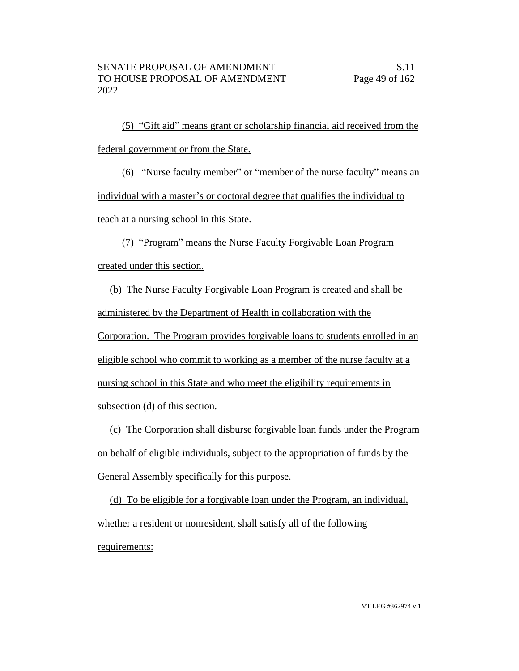(5) "Gift aid" means grant or scholarship financial aid received from the federal government or from the State.

(6) "Nurse faculty member" or "member of the nurse faculty" means an individual with a master's or doctoral degree that qualifies the individual to teach at a nursing school in this State.

(7) "Program" means the Nurse Faculty Forgivable Loan Program created under this section.

(b) The Nurse Faculty Forgivable Loan Program is created and shall be administered by the Department of Health in collaboration with the Corporation. The Program provides forgivable loans to students enrolled in an eligible school who commit to working as a member of the nurse faculty at a nursing school in this State and who meet the eligibility requirements in subsection (d) of this section.

(c) The Corporation shall disburse forgivable loan funds under the Program on behalf of eligible individuals, subject to the appropriation of funds by the General Assembly specifically for this purpose.

(d) To be eligible for a forgivable loan under the Program, an individual, whether a resident or nonresident, shall satisfy all of the following requirements: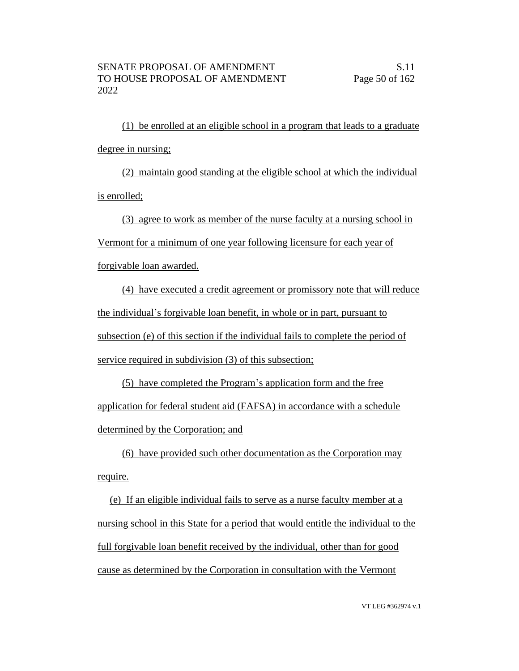(1) be enrolled at an eligible school in a program that leads to a graduate degree in nursing;

(2) maintain good standing at the eligible school at which the individual is enrolled;

(3) agree to work as member of the nurse faculty at a nursing school in

Vermont for a minimum of one year following licensure for each year of

forgivable loan awarded.

(4) have executed a credit agreement or promissory note that will reduce the individual's forgivable loan benefit, in whole or in part, pursuant to subsection (e) of this section if the individual fails to complete the period of service required in subdivision (3) of this subsection;

(5) have completed the Program's application form and the free application for federal student aid (FAFSA) in accordance with a schedule determined by the Corporation; and

(6) have provided such other documentation as the Corporation may require.

(e) If an eligible individual fails to serve as a nurse faculty member at a nursing school in this State for a period that would entitle the individual to the full forgivable loan benefit received by the individual, other than for good cause as determined by the Corporation in consultation with the Vermont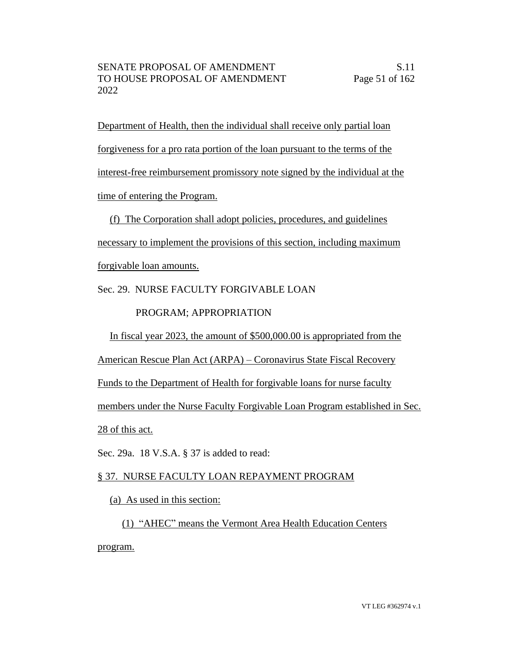Department of Health, then the individual shall receive only partial loan forgiveness for a pro rata portion of the loan pursuant to the terms of the interest-free reimbursement promissory note signed by the individual at the time of entering the Program.

(f) The Corporation shall adopt policies, procedures, and guidelines

necessary to implement the provisions of this section, including maximum forgivable loan amounts.

Sec. 29. NURSE FACULTY FORGIVABLE LOAN

PROGRAM; APPROPRIATION

In fiscal year 2023, the amount of \$500,000.00 is appropriated from the

American Rescue Plan Act (ARPA) – Coronavirus State Fiscal Recovery

Funds to the Department of Health for forgivable loans for nurse faculty

members under the Nurse Faculty Forgivable Loan Program established in Sec.

28 of this act.

Sec. 29a. 18 V.S.A. § 37 is added to read:

# § 37. NURSE FACULTY LOAN REPAYMENT PROGRAM

(a) As used in this section:

(1) "AHEC" means the Vermont Area Health Education Centers program.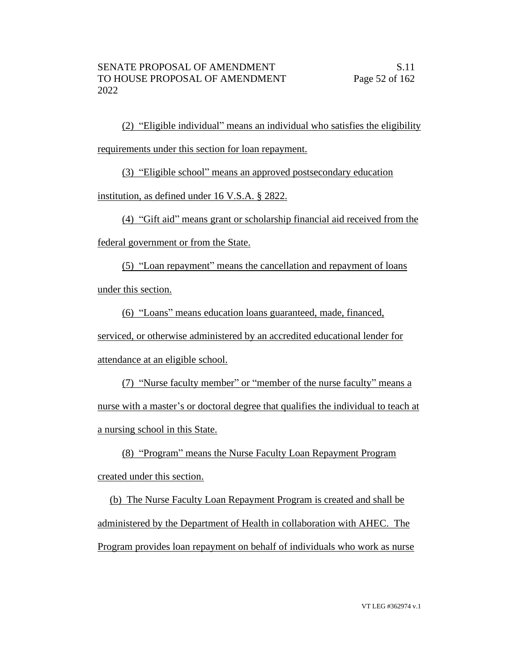(2) "Eligible individual" means an individual who satisfies the eligibility requirements under this section for loan repayment.

(3) "Eligible school" means an approved postsecondary education

institution, as defined under 16 V.S.A. § 2822.

(4) "Gift aid" means grant or scholarship financial aid received from the

federal government or from the State.

(5) "Loan repayment" means the cancellation and repayment of loans under this section.

(6) "Loans" means education loans guaranteed, made, financed, serviced, or otherwise administered by an accredited educational lender for attendance at an eligible school.

(7) "Nurse faculty member" or "member of the nurse faculty" means a nurse with a master's or doctoral degree that qualifies the individual to teach at a nursing school in this State.

(8) "Program" means the Nurse Faculty Loan Repayment Program created under this section.

(b) The Nurse Faculty Loan Repayment Program is created and shall be administered by the Department of Health in collaboration with AHEC. The Program provides loan repayment on behalf of individuals who work as nurse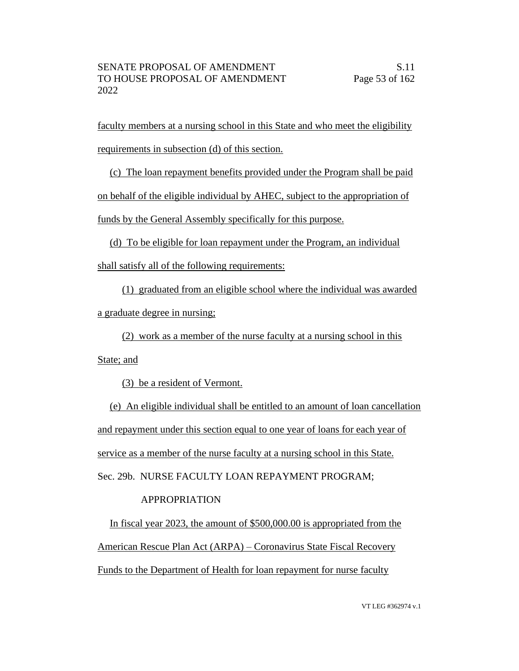faculty members at a nursing school in this State and who meet the eligibility requirements in subsection (d) of this section.

(c) The loan repayment benefits provided under the Program shall be paid on behalf of the eligible individual by AHEC, subject to the appropriation of funds by the General Assembly specifically for this purpose.

(d) To be eligible for loan repayment under the Program, an individual shall satisfy all of the following requirements:

(1) graduated from an eligible school where the individual was awarded a graduate degree in nursing;

(2) work as a member of the nurse faculty at a nursing school in this State; and

(3) be a resident of Vermont.

(e) An eligible individual shall be entitled to an amount of loan cancellation and repayment under this section equal to one year of loans for each year of service as a member of the nurse faculty at a nursing school in this State. Sec. 29b. NURSE FACULTY LOAN REPAYMENT PROGRAM;

# APPROPRIATION

In fiscal year 2023, the amount of \$500,000.00 is appropriated from the American Rescue Plan Act (ARPA) – Coronavirus State Fiscal Recovery Funds to the Department of Health for loan repayment for nurse faculty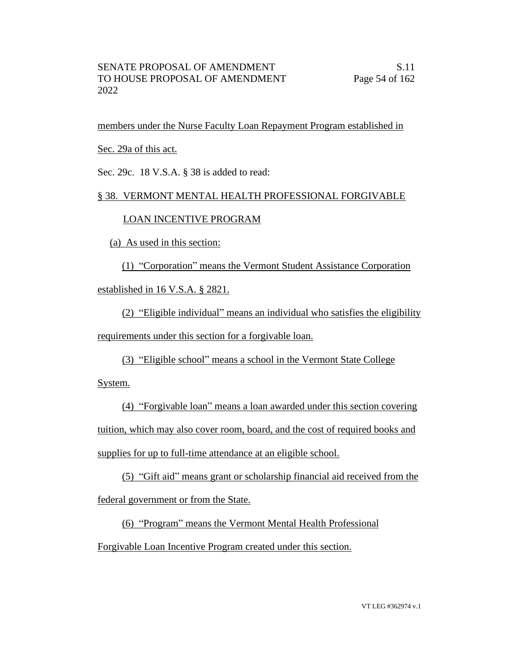members under the Nurse Faculty Loan Repayment Program established in

Sec. 29a of this act.

Sec. 29c. 18 V.S.A. § 38 is added to read:

# § 38. VERMONT MENTAL HEALTH PROFESSIONAL FORGIVABLE

#### LOAN INCENTIVE PROGRAM

(a) As used in this section:

(1) "Corporation" means the Vermont Student Assistance Corporation

established in 16 V.S.A. § 2821.

(2) "Eligible individual" means an individual who satisfies the eligibility requirements under this section for a forgivable loan.

(3) "Eligible school" means a school in the Vermont State College

System.

(4) "Forgivable loan" means a loan awarded under this section covering tuition, which may also cover room, board, and the cost of required books and supplies for up to full-time attendance at an eligible school.

(5) "Gift aid" means grant or scholarship financial aid received from the

federal government or from the State.

(6) "Program" means the Vermont Mental Health Professional

Forgivable Loan Incentive Program created under this section.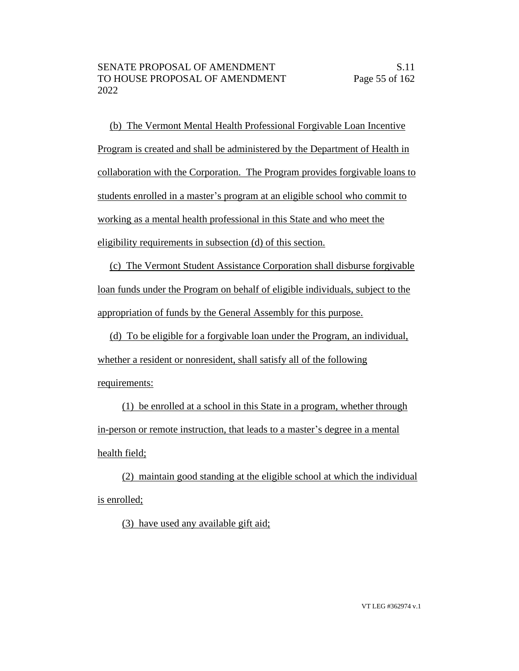(b) The Vermont Mental Health Professional Forgivable Loan Incentive Program is created and shall be administered by the Department of Health in collaboration with the Corporation. The Program provides forgivable loans to students enrolled in a master's program at an eligible school who commit to working as a mental health professional in this State and who meet the eligibility requirements in subsection (d) of this section.

(c) The Vermont Student Assistance Corporation shall disburse forgivable loan funds under the Program on behalf of eligible individuals, subject to the appropriation of funds by the General Assembly for this purpose.

(d) To be eligible for a forgivable loan under the Program, an individual, whether a resident or nonresident, shall satisfy all of the following requirements:

(1) be enrolled at a school in this State in a program, whether through in-person or remote instruction, that leads to a master's degree in a mental health field;

(2) maintain good standing at the eligible school at which the individual is enrolled;

(3) have used any available gift aid;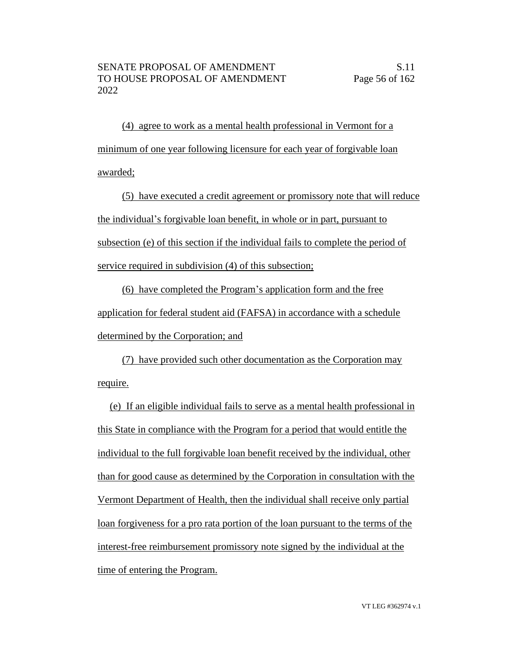(4) agree to work as a mental health professional in Vermont for a minimum of one year following licensure for each year of forgivable loan awarded;

(5) have executed a credit agreement or promissory note that will reduce the individual's forgivable loan benefit, in whole or in part, pursuant to subsection (e) of this section if the individual fails to complete the period of service required in subdivision (4) of this subsection;

(6) have completed the Program's application form and the free application for federal student aid (FAFSA) in accordance with a schedule determined by the Corporation; and

(7) have provided such other documentation as the Corporation may require.

(e) If an eligible individual fails to serve as a mental health professional in this State in compliance with the Program for a period that would entitle the individual to the full forgivable loan benefit received by the individual, other than for good cause as determined by the Corporation in consultation with the Vermont Department of Health, then the individual shall receive only partial loan forgiveness for a pro rata portion of the loan pursuant to the terms of the interest-free reimbursement promissory note signed by the individual at the time of entering the Program.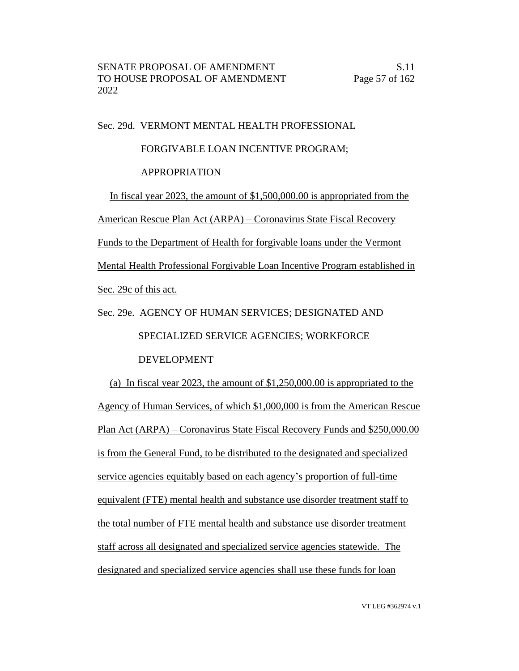Sec. 29d. VERMONT MENTAL HEALTH PROFESSIONAL

# FORGIVABLE LOAN INCENTIVE PROGRAM;

#### APPROPRIATION

In fiscal year 2023, the amount of \$1,500,000.00 is appropriated from the American Rescue Plan Act (ARPA) – Coronavirus State Fiscal Recovery Funds to the Department of Health for forgivable loans under the Vermont Mental Health Professional Forgivable Loan Incentive Program established in Sec. 29c of this act.

# Sec. 29e. AGENCY OF HUMAN SERVICES; DESIGNATED AND SPECIALIZED SERVICE AGENCIES; WORKFORCE DEVELOPMENT

(a) In fiscal year 2023, the amount of \$1,250,000.00 is appropriated to the Agency of Human Services, of which \$1,000,000 is from the American Rescue Plan Act (ARPA) – Coronavirus State Fiscal Recovery Funds and \$250,000.00 is from the General Fund, to be distributed to the designated and specialized service agencies equitably based on each agency's proportion of full-time equivalent (FTE) mental health and substance use disorder treatment staff to the total number of FTE mental health and substance use disorder treatment staff across all designated and specialized service agencies statewide. The designated and specialized service agencies shall use these funds for loan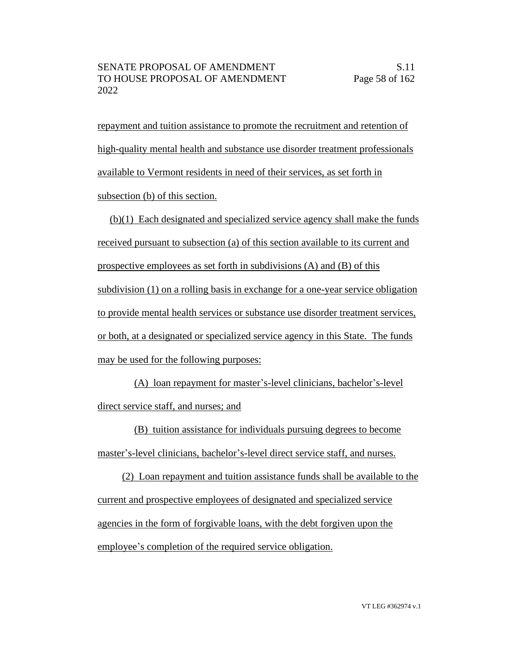repayment and tuition assistance to promote the recruitment and retention of high-quality mental health and substance use disorder treatment professionals available to Vermont residents in need of their services, as set forth in subsection (b) of this section.

(b)(1) Each designated and specialized service agency shall make the funds received pursuant to subsection (a) of this section available to its current and prospective employees as set forth in subdivisions (A) and (B) of this subdivision (1) on a rolling basis in exchange for a one-year service obligation to provide mental health services or substance use disorder treatment services, or both, at a designated or specialized service agency in this State. The funds may be used for the following purposes:

(A) loan repayment for master's-level clinicians, bachelor's-level direct service staff, and nurses; and

(B) tuition assistance for individuals pursuing degrees to become master's-level clinicians, bachelor's-level direct service staff, and nurses.

(2) Loan repayment and tuition assistance funds shall be available to the current and prospective employees of designated and specialized service agencies in the form of forgivable loans, with the debt forgiven upon the employee's completion of the required service obligation.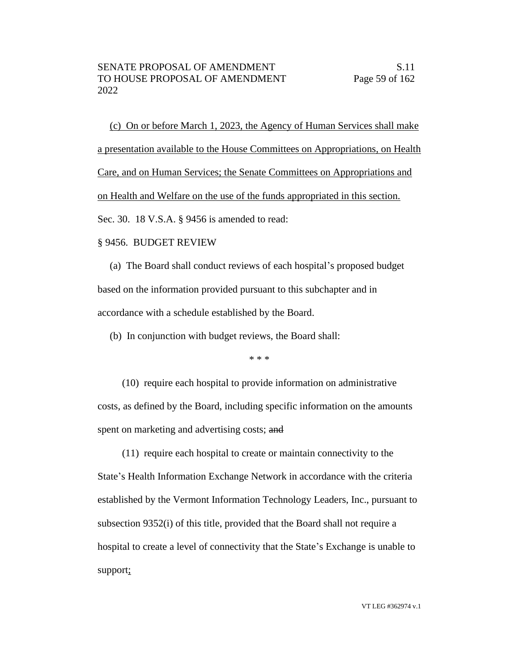(c) On or before March 1, 2023, the Agency of Human Services shall make a presentation available to the House Committees on Appropriations, on Health Care, and on Human Services; the Senate Committees on Appropriations and on Health and Welfare on the use of the funds appropriated in this section. Sec. 30. 18 V.S.A. § 9456 is amended to read:

#### § 9456. BUDGET REVIEW

(a) The Board shall conduct reviews of each hospital's proposed budget based on the information provided pursuant to this subchapter and in accordance with a schedule established by the Board.

(b) In conjunction with budget reviews, the Board shall:

\* \* \*

(10) require each hospital to provide information on administrative costs, as defined by the Board, including specific information on the amounts spent on marketing and advertising costs; and

(11) require each hospital to create or maintain connectivity to the State's Health Information Exchange Network in accordance with the criteria established by the Vermont Information Technology Leaders, Inc., pursuant to subsection 9352(i) of this title, provided that the Board shall not require a hospital to create a level of connectivity that the State's Exchange is unable to support;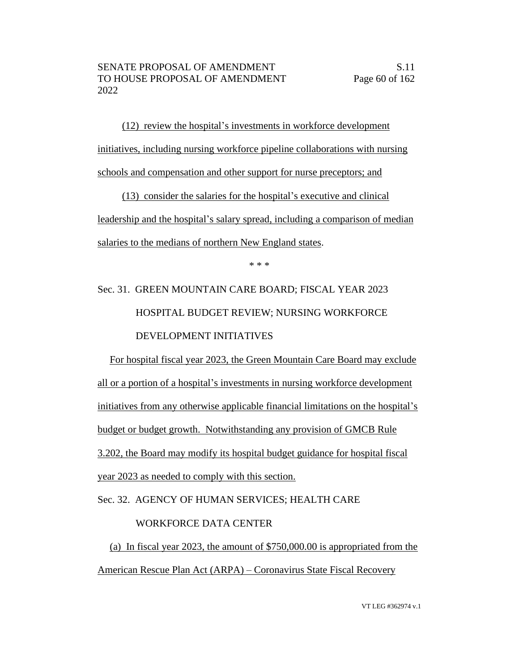(12) review the hospital's investments in workforce development initiatives, including nursing workforce pipeline collaborations with nursing schools and compensation and other support for nurse preceptors; and

(13) consider the salaries for the hospital's executive and clinical leadership and the hospital's salary spread, including a comparison of median salaries to the medians of northern New England states.

\* \* \*

# Sec. 31. GREEN MOUNTAIN CARE BOARD; FISCAL YEAR 2023 HOSPITAL BUDGET REVIEW; NURSING WORKFORCE DEVELOPMENT INITIATIVES

For hospital fiscal year 2023, the Green Mountain Care Board may exclude all or a portion of a hospital's investments in nursing workforce development initiatives from any otherwise applicable financial limitations on the hospital's budget or budget growth. Notwithstanding any provision of GMCB Rule 3.202, the Board may modify its hospital budget guidance for hospital fiscal year 2023 as needed to comply with this section.

Sec. 32. AGENCY OF HUMAN SERVICES; HEALTH CARE

# WORKFORCE DATA CENTER

(a) In fiscal year 2023, the amount of \$750,000.00 is appropriated from the American Rescue Plan Act (ARPA) – Coronavirus State Fiscal Recovery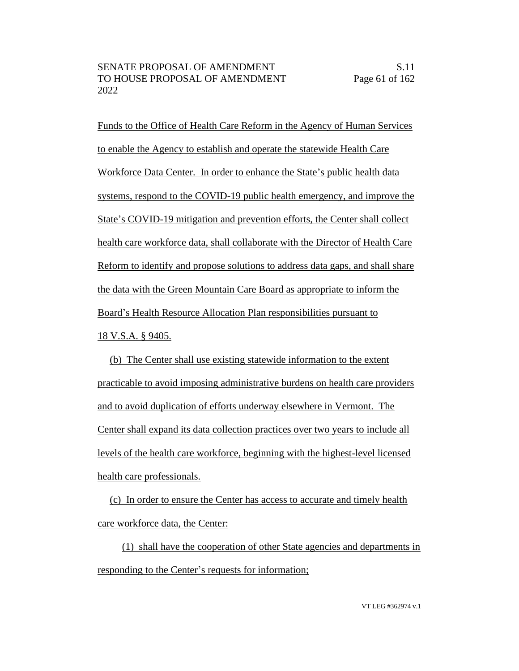Funds to the Office of Health Care Reform in the Agency of Human Services to enable the Agency to establish and operate the statewide Health Care Workforce Data Center. In order to enhance the State's public health data systems, respond to the COVID-19 public health emergency, and improve the State's COVID-19 mitigation and prevention efforts, the Center shall collect health care workforce data, shall collaborate with the Director of Health Care Reform to identify and propose solutions to address data gaps, and shall share the data with the Green Mountain Care Board as appropriate to inform the Board's Health Resource Allocation Plan responsibilities pursuant to 18 V.S.A. § 9405.

(b) The Center shall use existing statewide information to the extent practicable to avoid imposing administrative burdens on health care providers and to avoid duplication of efforts underway elsewhere in Vermont. The Center shall expand its data collection practices over two years to include all levels of the health care workforce, beginning with the highest-level licensed health care professionals.

(c) In order to ensure the Center has access to accurate and timely health care workforce data, the Center:

(1) shall have the cooperation of other State agencies and departments in responding to the Center's requests for information;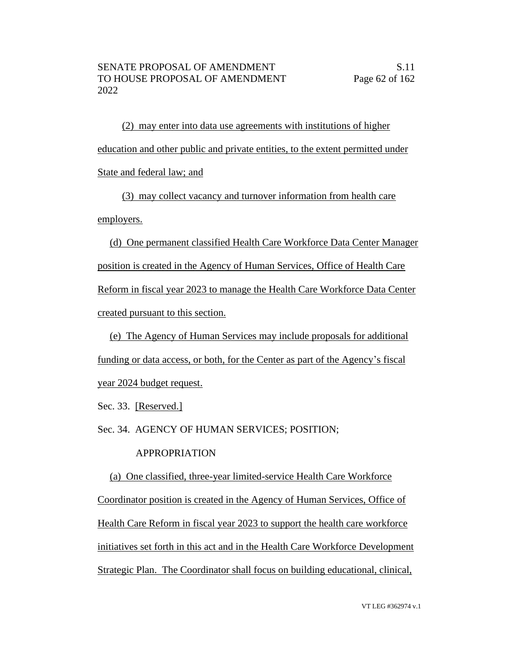(2) may enter into data use agreements with institutions of higher education and other public and private entities, to the extent permitted under State and federal law; and

(3) may collect vacancy and turnover information from health care employers.

(d) One permanent classified Health Care Workforce Data Center Manager position is created in the Agency of Human Services, Office of Health Care Reform in fiscal year 2023 to manage the Health Care Workforce Data Center created pursuant to this section.

(e) The Agency of Human Services may include proposals for additional funding or data access, or both, for the Center as part of the Agency's fiscal year 2024 budget request.

Sec. 33. [Reserved.]

Sec. 34. AGENCY OF HUMAN SERVICES; POSITION;

# APPROPRIATION

(a) One classified, three-year limited-service Health Care Workforce Coordinator position is created in the Agency of Human Services, Office of Health Care Reform in fiscal year 2023 to support the health care workforce initiatives set forth in this act and in the Health Care Workforce Development Strategic Plan. The Coordinator shall focus on building educational, clinical,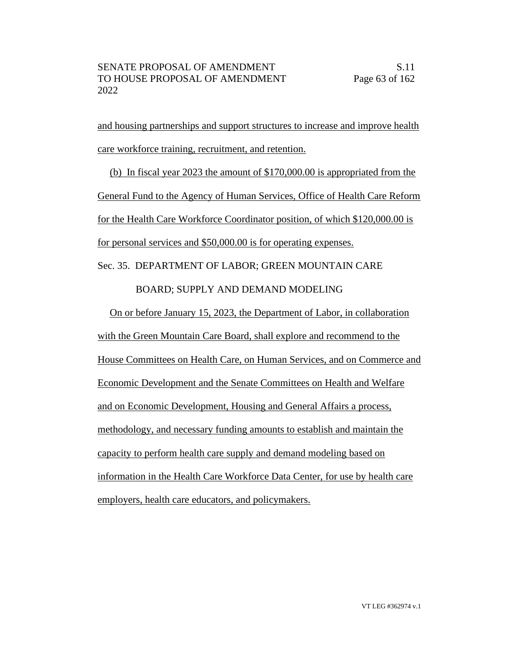and housing partnerships and support structures to increase and improve health care workforce training, recruitment, and retention.

(b) In fiscal year 2023 the amount of \$170,000.00 is appropriated from the General Fund to the Agency of Human Services, Office of Health Care Reform for the Health Care Workforce Coordinator position, of which \$120,000.00 is for personal services and \$50,000.00 is for operating expenses.

Sec. 35. DEPARTMENT OF LABOR; GREEN MOUNTAIN CARE

BOARD; SUPPLY AND DEMAND MODELING

On or before January 15, 2023, the Department of Labor, in collaboration with the Green Mountain Care Board, shall explore and recommend to the House Committees on Health Care, on Human Services, and on Commerce and Economic Development and the Senate Committees on Health and Welfare and on Economic Development, Housing and General Affairs a process, methodology, and necessary funding amounts to establish and maintain the capacity to perform health care supply and demand modeling based on information in the Health Care Workforce Data Center, for use by health care employers, health care educators, and policymakers.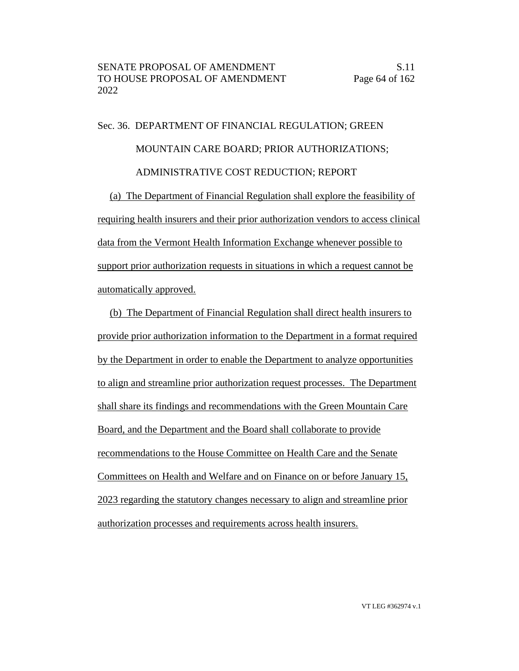# Sec. 36. DEPARTMENT OF FINANCIAL REGULATION; GREEN MOUNTAIN CARE BOARD; PRIOR AUTHORIZATIONS; ADMINISTRATIVE COST REDUCTION; REPORT

(a) The Department of Financial Regulation shall explore the feasibility of requiring health insurers and their prior authorization vendors to access clinical data from the Vermont Health Information Exchange whenever possible to support prior authorization requests in situations in which a request cannot be automatically approved.

(b) The Department of Financial Regulation shall direct health insurers to provide prior authorization information to the Department in a format required by the Department in order to enable the Department to analyze opportunities to align and streamline prior authorization request processes. The Department shall share its findings and recommendations with the Green Mountain Care Board, and the Department and the Board shall collaborate to provide recommendations to the House Committee on Health Care and the Senate Committees on Health and Welfare and on Finance on or before January 15, 2023 regarding the statutory changes necessary to align and streamline prior authorization processes and requirements across health insurers.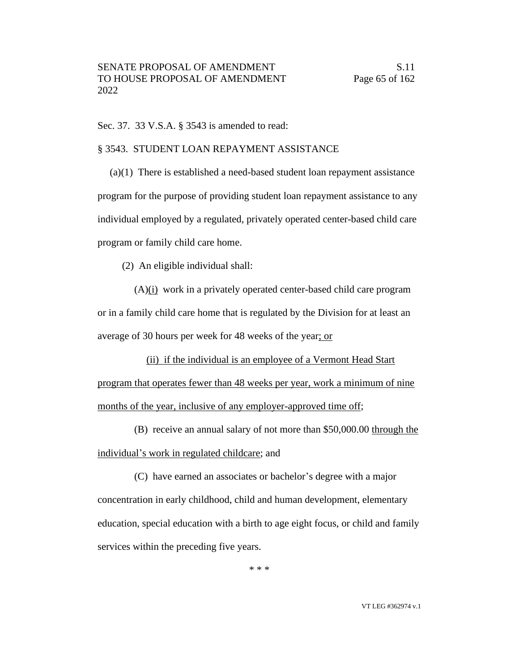Sec. 37. 33 V.S.A. § 3543 is amended to read:

# § 3543. STUDENT LOAN REPAYMENT ASSISTANCE

(a)(1) There is established a need-based student loan repayment assistance program for the purpose of providing student loan repayment assistance to any individual employed by a regulated, privately operated center-based child care program or family child care home.

(2) An eligible individual shall:

(A)(i) work in a privately operated center-based child care program or in a family child care home that is regulated by the Division for at least an average of 30 hours per week for 48 weeks of the year; or

(ii) if the individual is an employee of a Vermont Head Start program that operates fewer than 48 weeks per year, work a minimum of nine months of the year, inclusive of any employer-approved time off;

(B) receive an annual salary of not more than \$50,000.00 through the individual's work in regulated childcare; and

(C) have earned an associates or bachelor's degree with a major concentration in early childhood, child and human development, elementary education, special education with a birth to age eight focus, or child and family services within the preceding five years.

\* \* \*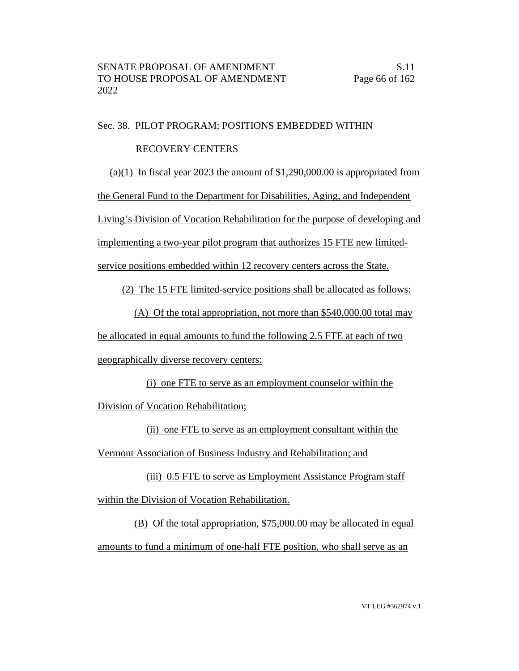#### Sec. 38. PILOT PROGRAM; POSITIONS EMBEDDED WITHIN

# RECOVERY CENTERS

(a)(1) In fiscal year 2023 the amount of  $$1,290,000.00$  is appropriated from

the General Fund to the Department for Disabilities, Aging, and Independent

Living's Division of Vocation Rehabilitation for the purpose of developing and

implementing a two-year pilot program that authorizes 15 FTE new limited-

service positions embedded within 12 recovery centers across the State.

(2) The 15 FTE limited-service positions shall be allocated as follows:

(A) Of the total appropriation, not more than \$540,000.00 total may be allocated in equal amounts to fund the following 2.5 FTE at each of two

geographically diverse recovery centers:

(i) one FTE to serve as an employment counselor within the

Division of Vocation Rehabilitation;

(ii) one FTE to serve as an employment consultant within the Vermont Association of Business Industry and Rehabilitation; and

(iii) 0.5 FTE to serve as Employment Assistance Program staff within the Division of Vocation Rehabilitation.

(B) Of the total appropriation, \$75,000.00 may be allocated in equal amounts to fund a minimum of one-half FTE position, who shall serve as an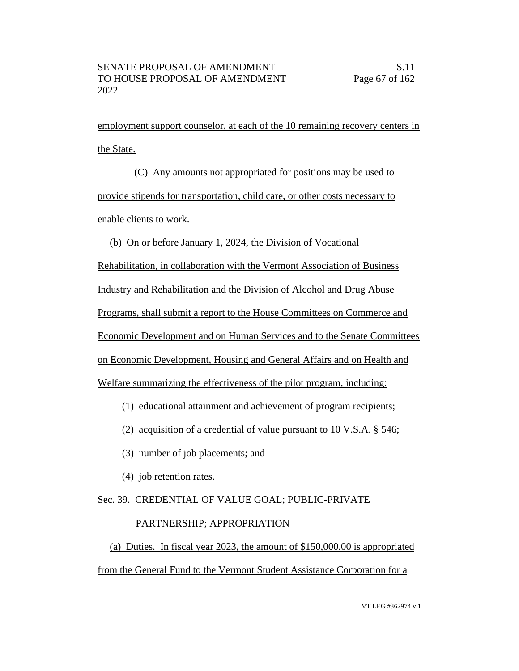employment support counselor, at each of the 10 remaining recovery centers in the State.

(C) Any amounts not appropriated for positions may be used to provide stipends for transportation, child care, or other costs necessary to enable clients to work.

(b) On or before January 1, 2024, the Division of Vocational

Rehabilitation, in collaboration with the Vermont Association of Business

Industry and Rehabilitation and the Division of Alcohol and Drug Abuse

Programs, shall submit a report to the House Committees on Commerce and

Economic Development and on Human Services and to the Senate Committees

on Economic Development, Housing and General Affairs and on Health and

Welfare summarizing the effectiveness of the pilot program, including:

(1) educational attainment and achievement of program recipients;

(2) acquisition of a credential of value pursuant to 10 V.S.A. § 546;

(3) number of job placements; and

(4) job retention rates.

# Sec. 39. CREDENTIAL OF VALUE GOAL; PUBLIC-PRIVATE

# PARTNERSHIP; APPROPRIATION

(a) Duties. In fiscal year 2023, the amount of \$150,000.00 is appropriated from the General Fund to the Vermont Student Assistance Corporation for a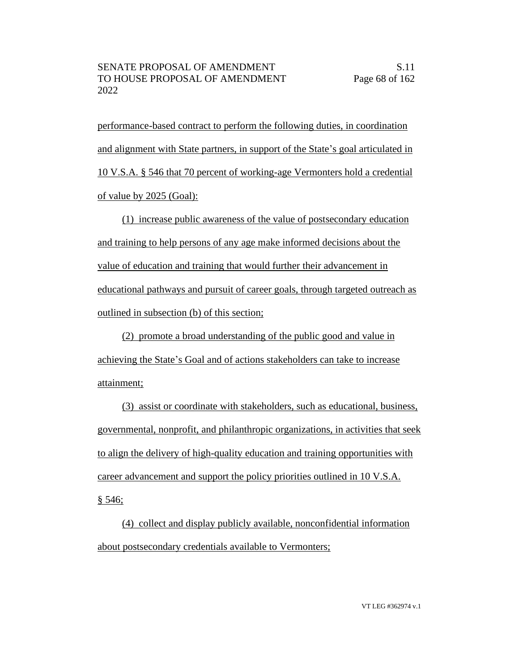performance-based contract to perform the following duties, in coordination and alignment with State partners, in support of the State's goal articulated in 10 V.S.A. § 546 that 70 percent of working-age Vermonters hold a credential of value by 2025 (Goal):

(1) increase public awareness of the value of postsecondary education and training to help persons of any age make informed decisions about the value of education and training that would further their advancement in educational pathways and pursuit of career goals, through targeted outreach as outlined in subsection (b) of this section;

(2) promote a broad understanding of the public good and value in achieving the State's Goal and of actions stakeholders can take to increase attainment;

(3) assist or coordinate with stakeholders, such as educational, business, governmental, nonprofit, and philanthropic organizations, in activities that seek to align the delivery of high-quality education and training opportunities with career advancement and support the policy priorities outlined in 10 V.S.A. § 546;

(4) collect and display publicly available, nonconfidential information about postsecondary credentials available to Vermonters;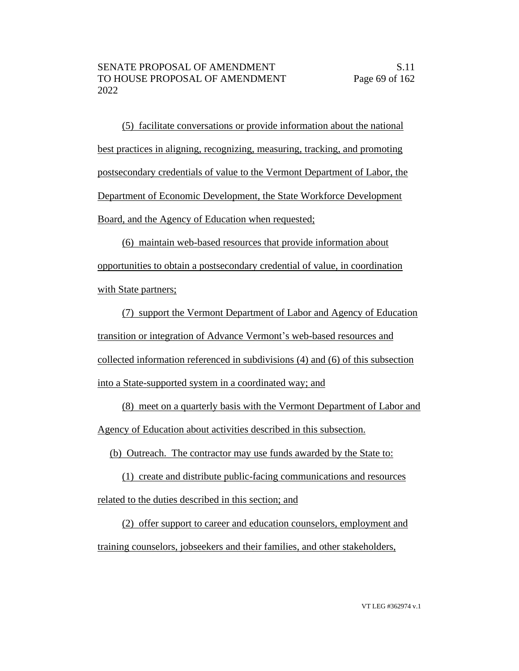(5) facilitate conversations or provide information about the national best practices in aligning, recognizing, measuring, tracking, and promoting postsecondary credentials of value to the Vermont Department of Labor, the Department of Economic Development, the State Workforce Development Board, and the Agency of Education when requested;

(6) maintain web-based resources that provide information about opportunities to obtain a postsecondary credential of value, in coordination with State partners;

(7) support the Vermont Department of Labor and Agency of Education transition or integration of Advance Vermont's web-based resources and collected information referenced in subdivisions (4) and (6) of this subsection into a State-supported system in a coordinated way; and

(8) meet on a quarterly basis with the Vermont Department of Labor and Agency of Education about activities described in this subsection.

(b) Outreach. The contractor may use funds awarded by the State to:

(1) create and distribute public-facing communications and resources related to the duties described in this section; and

(2) offer support to career and education counselors, employment and training counselors, jobseekers and their families, and other stakeholders,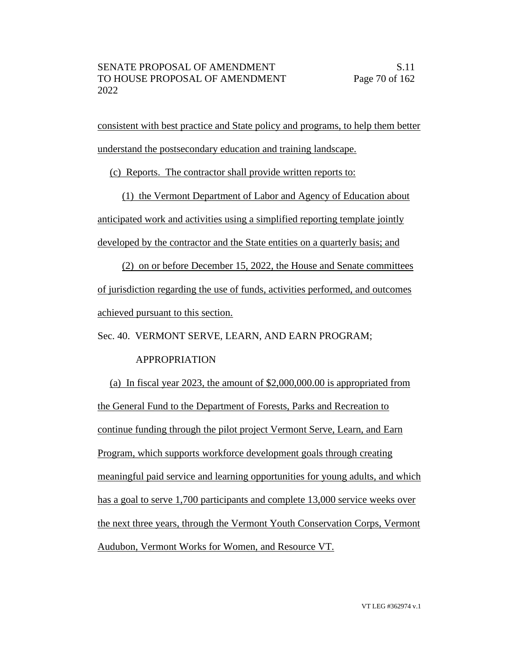consistent with best practice and State policy and programs, to help them better understand the postsecondary education and training landscape.

(c) Reports. The contractor shall provide written reports to:

(1) the Vermont Department of Labor and Agency of Education about anticipated work and activities using a simplified reporting template jointly developed by the contractor and the State entities on a quarterly basis; and

(2) on or before December 15, 2022, the House and Senate committees of jurisdiction regarding the use of funds, activities performed, and outcomes achieved pursuant to this section.

Sec. 40. VERMONT SERVE, LEARN, AND EARN PROGRAM;

# APPROPRIATION

(a) In fiscal year 2023, the amount of \$2,000,000.00 is appropriated from the General Fund to the Department of Forests, Parks and Recreation to continue funding through the pilot project Vermont Serve, Learn, and Earn Program, which supports workforce development goals through creating meaningful paid service and learning opportunities for young adults, and which has a goal to serve 1,700 participants and complete 13,000 service weeks over the next three years, through the Vermont Youth Conservation Corps, Vermont Audubon, Vermont Works for Women, and Resource VT.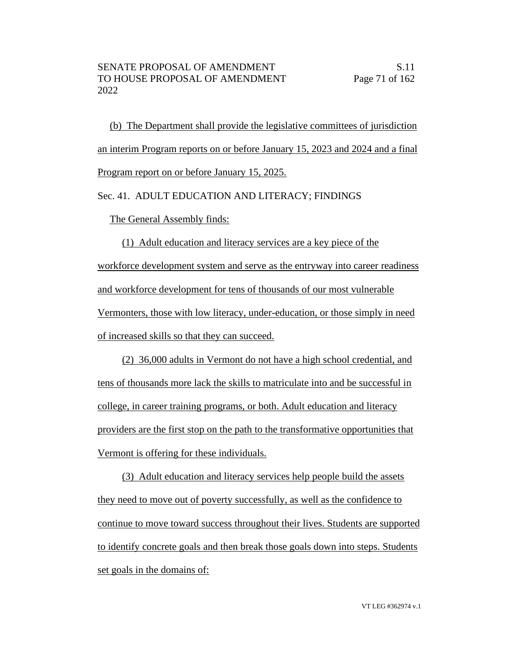(b) The Department shall provide the legislative committees of jurisdiction an interim Program reports on or before January 15, 2023 and 2024 and a final Program report on or before January 15, 2025.

Sec. 41. ADULT EDUCATION AND LITERACY; FINDINGS

The General Assembly finds:

(1) Adult education and literacy services are a key piece of the workforce development system and serve as the entryway into career readiness and workforce development for tens of thousands of our most vulnerable Vermonters, those with low literacy, under-education, or those simply in need of increased skills so that they can succeed.

(2) 36,000 adults in Vermont do not have a high school credential, and tens of thousands more lack the skills to matriculate into and be successful in college, in career training programs, or both. Adult education and literacy providers are the first stop on the path to the transformative opportunities that Vermont is offering for these individuals.

(3) Adult education and literacy services help people build the assets they need to move out of poverty successfully, as well as the confidence to continue to move toward success throughout their lives. Students are supported to identify concrete goals and then break those goals down into steps. Students set goals in the domains of: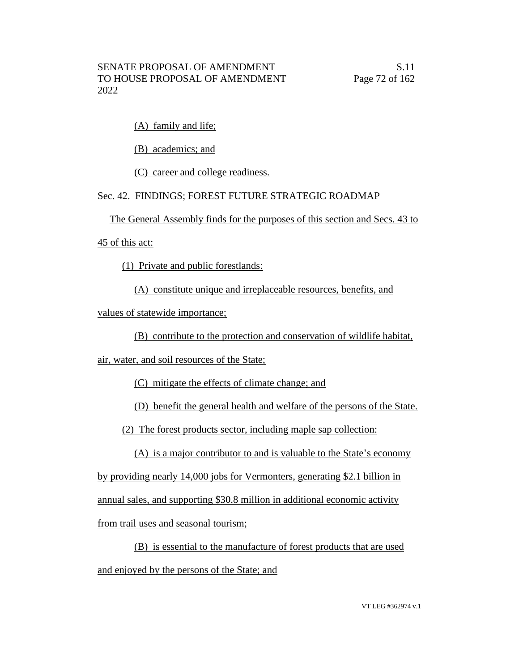(A) family and life;

(B) academics; and

(C) career and college readiness.

# Sec. 42. FINDINGS; FOREST FUTURE STRATEGIC ROADMAP

The General Assembly finds for the purposes of this section and Secs. 43 to

45 of this act:

(1) Private and public forestlands:

(A) constitute unique and irreplaceable resources, benefits, and

values of statewide importance;

(B) contribute to the protection and conservation of wildlife habitat,

air, water, and soil resources of the State;

(C) mitigate the effects of climate change; and

(D) benefit the general health and welfare of the persons of the State.

(2) The forest products sector, including maple sap collection:

(A) is a major contributor to and is valuable to the State's economy

by providing nearly 14,000 jobs for Vermonters, generating \$2.1 billion in

annual sales, and supporting \$30.8 million in additional economic activity

from trail uses and seasonal tourism;

(B) is essential to the manufacture of forest products that are used

and enjoyed by the persons of the State; and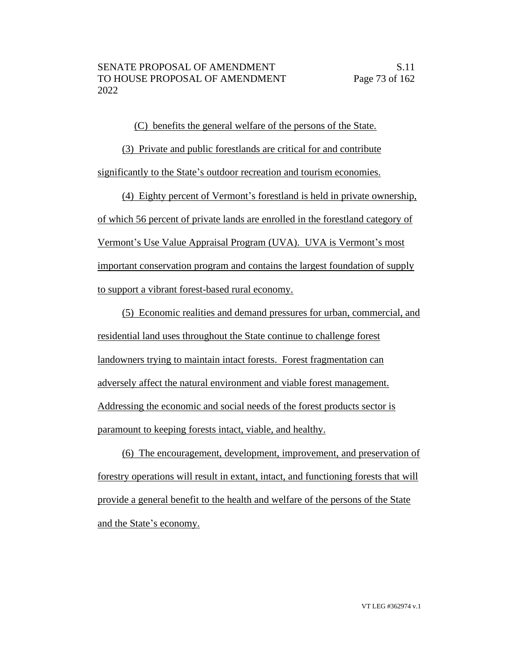(C) benefits the general welfare of the persons of the State.

(3) Private and public forestlands are critical for and contribute significantly to the State's outdoor recreation and tourism economies.

(4) Eighty percent of Vermont's forestland is held in private ownership, of which 56 percent of private lands are enrolled in the forestland category of Vermont's Use Value Appraisal Program (UVA). UVA is Vermont's most important conservation program and contains the largest foundation of supply to support a vibrant forest-based rural economy.

(5) Economic realities and demand pressures for urban, commercial, and residential land uses throughout the State continue to challenge forest landowners trying to maintain intact forests. Forest fragmentation can adversely affect the natural environment and viable forest management. Addressing the economic and social needs of the forest products sector is paramount to keeping forests intact, viable, and healthy.

(6) The encouragement, development, improvement, and preservation of forestry operations will result in extant, intact, and functioning forests that will provide a general benefit to the health and welfare of the persons of the State and the State's economy.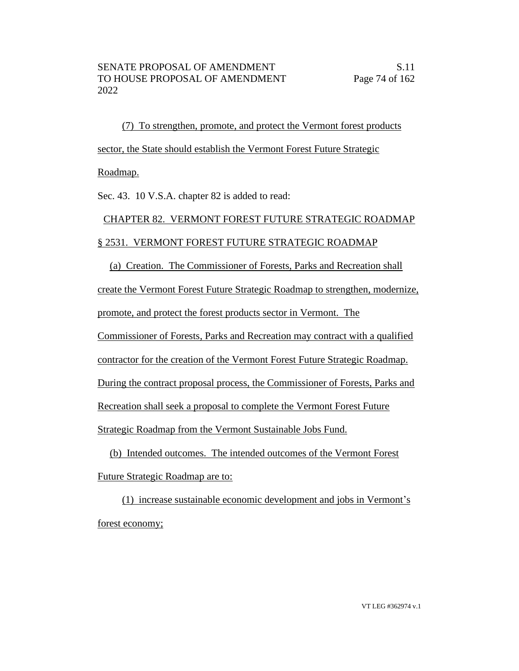(7) To strengthen, promote, and protect the Vermont forest products sector, the State should establish the Vermont Forest Future Strategic Roadmap.

Sec. 43. 10 V.S.A. chapter 82 is added to read:

## CHAPTER 82. VERMONT FOREST FUTURE STRATEGIC ROADMAP § 2531. VERMONT FOREST FUTURE STRATEGIC ROADMAP

(a) Creation. The Commissioner of Forests, Parks and Recreation shall create the Vermont Forest Future Strategic Roadmap to strengthen, modernize, promote, and protect the forest products sector in Vermont. The Commissioner of Forests, Parks and Recreation may contract with a qualified contractor for the creation of the Vermont Forest Future Strategic Roadmap. During the contract proposal process, the Commissioner of Forests, Parks and Recreation shall seek a proposal to complete the Vermont Forest Future Strategic Roadmap from the Vermont Sustainable Jobs Fund.

(b) Intended outcomes. The intended outcomes of the Vermont Forest Future Strategic Roadmap are to:

(1) increase sustainable economic development and jobs in Vermont's forest economy;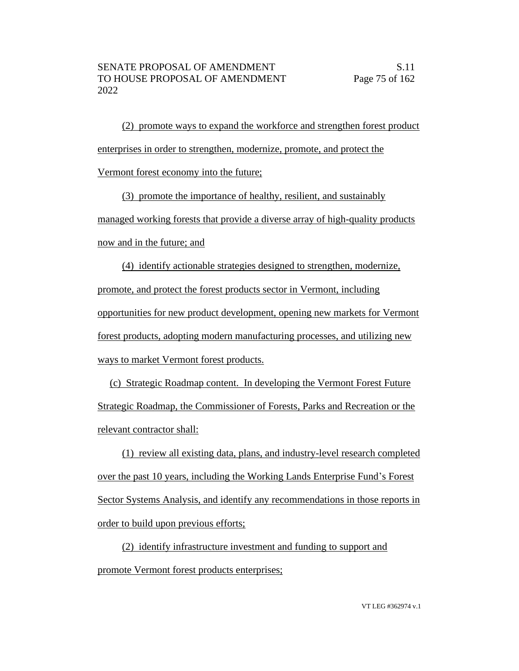(2) promote ways to expand the workforce and strengthen forest product enterprises in order to strengthen, modernize, promote, and protect the Vermont forest economy into the future;

(3) promote the importance of healthy, resilient, and sustainably managed working forests that provide a diverse array of high-quality products now and in the future; and

(4) identify actionable strategies designed to strengthen, modernize, promote, and protect the forest products sector in Vermont, including opportunities for new product development, opening new markets for Vermont forest products, adopting modern manufacturing processes, and utilizing new ways to market Vermont forest products.

(c) Strategic Roadmap content. In developing the Vermont Forest Future Strategic Roadmap, the Commissioner of Forests, Parks and Recreation or the relevant contractor shall:

(1) review all existing data, plans, and industry-level research completed over the past 10 years, including the Working Lands Enterprise Fund's Forest Sector Systems Analysis, and identify any recommendations in those reports in order to build upon previous efforts;

(2) identify infrastructure investment and funding to support and promote Vermont forest products enterprises;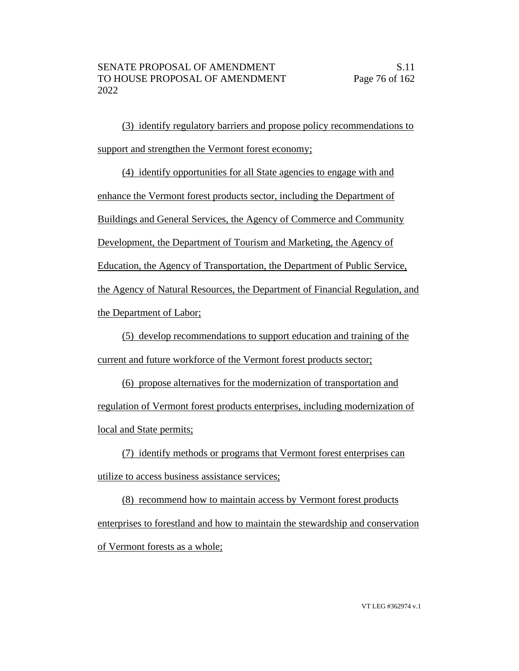(3) identify regulatory barriers and propose policy recommendations to support and strengthen the Vermont forest economy;

(4) identify opportunities for all State agencies to engage with and enhance the Vermont forest products sector, including the Department of Buildings and General Services, the Agency of Commerce and Community Development, the Department of Tourism and Marketing, the Agency of Education, the Agency of Transportation, the Department of Public Service, the Agency of Natural Resources, the Department of Financial Regulation, and the Department of Labor;

(5) develop recommendations to support education and training of the current and future workforce of the Vermont forest products sector;

(6) propose alternatives for the modernization of transportation and regulation of Vermont forest products enterprises, including modernization of local and State permits;

(7) identify methods or programs that Vermont forest enterprises can utilize to access business assistance services;

(8) recommend how to maintain access by Vermont forest products enterprises to forestland and how to maintain the stewardship and conservation of Vermont forests as a whole;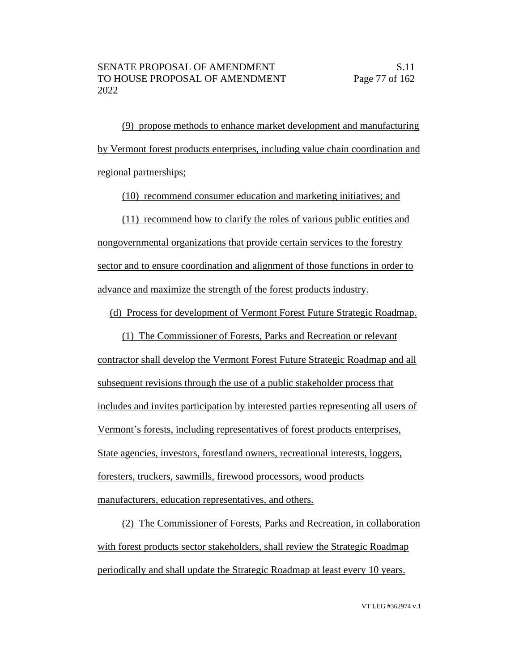(9) propose methods to enhance market development and manufacturing by Vermont forest products enterprises, including value chain coordination and regional partnerships;

(10) recommend consumer education and marketing initiatives; and

(11) recommend how to clarify the roles of various public entities and nongovernmental organizations that provide certain services to the forestry sector and to ensure coordination and alignment of those functions in order to advance and maximize the strength of the forest products industry.

(d) Process for development of Vermont Forest Future Strategic Roadmap.

(1) The Commissioner of Forests, Parks and Recreation or relevant contractor shall develop the Vermont Forest Future Strategic Roadmap and all subsequent revisions through the use of a public stakeholder process that includes and invites participation by interested parties representing all users of Vermont's forests, including representatives of forest products enterprises, State agencies, investors, forestland owners, recreational interests, loggers, foresters, truckers, sawmills, firewood processors, wood products manufacturers, education representatives, and others.

(2) The Commissioner of Forests, Parks and Recreation, in collaboration with forest products sector stakeholders, shall review the Strategic Roadmap periodically and shall update the Strategic Roadmap at least every 10 years.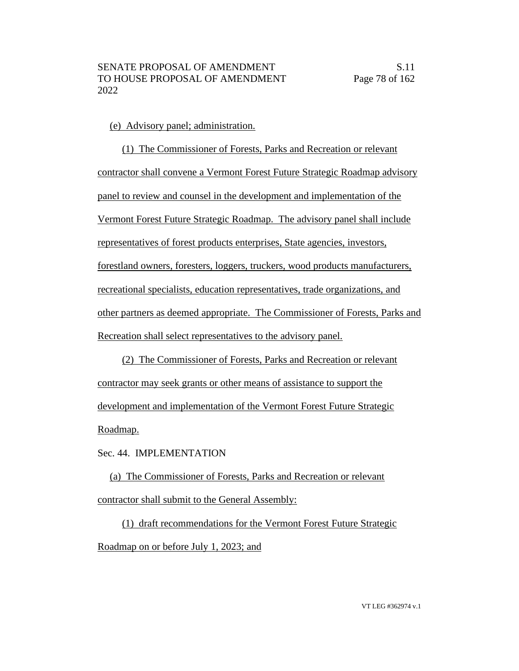#### (e) Advisory panel; administration.

(1) The Commissioner of Forests, Parks and Recreation or relevant contractor shall convene a Vermont Forest Future Strategic Roadmap advisory panel to review and counsel in the development and implementation of the Vermont Forest Future Strategic Roadmap. The advisory panel shall include representatives of forest products enterprises, State agencies, investors, forestland owners, foresters, loggers, truckers, wood products manufacturers, recreational specialists, education representatives, trade organizations, and other partners as deemed appropriate. The Commissioner of Forests, Parks and Recreation shall select representatives to the advisory panel.

(2) The Commissioner of Forests, Parks and Recreation or relevant contractor may seek grants or other means of assistance to support the development and implementation of the Vermont Forest Future Strategic Roadmap.

Sec. 44. IMPLEMENTATION

(a) The Commissioner of Forests, Parks and Recreation or relevant contractor shall submit to the General Assembly:

(1) draft recommendations for the Vermont Forest Future Strategic Roadmap on or before July 1, 2023; and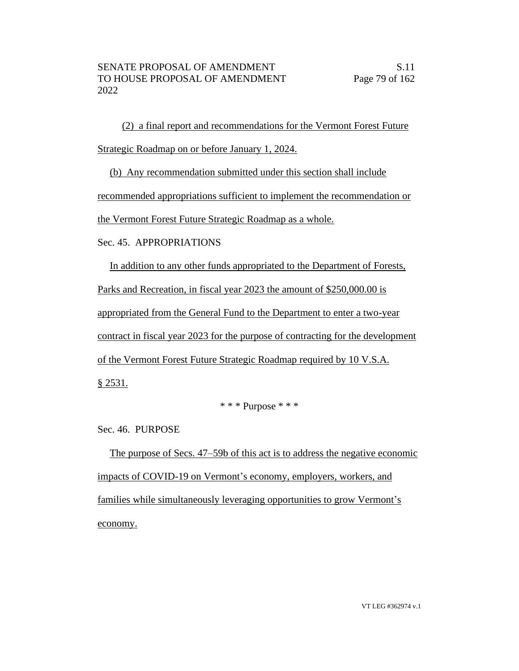(2) a final report and recommendations for the Vermont Forest Future Strategic Roadmap on or before January 1, 2024.

(b) Any recommendation submitted under this section shall include

recommended appropriations sufficient to implement the recommendation or

the Vermont Forest Future Strategic Roadmap as a whole.

#### Sec. 45. APPROPRIATIONS

In addition to any other funds appropriated to the Department of Forests,

Parks and Recreation, in fiscal year 2023 the amount of \$250,000.00 is

appropriated from the General Fund to the Department to enter a two-year

contract in fiscal year 2023 for the purpose of contracting for the development

of the Vermont Forest Future Strategic Roadmap required by 10 V.S.A.

§ 2531.

#### \* \* \* Purpose \* \* \*

Sec. 46. PURPOSE

The purpose of Secs. 47–59b of this act is to address the negative economic impacts of COVID-19 on Vermont's economy, employers, workers, and families while simultaneously leveraging opportunities to grow Vermont's economy.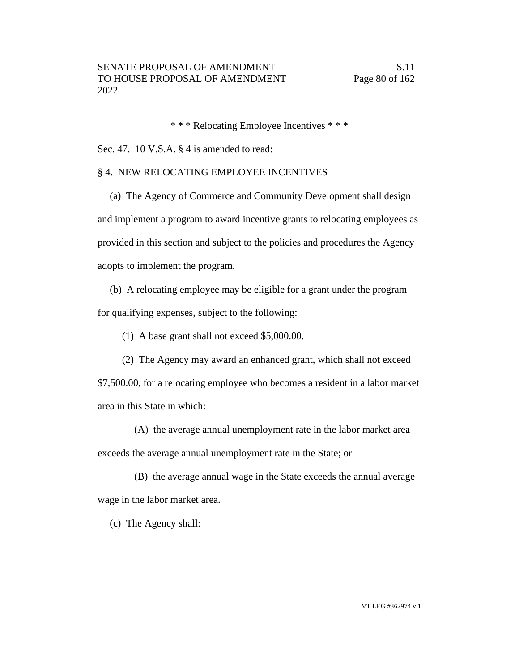\* \* \* Relocating Employee Incentives \* \* \*

Sec. 47. 10 V.S.A. § 4 is amended to read:

#### § 4. NEW RELOCATING EMPLOYEE INCENTIVES

(a) The Agency of Commerce and Community Development shall design and implement a program to award incentive grants to relocating employees as provided in this section and subject to the policies and procedures the Agency adopts to implement the program.

(b) A relocating employee may be eligible for a grant under the program for qualifying expenses, subject to the following:

(1) A base grant shall not exceed \$5,000.00.

(2) The Agency may award an enhanced grant, which shall not exceed

\$7,500.00, for a relocating employee who becomes a resident in a labor market area in this State in which:

(A) the average annual unemployment rate in the labor market area exceeds the average annual unemployment rate in the State; or

(B) the average annual wage in the State exceeds the annual average wage in the labor market area.

(c) The Agency shall: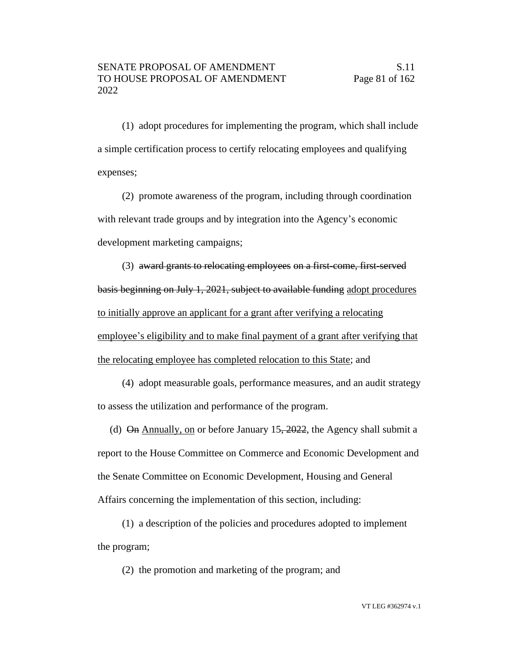(1) adopt procedures for implementing the program, which shall include a simple certification process to certify relocating employees and qualifying expenses;

(2) promote awareness of the program, including through coordination with relevant trade groups and by integration into the Agency's economic development marketing campaigns;

(3) award grants to relocating employees on a first-come, first-served basis beginning on July 1, 2021, subject to available funding adopt procedures to initially approve an applicant for a grant after verifying a relocating employee's eligibility and to make final payment of a grant after verifying that the relocating employee has completed relocation to this State; and

(4) adopt measurable goals, performance measures, and an audit strategy to assess the utilization and performance of the program.

(d)  $\Theta$ n Annually, on or before January 15, 2022, the Agency shall submit a report to the House Committee on Commerce and Economic Development and the Senate Committee on Economic Development, Housing and General Affairs concerning the implementation of this section, including:

(1) a description of the policies and procedures adopted to implement the program;

(2) the promotion and marketing of the program; and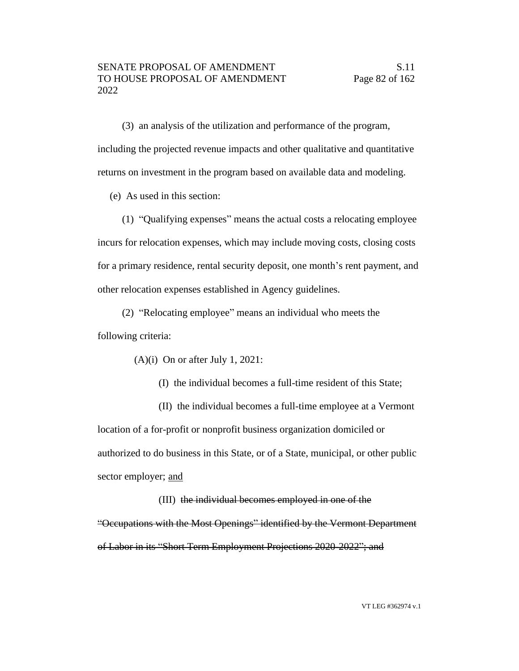(3) an analysis of the utilization and performance of the program, including the projected revenue impacts and other qualitative and quantitative returns on investment in the program based on available data and modeling.

(e) As used in this section:

(1) "Qualifying expenses" means the actual costs a relocating employee incurs for relocation expenses, which may include moving costs, closing costs for a primary residence, rental security deposit, one month's rent payment, and other relocation expenses established in Agency guidelines.

(2) "Relocating employee" means an individual who meets the following criteria:

(A)(i) On or after July 1, 2021:

(I) the individual becomes a full-time resident of this State;

(II) the individual becomes a full-time employee at a Vermont location of a for-profit or nonprofit business organization domiciled or authorized to do business in this State, or of a State, municipal, or other public sector employer; and

(III) the individual becomes employed in one of the "Occupations with the Most Openings" identified by the Vermont Department of Labor in its "Short Term Employment Projections 2020-2022"; and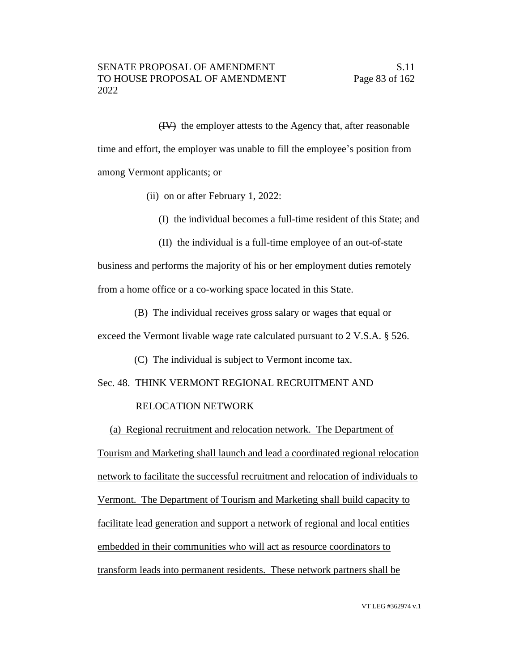(IV) the employer attests to the Agency that, after reasonable time and effort, the employer was unable to fill the employee's position from among Vermont applicants; or

- (ii) on or after February 1, 2022:
	- (I) the individual becomes a full-time resident of this State; and
	- (II) the individual is a full-time employee of an out-of-state

business and performs the majority of his or her employment duties remotely from a home office or a co-working space located in this State.

(B) The individual receives gross salary or wages that equal or

exceed the Vermont livable wage rate calculated pursuant to 2 V.S.A. § 526.

(C) The individual is subject to Vermont income tax.

Sec. 48. THINK VERMONT REGIONAL RECRUITMENT AND

#### RELOCATION NETWORK

(a) Regional recruitment and relocation network. The Department of Tourism and Marketing shall launch and lead a coordinated regional relocation network to facilitate the successful recruitment and relocation of individuals to Vermont. The Department of Tourism and Marketing shall build capacity to facilitate lead generation and support a network of regional and local entities embedded in their communities who will act as resource coordinators to transform leads into permanent residents. These network partners shall be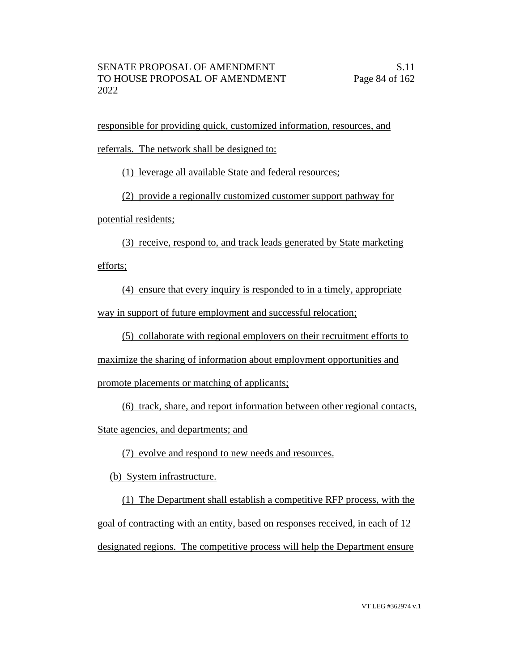responsible for providing quick, customized information, resources, and

referrals. The network shall be designed to:

(1) leverage all available State and federal resources;

(2) provide a regionally customized customer support pathway for

potential residents;

(3) receive, respond to, and track leads generated by State marketing

efforts;

(4) ensure that every inquiry is responded to in a timely, appropriate way in support of future employment and successful relocation;

(5) collaborate with regional employers on their recruitment efforts to

maximize the sharing of information about employment opportunities and

promote placements or matching of applicants;

(6) track, share, and report information between other regional contacts,

State agencies, and departments; and

(7) evolve and respond to new needs and resources.

(b) System infrastructure.

(1) The Department shall establish a competitive RFP process, with the goal of contracting with an entity, based on responses received, in each of 12 designated regions. The competitive process will help the Department ensure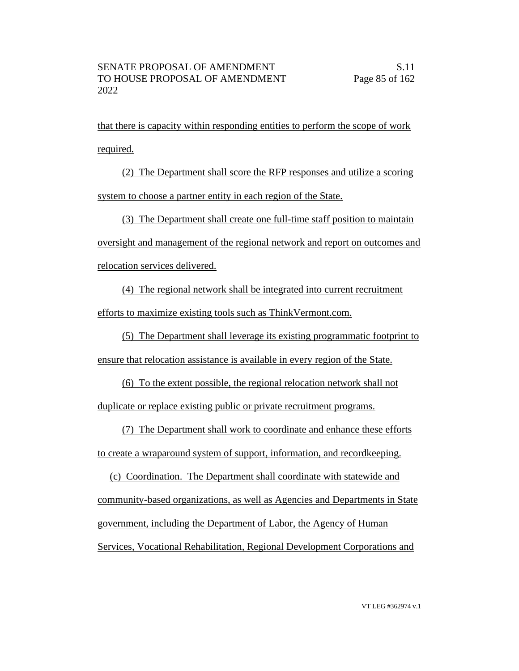that there is capacity within responding entities to perform the scope of work required.

(2) The Department shall score the RFP responses and utilize a scoring system to choose a partner entity in each region of the State.

(3) The Department shall create one full-time staff position to maintain oversight and management of the regional network and report on outcomes and relocation services delivered.

(4) The regional network shall be integrated into current recruitment efforts to maximize existing tools such as ThinkVermont.com.

(5) The Department shall leverage its existing programmatic footprint to ensure that relocation assistance is available in every region of the State.

(6) To the extent possible, the regional relocation network shall not duplicate or replace existing public or private recruitment programs.

(7) The Department shall work to coordinate and enhance these efforts to create a wraparound system of support, information, and recordkeeping.

(c) Coordination. The Department shall coordinate with statewide and community-based organizations, as well as Agencies and Departments in State government, including the Department of Labor, the Agency of Human Services, Vocational Rehabilitation, Regional Development Corporations and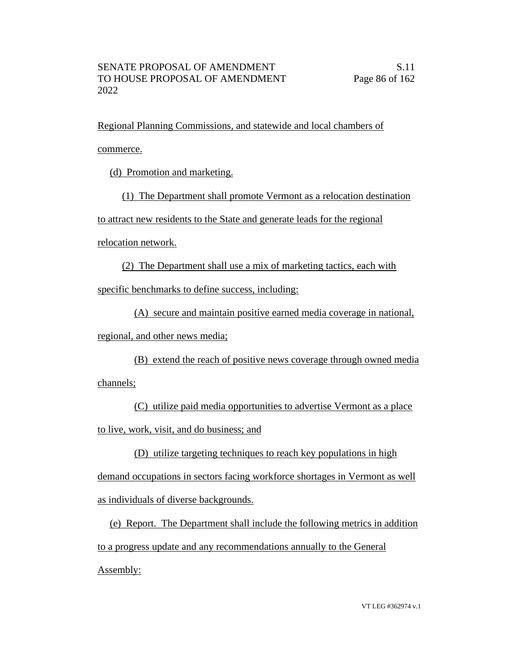Regional Planning Commissions, and statewide and local chambers of commerce.

(d) Promotion and marketing.

(1) The Department shall promote Vermont as a relocation destination

to attract new residents to the State and generate leads for the regional

relocation network.

(2) The Department shall use a mix of marketing tactics, each with

specific benchmarks to define success, including:

(A) secure and maintain positive earned media coverage in national, regional, and other news media;

(B) extend the reach of positive news coverage through owned media channels;

(C) utilize paid media opportunities to advertise Vermont as a place to live, work, visit, and do business; and

(D) utilize targeting techniques to reach key populations in high

demand occupations in sectors facing workforce shortages in Vermont as well as individuals of diverse backgrounds.

(e) Report. The Department shall include the following metrics in addition to a progress update and any recommendations annually to the General Assembly: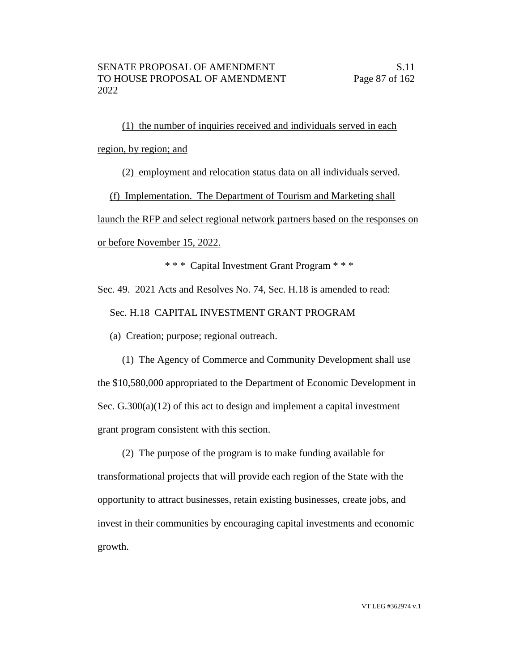(1) the number of inquiries received and individuals served in each region, by region; and

(2) employment and relocation status data on all individuals served.

(f) Implementation. The Department of Tourism and Marketing shall

launch the RFP and select regional network partners based on the responses on or before November 15, 2022.

\* \* \* Capital Investment Grant Program \* \* \*

Sec. 49. 2021 Acts and Resolves No. 74, Sec. H.18 is amended to read:

Sec. H.18 CAPITAL INVESTMENT GRANT PROGRAM

(a) Creation; purpose; regional outreach.

(1) The Agency of Commerce and Community Development shall use the \$10,580,000 appropriated to the Department of Economic Development in Sec. G.300(a)(12) of this act to design and implement a capital investment grant program consistent with this section.

(2) The purpose of the program is to make funding available for transformational projects that will provide each region of the State with the opportunity to attract businesses, retain existing businesses, create jobs, and invest in their communities by encouraging capital investments and economic growth.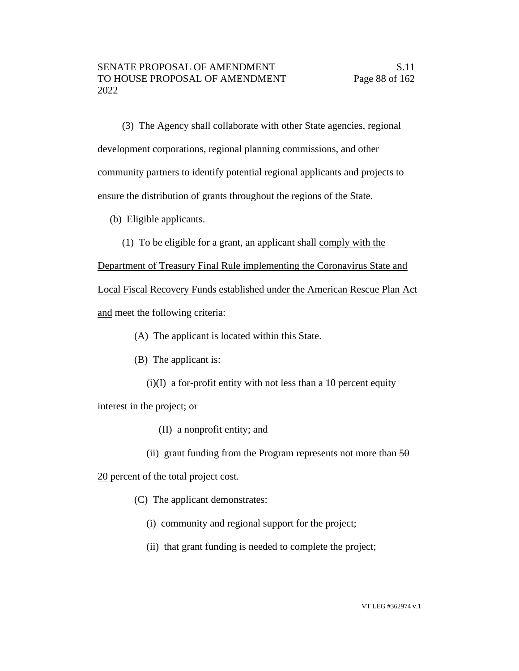(3) The Agency shall collaborate with other State agencies, regional development corporations, regional planning commissions, and other community partners to identify potential regional applicants and projects to ensure the distribution of grants throughout the regions of the State.

- (b) Eligible applicants.
	- (1) To be eligible for a grant, an applicant shall comply with the

Department of Treasury Final Rule implementing the Coronavirus State and Local Fiscal Recovery Funds established under the American Rescue Plan Act and meet the following criteria:

- (A) The applicant is located within this State.
- (B) The applicant is:
	- $(i)(I)$  a for-profit entity with not less than a 10 percent equity

interest in the project; or

- (II) a nonprofit entity; and
- (ii) grant funding from the Program represents not more than  $50$

20 percent of the total project cost.

(C) The applicant demonstrates:

- (i) community and regional support for the project;
- (ii) that grant funding is needed to complete the project;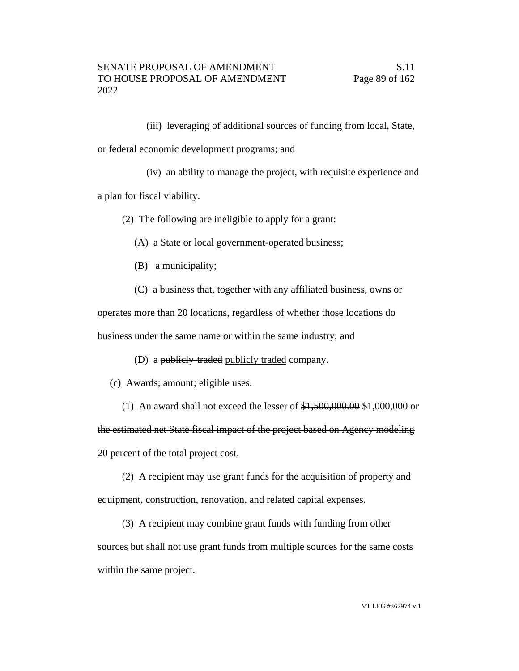(iii) leveraging of additional sources of funding from local, State, or federal economic development programs; and

(iv) an ability to manage the project, with requisite experience and a plan for fiscal viability.

(2) The following are ineligible to apply for a grant:

(A) a State or local government-operated business;

(B) a municipality;

(C) a business that, together with any affiliated business, owns or

operates more than 20 locations, regardless of whether those locations do business under the same name or within the same industry; and

(D) a publicly-traded publicly traded company.

(c) Awards; amount; eligible uses.

(1) An award shall not exceed the lesser of \$1,500,000.00 \$1,000,000 or the estimated net State fiscal impact of the project based on Agency modeling 20 percent of the total project cost.

(2) A recipient may use grant funds for the acquisition of property and

equipment, construction, renovation, and related capital expenses.

(3) A recipient may combine grant funds with funding from other sources but shall not use grant funds from multiple sources for the same costs within the same project.

VT LEG #362974 v.1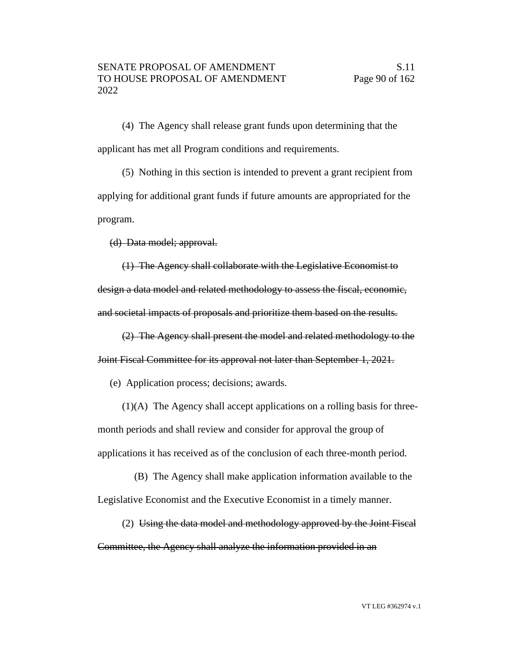(4) The Agency shall release grant funds upon determining that the applicant has met all Program conditions and requirements.

(5) Nothing in this section is intended to prevent a grant recipient from applying for additional grant funds if future amounts are appropriated for the program.

(d) Data model; approval.

(1) The Agency shall collaborate with the Legislative Economist to design a data model and related methodology to assess the fiscal, economic, and societal impacts of proposals and prioritize them based on the results.

(2) The Agency shall present the model and related methodology to the Joint Fiscal Committee for its approval not later than September 1, 2021.

(e) Application process; decisions; awards.

(1)(A) The Agency shall accept applications on a rolling basis for threemonth periods and shall review and consider for approval the group of applications it has received as of the conclusion of each three-month period.

(B) The Agency shall make application information available to the Legislative Economist and the Executive Economist in a timely manner.

(2) Using the data model and methodology approved by the Joint Fiscal Committee, the Agency shall analyze the information provided in an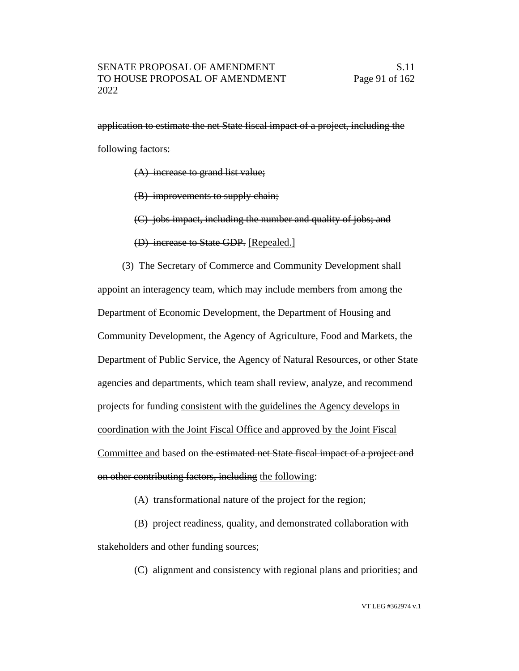application to estimate the net State fiscal impact of a project, including the following factors:

- (A) increase to grand list value;
- (B) improvements to supply chain;
- (C) jobs impact, including the number and quality of jobs; and
- (D) increase to State GDP. [Repealed.]

(3) The Secretary of Commerce and Community Development shall appoint an interagency team, which may include members from among the Department of Economic Development, the Department of Housing and Community Development, the Agency of Agriculture, Food and Markets, the Department of Public Service, the Agency of Natural Resources, or other State agencies and departments, which team shall review, analyze, and recommend projects for funding consistent with the guidelines the Agency develops in coordination with the Joint Fiscal Office and approved by the Joint Fiscal Committee and based on the estimated net State fiscal impact of a project and on other contributing factors, including the following:

(A) transformational nature of the project for the region;

(B) project readiness, quality, and demonstrated collaboration with stakeholders and other funding sources;

(C) alignment and consistency with regional plans and priorities; and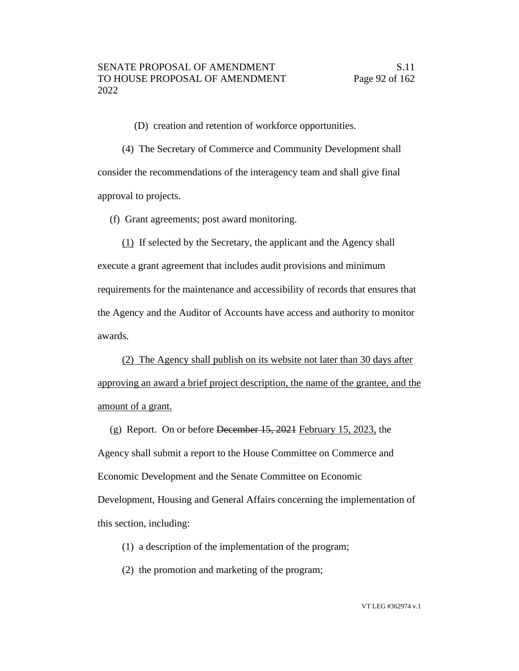(D) creation and retention of workforce opportunities.

(4) The Secretary of Commerce and Community Development shall consider the recommendations of the interagency team and shall give final approval to projects.

(f) Grant agreements; post award monitoring.

(1) If selected by the Secretary, the applicant and the Agency shall execute a grant agreement that includes audit provisions and minimum requirements for the maintenance and accessibility of records that ensures that the Agency and the Auditor of Accounts have access and authority to monitor awards.

(2) The Agency shall publish on its website not later than 30 days after approving an award a brief project description, the name of the grantee, and the amount of a grant.

(g) Report. On or before December 15, 2021 February 15, 2023, the Agency shall submit a report to the House Committee on Commerce and Economic Development and the Senate Committee on Economic Development, Housing and General Affairs concerning the implementation of this section, including:

(1) a description of the implementation of the program;

(2) the promotion and marketing of the program;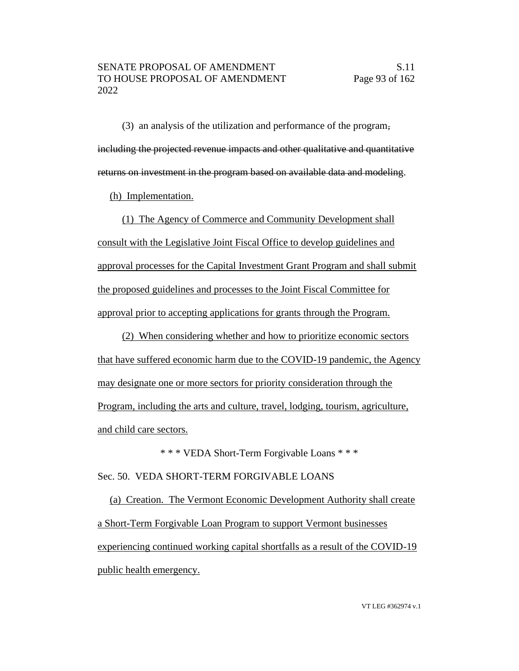(3) an analysis of the utilization and performance of the program, including the projected revenue impacts and other qualitative and quantitative returns on investment in the program based on available data and modeling.

(h) Implementation.

(1) The Agency of Commerce and Community Development shall consult with the Legislative Joint Fiscal Office to develop guidelines and approval processes for the Capital Investment Grant Program and shall submit the proposed guidelines and processes to the Joint Fiscal Committee for approval prior to accepting applications for grants through the Program.

(2) When considering whether and how to prioritize economic sectors that have suffered economic harm due to the COVID-19 pandemic, the Agency may designate one or more sectors for priority consideration through the Program, including the arts and culture, travel, lodging, tourism, agriculture, and child care sectors.

\* \* \* VEDA Short-Term Forgivable Loans \* \* \*

Sec. 50. VEDA SHORT-TERM FORGIVABLE LOANS

(a) Creation. The Vermont Economic Development Authority shall create a Short-Term Forgivable Loan Program to support Vermont businesses experiencing continued working capital shortfalls as a result of the COVID-19 public health emergency.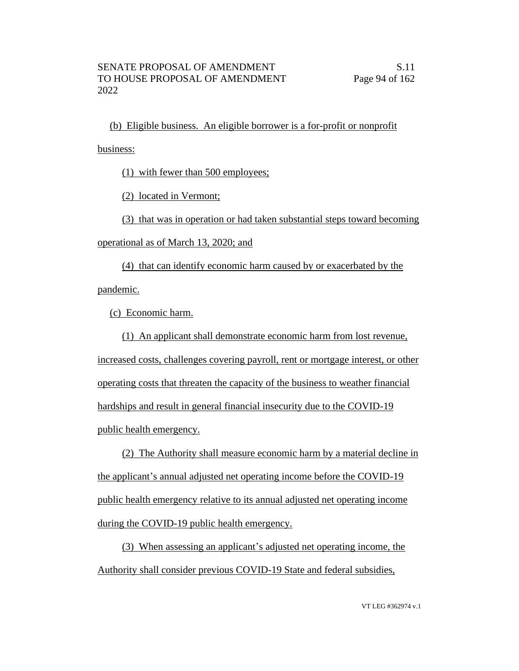(b) Eligible business. An eligible borrower is a for-profit or nonprofit

business:

(1) with fewer than 500 employees;

(2) located in Vermont;

(3) that was in operation or had taken substantial steps toward becoming

operational as of March 13, 2020; and

(4) that can identify economic harm caused by or exacerbated by the pandemic.

(c) Economic harm.

(1) An applicant shall demonstrate economic harm from lost revenue, increased costs, challenges covering payroll, rent or mortgage interest, or other operating costs that threaten the capacity of the business to weather financial hardships and result in general financial insecurity due to the COVID-19 public health emergency.

(2) The Authority shall measure economic harm by a material decline in the applicant's annual adjusted net operating income before the COVID-19 public health emergency relative to its annual adjusted net operating income during the COVID-19 public health emergency.

(3) When assessing an applicant's adjusted net operating income, the Authority shall consider previous COVID-19 State and federal subsidies,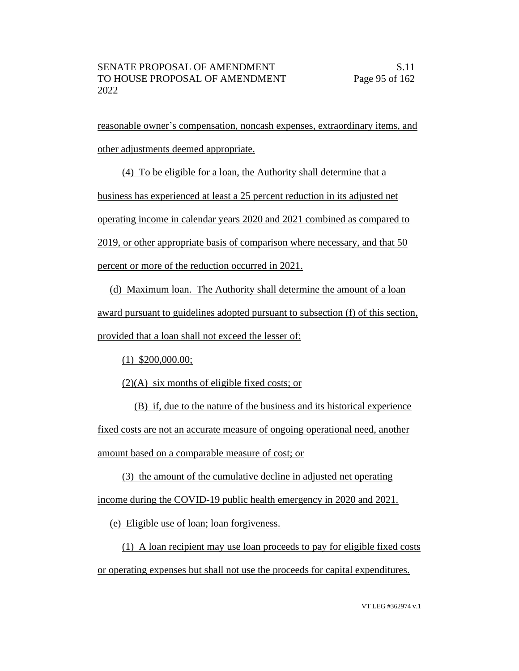reasonable owner's compensation, noncash expenses, extraordinary items, and other adjustments deemed appropriate.

(4) To be eligible for a loan, the Authority shall determine that a business has experienced at least a 25 percent reduction in its adjusted net operating income in calendar years 2020 and 2021 combined as compared to 2019, or other appropriate basis of comparison where necessary, and that 50 percent or more of the reduction occurred in 2021.

(d) Maximum loan. The Authority shall determine the amount of a loan award pursuant to guidelines adopted pursuant to subsection (f) of this section, provided that a loan shall not exceed the lesser of:

(1) \$200,000.00;

(2)(A) six months of eligible fixed costs; or

(B) if, due to the nature of the business and its historical experience fixed costs are not an accurate measure of ongoing operational need, another amount based on a comparable measure of cost; or

(3) the amount of the cumulative decline in adjusted net operating income during the COVID-19 public health emergency in 2020 and 2021.

(e) Eligible use of loan; loan forgiveness.

(1) A loan recipient may use loan proceeds to pay for eligible fixed costs or operating expenses but shall not use the proceeds for capital expenditures.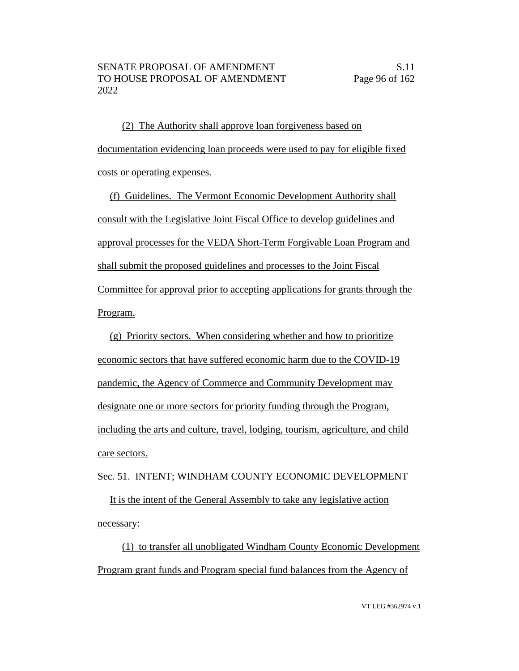(2) The Authority shall approve loan forgiveness based on documentation evidencing loan proceeds were used to pay for eligible fixed costs or operating expenses.

(f) Guidelines. The Vermont Economic Development Authority shall consult with the Legislative Joint Fiscal Office to develop guidelines and approval processes for the VEDA Short-Term Forgivable Loan Program and shall submit the proposed guidelines and processes to the Joint Fiscal Committee for approval prior to accepting applications for grants through the Program.

(g) Priority sectors. When considering whether and how to prioritize economic sectors that have suffered economic harm due to the COVID-19 pandemic, the Agency of Commerce and Community Development may designate one or more sectors for priority funding through the Program, including the arts and culture, travel, lodging, tourism, agriculture, and child care sectors.

Sec. 51. INTENT; WINDHAM COUNTY ECONOMIC DEVELOPMENT

It is the intent of the General Assembly to take any legislative action necessary:

(1) to transfer all unobligated Windham County Economic Development Program grant funds and Program special fund balances from the Agency of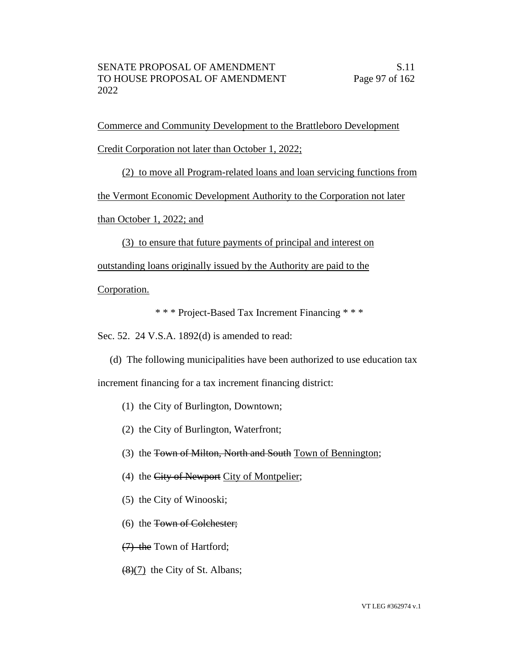Commerce and Community Development to the Brattleboro Development Credit Corporation not later than October 1, 2022;

(2) to move all Program-related loans and loan servicing functions from

the Vermont Economic Development Authority to the Corporation not later

than October 1, 2022; and

(3) to ensure that future payments of principal and interest on

outstanding loans originally issued by the Authority are paid to the

Corporation.

\* \* \* Project-Based Tax Increment Financing \* \* \*

Sec. 52. 24 V.S.A. 1892(d) is amended to read:

(d) The following municipalities have been authorized to use education tax

increment financing for a tax increment financing district:

- (1) the City of Burlington, Downtown;
- (2) the City of Burlington, Waterfront;
- (3) the Town of Milton, North and South Town of Bennington;
- (4) the City of Newport City of Montpelier;
- (5) the City of Winooski;
- (6) the Town of Colchester;

(7) the Town of Hartford;

(8)(7) the City of St. Albans;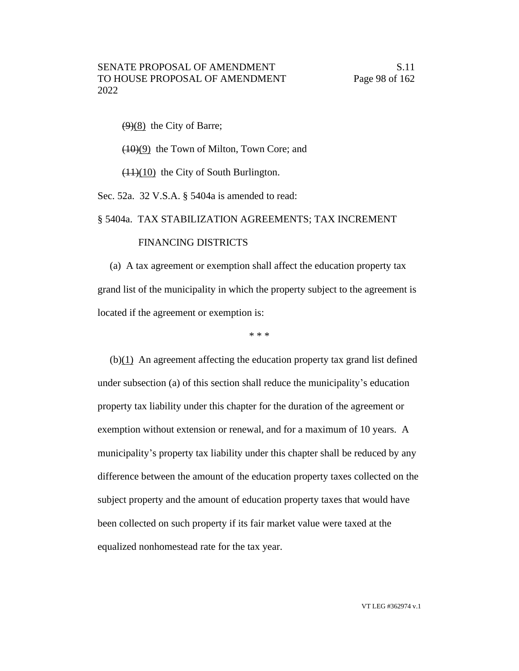$(9)(8)$  the City of Barre;

(10)(9) the Town of Milton, Town Core; and

 $(11)(10)$  the City of South Burlington.

Sec. 52a. 32 V.S.A. § 5404a is amended to read:

#### § 5404a. TAX STABILIZATION AGREEMENTS; TAX INCREMENT

#### FINANCING DISTRICTS

(a) A tax agreement or exemption shall affect the education property tax grand list of the municipality in which the property subject to the agreement is located if the agreement or exemption is:

\* \* \*

 $(b)(1)$  An agreement affecting the education property tax grand list defined under subsection (a) of this section shall reduce the municipality's education property tax liability under this chapter for the duration of the agreement or exemption without extension or renewal, and for a maximum of 10 years. A municipality's property tax liability under this chapter shall be reduced by any difference between the amount of the education property taxes collected on the subject property and the amount of education property taxes that would have been collected on such property if its fair market value were taxed at the equalized nonhomestead rate for the tax year.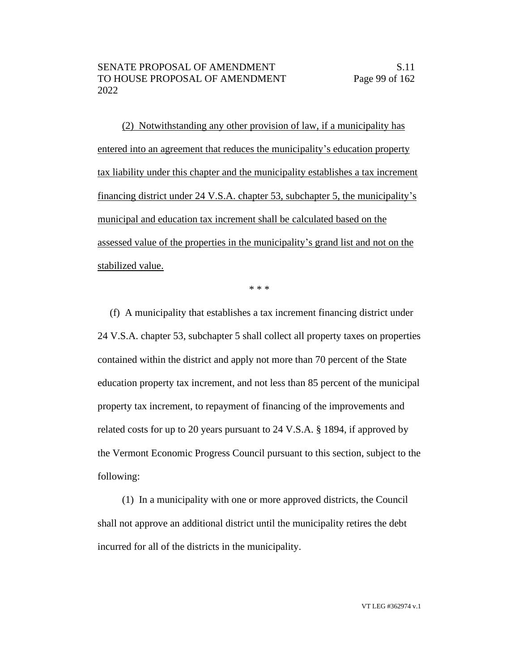(2) Notwithstanding any other provision of law, if a municipality has entered into an agreement that reduces the municipality's education property tax liability under this chapter and the municipality establishes a tax increment financing district under 24 V.S.A. chapter 53, subchapter 5, the municipality's municipal and education tax increment shall be calculated based on the assessed value of the properties in the municipality's grand list and not on the stabilized value.

\* \* \*

(f) A municipality that establishes a tax increment financing district under 24 V.S.A. chapter 53, subchapter 5 shall collect all property taxes on properties contained within the district and apply not more than 70 percent of the State education property tax increment, and not less than 85 percent of the municipal property tax increment, to repayment of financing of the improvements and related costs for up to 20 years pursuant to 24 V.S.A. § 1894, if approved by the Vermont Economic Progress Council pursuant to this section, subject to the following:

(1) In a municipality with one or more approved districts, the Council shall not approve an additional district until the municipality retires the debt incurred for all of the districts in the municipality.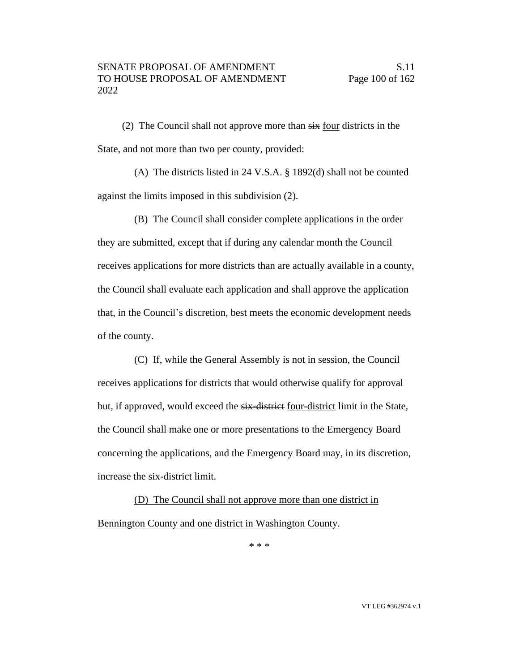(2) The Council shall not approve more than  $s\ddot{x}$  four districts in the State, and not more than two per county, provided:

(A) The districts listed in 24 V.S.A. § 1892(d) shall not be counted against the limits imposed in this subdivision (2).

(B) The Council shall consider complete applications in the order they are submitted, except that if during any calendar month the Council receives applications for more districts than are actually available in a county, the Council shall evaluate each application and shall approve the application that, in the Council's discretion, best meets the economic development needs of the county.

(C) If, while the General Assembly is not in session, the Council receives applications for districts that would otherwise qualify for approval but, if approved, would exceed the six-district four-district limit in the State, the Council shall make one or more presentations to the Emergency Board concerning the applications, and the Emergency Board may, in its discretion, increase the six-district limit.

(D) The Council shall not approve more than one district in Bennington County and one district in Washington County.

\* \* \*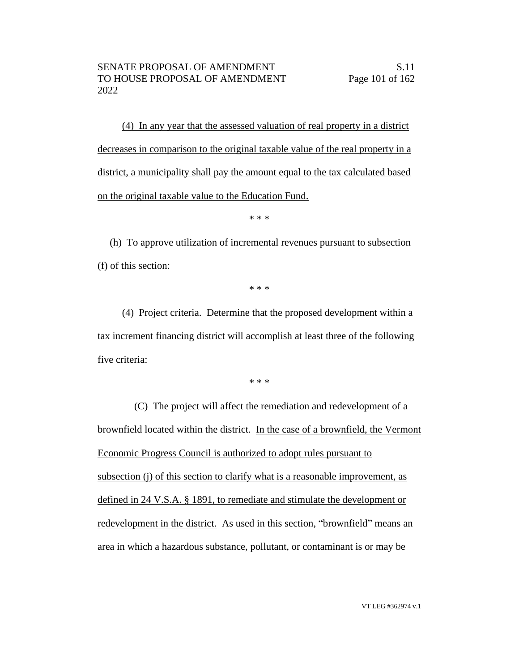(4) In any year that the assessed valuation of real property in a district decreases in comparison to the original taxable value of the real property in a district, a municipality shall pay the amount equal to the tax calculated based on the original taxable value to the Education Fund.

\* \* \*

(h) To approve utilization of incremental revenues pursuant to subsection (f) of this section:

\* \* \*

(4) Project criteria. Determine that the proposed development within a tax increment financing district will accomplish at least three of the following five criteria:

\* \* \*

(C) The project will affect the remediation and redevelopment of a brownfield located within the district. In the case of a brownfield, the Vermont Economic Progress Council is authorized to adopt rules pursuant to subsection (j) of this section to clarify what is a reasonable improvement, as defined in 24 V.S.A. § 1891, to remediate and stimulate the development or redevelopment in the district. As used in this section, "brownfield" means an area in which a hazardous substance, pollutant, or contaminant is or may be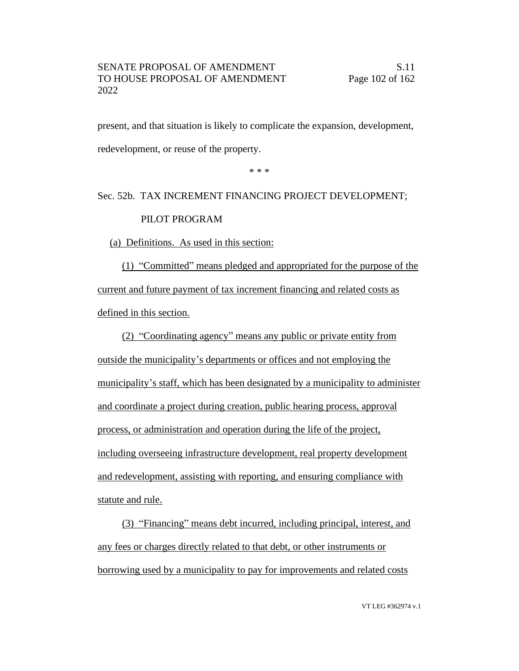present, and that situation is likely to complicate the expansion, development, redevelopment, or reuse of the property.

\* \* \*

### Sec. 52b. TAX INCREMENT FINANCING PROJECT DEVELOPMENT; PILOT PROGRAM

# (a) Definitions. As used in this section:

(1) "Committed" means pledged and appropriated for the purpose of the current and future payment of tax increment financing and related costs as defined in this section.

(2) "Coordinating agency" means any public or private entity from outside the municipality's departments or offices and not employing the municipality's staff, which has been designated by a municipality to administer and coordinate a project during creation, public hearing process, approval process, or administration and operation during the life of the project, including overseeing infrastructure development, real property development and redevelopment, assisting with reporting, and ensuring compliance with statute and rule.

(3) "Financing" means debt incurred, including principal, interest, and any fees or charges directly related to that debt, or other instruments or borrowing used by a municipality to pay for improvements and related costs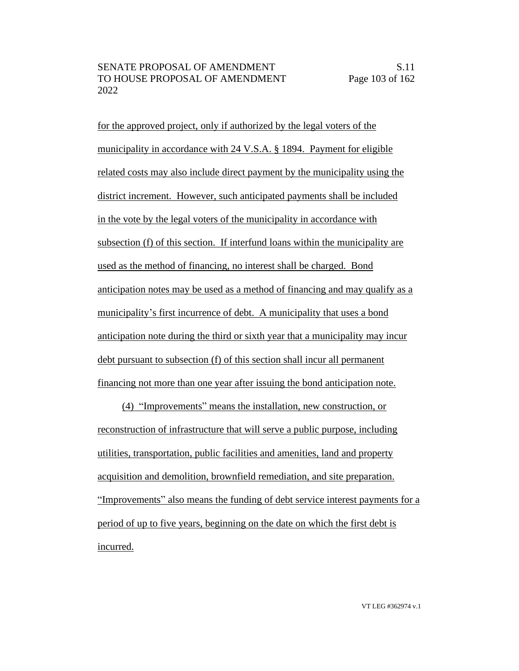for the approved project, only if authorized by the legal voters of the municipality in accordance with 24 V.S.A. § 1894. Payment for eligible related costs may also include direct payment by the municipality using the district increment. However, such anticipated payments shall be included in the vote by the legal voters of the municipality in accordance with subsection (f) of this section. If interfund loans within the municipality are used as the method of financing, no interest shall be charged. Bond anticipation notes may be used as a method of financing and may qualify as a municipality's first incurrence of debt. A municipality that uses a bond anticipation note during the third or sixth year that a municipality may incur debt pursuant to subsection (f) of this section shall incur all permanent financing not more than one year after issuing the bond anticipation note.

(4) "Improvements" means the installation, new construction, or reconstruction of infrastructure that will serve a public purpose, including utilities, transportation, public facilities and amenities, land and property acquisition and demolition, brownfield remediation, and site preparation. "Improvements" also means the funding of debt service interest payments for a period of up to five years, beginning on the date on which the first debt is incurred.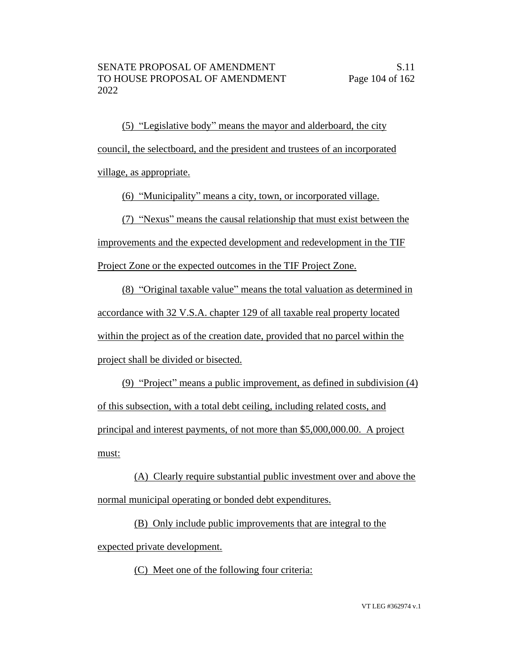(5) "Legislative body" means the mayor and alderboard, the city council, the selectboard, and the president and trustees of an incorporated village, as appropriate.

(6) "Municipality" means a city, town, or incorporated village.

(7) "Nexus" means the causal relationship that must exist between the

improvements and the expected development and redevelopment in the TIF

Project Zone or the expected outcomes in the TIF Project Zone.

(8) "Original taxable value" means the total valuation as determined in accordance with 32 V.S.A. chapter 129 of all taxable real property located within the project as of the creation date, provided that no parcel within the project shall be divided or bisected.

(9) "Project" means a public improvement, as defined in subdivision (4) of this subsection, with a total debt ceiling, including related costs, and principal and interest payments, of not more than \$5,000,000.00. A project must:

(A) Clearly require substantial public investment over and above the normal municipal operating or bonded debt expenditures.

(B) Only include public improvements that are integral to the expected private development.

(C) Meet one of the following four criteria: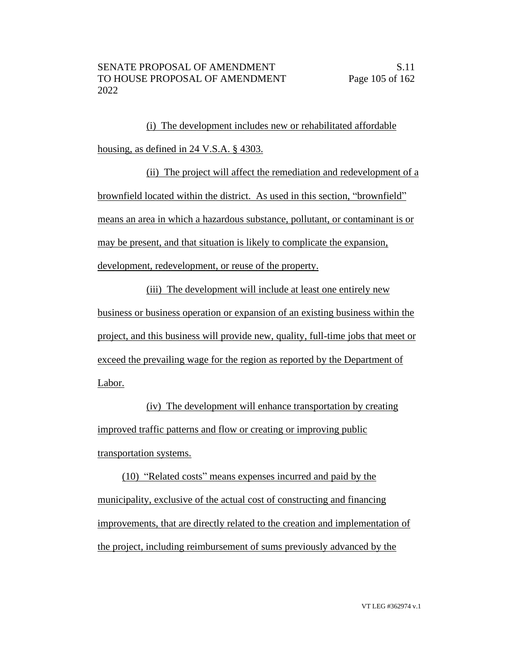(i) The development includes new or rehabilitated affordable housing, as defined in 24 V.S.A. § 4303.

(ii) The project will affect the remediation and redevelopment of a brownfield located within the district. As used in this section, "brownfield" means an area in which a hazardous substance, pollutant, or contaminant is or may be present, and that situation is likely to complicate the expansion,

development, redevelopment, or reuse of the property.

(iii) The development will include at least one entirely new business or business operation or expansion of an existing business within the project, and this business will provide new, quality, full-time jobs that meet or exceed the prevailing wage for the region as reported by the Department of Labor.

(iv) The development will enhance transportation by creating improved traffic patterns and flow or creating or improving public transportation systems.

(10) "Related costs" means expenses incurred and paid by the municipality, exclusive of the actual cost of constructing and financing improvements, that are directly related to the creation and implementation of the project, including reimbursement of sums previously advanced by the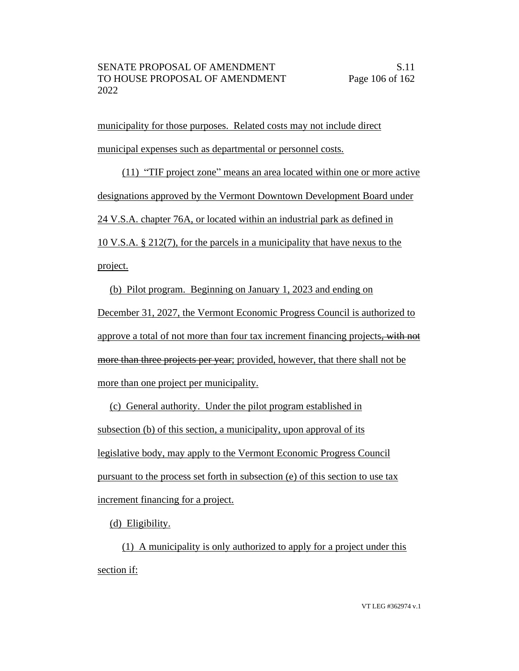municipality for those purposes. Related costs may not include direct municipal expenses such as departmental or personnel costs.

(11) "TIF project zone" means an area located within one or more active designations approved by the Vermont Downtown Development Board under 24 V.S.A. chapter 76A, or located within an industrial park as defined in 10 V.S.A. § 212(7), for the parcels in a municipality that have nexus to the project.

(b) Pilot program. Beginning on January 1, 2023 and ending on December 31, 2027, the Vermont Economic Progress Council is authorized to approve a total of not more than four tax increment financing projects, with not more than three projects per year; provided, however, that there shall not be more than one project per municipality.

(c) General authority. Under the pilot program established in subsection (b) of this section, a municipality, upon approval of its legislative body, may apply to the Vermont Economic Progress Council pursuant to the process set forth in subsection (e) of this section to use tax increment financing for a project.

(d) Eligibility.

(1) A municipality is only authorized to apply for a project under this section if: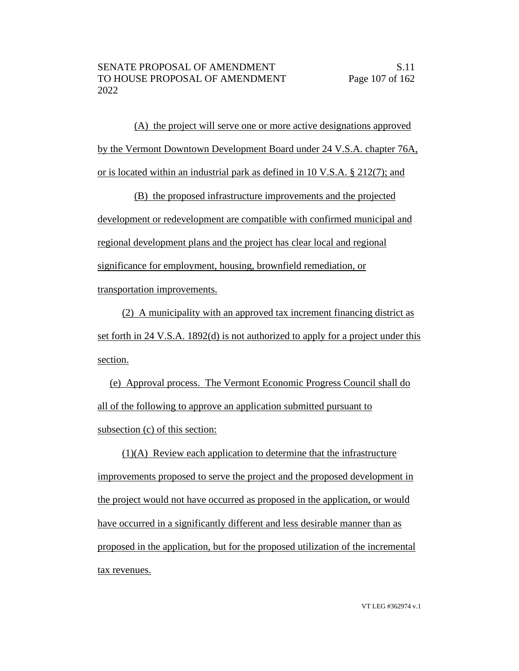(A) the project will serve one or more active designations approved by the Vermont Downtown Development Board under 24 V.S.A. chapter 76A, or is located within an industrial park as defined in 10 V.S.A. § 212(7); and

(B) the proposed infrastructure improvements and the projected development or redevelopment are compatible with confirmed municipal and regional development plans and the project has clear local and regional significance for employment, housing, brownfield remediation, or transportation improvements.

(2) A municipality with an approved tax increment financing district as set forth in 24 V.S.A. 1892(d) is not authorized to apply for a project under this section.

(e) Approval process. The Vermont Economic Progress Council shall do all of the following to approve an application submitted pursuant to subsection (c) of this section:

(1)(A) Review each application to determine that the infrastructure improvements proposed to serve the project and the proposed development in the project would not have occurred as proposed in the application, or would have occurred in a significantly different and less desirable manner than as proposed in the application, but for the proposed utilization of the incremental tax revenues.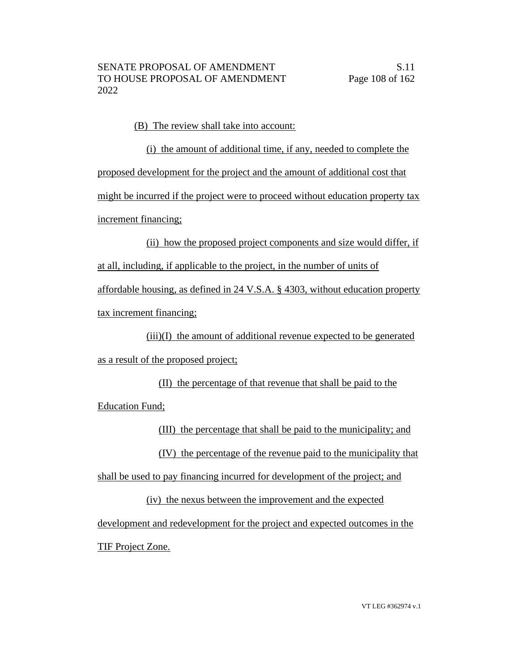(B) The review shall take into account:

(i) the amount of additional time, if any, needed to complete the proposed development for the project and the amount of additional cost that might be incurred if the project were to proceed without education property tax increment financing;

(ii) how the proposed project components and size would differ, if at all, including, if applicable to the project, in the number of units of affordable housing, as defined in 24 V.S.A. § 4303, without education property tax increment financing;

(iii)(I) the amount of additional revenue expected to be generated as a result of the proposed project;

(II) the percentage of that revenue that shall be paid to the Education Fund;

(III) the percentage that shall be paid to the municipality; and

(IV) the percentage of the revenue paid to the municipality that

shall be used to pay financing incurred for development of the project; and

(iv) the nexus between the improvement and the expected development and redevelopment for the project and expected outcomes in the TIF Project Zone.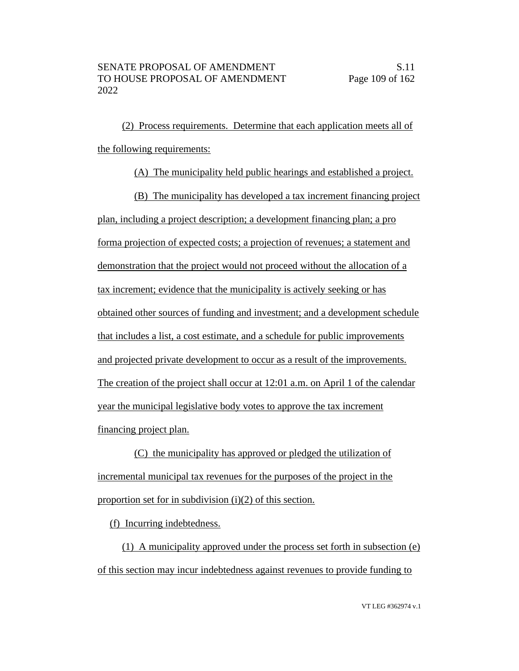(2) Process requirements. Determine that each application meets all of the following requirements:

(A) The municipality held public hearings and established a project.

(B) The municipality has developed a tax increment financing project plan, including a project description; a development financing plan; a pro forma projection of expected costs; a projection of revenues; a statement and demonstration that the project would not proceed without the allocation of a tax increment; evidence that the municipality is actively seeking or has obtained other sources of funding and investment; and a development schedule that includes a list, a cost estimate, and a schedule for public improvements and projected private development to occur as a result of the improvements. The creation of the project shall occur at 12:01 a.m. on April 1 of the calendar year the municipal legislative body votes to approve the tax increment financing project plan.

(C) the municipality has approved or pledged the utilization of incremental municipal tax revenues for the purposes of the project in the proportion set for in subdivision  $(i)(2)$  of this section.

(f) Incurring indebtedness.

(1) A municipality approved under the process set forth in subsection (e) of this section may incur indebtedness against revenues to provide funding to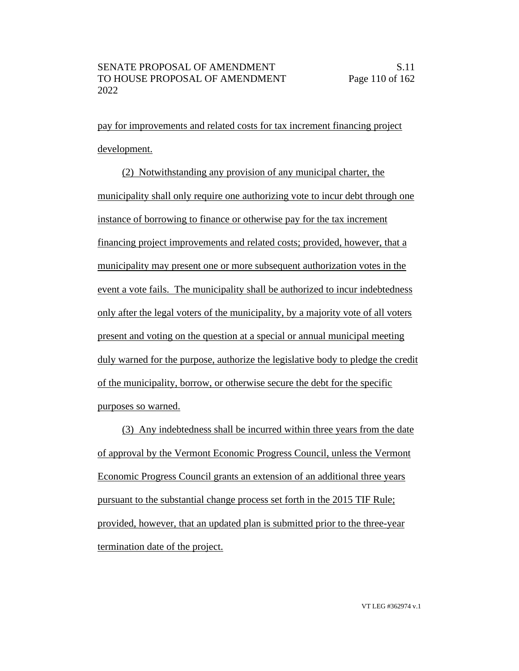pay for improvements and related costs for tax increment financing project development.

(2) Notwithstanding any provision of any municipal charter, the municipality shall only require one authorizing vote to incur debt through one instance of borrowing to finance or otherwise pay for the tax increment financing project improvements and related costs; provided, however, that a municipality may present one or more subsequent authorization votes in the event a vote fails. The municipality shall be authorized to incur indebtedness only after the legal voters of the municipality, by a majority vote of all voters present and voting on the question at a special or annual municipal meeting duly warned for the purpose, authorize the legislative body to pledge the credit of the municipality, borrow, or otherwise secure the debt for the specific purposes so warned.

(3) Any indebtedness shall be incurred within three years from the date of approval by the Vermont Economic Progress Council, unless the Vermont Economic Progress Council grants an extension of an additional three years pursuant to the substantial change process set forth in the 2015 TIF Rule; provided, however, that an updated plan is submitted prior to the three-year termination date of the project.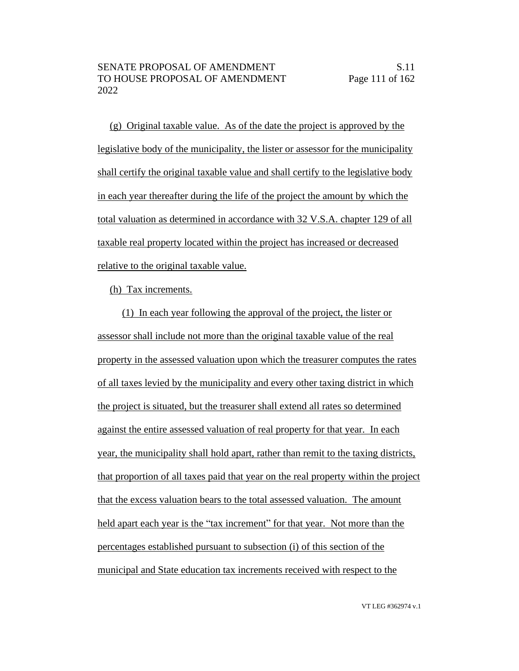(g) Original taxable value. As of the date the project is approved by the legislative body of the municipality, the lister or assessor for the municipality shall certify the original taxable value and shall certify to the legislative body in each year thereafter during the life of the project the amount by which the total valuation as determined in accordance with 32 V.S.A. chapter 129 of all taxable real property located within the project has increased or decreased relative to the original taxable value.

(h) Tax increments.

(1) In each year following the approval of the project, the lister or assessor shall include not more than the original taxable value of the real property in the assessed valuation upon which the treasurer computes the rates of all taxes levied by the municipality and every other taxing district in which the project is situated, but the treasurer shall extend all rates so determined against the entire assessed valuation of real property for that year. In each year, the municipality shall hold apart, rather than remit to the taxing districts, that proportion of all taxes paid that year on the real property within the project that the excess valuation bears to the total assessed valuation. The amount held apart each year is the "tax increment" for that year. Not more than the percentages established pursuant to subsection (i) of this section of the municipal and State education tax increments received with respect to the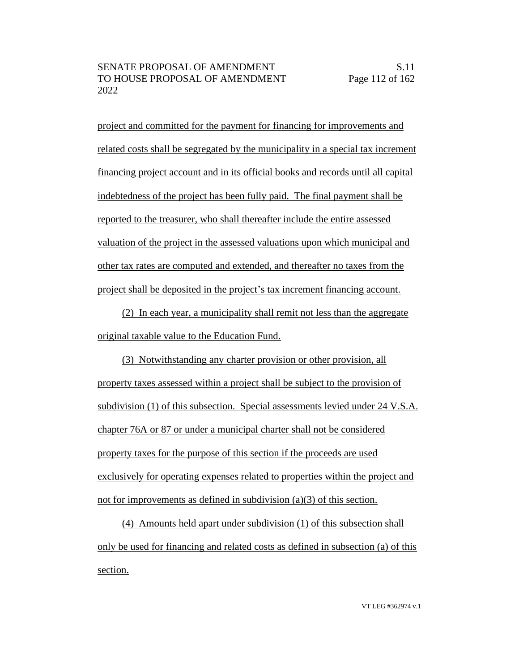project and committed for the payment for financing for improvements and related costs shall be segregated by the municipality in a special tax increment financing project account and in its official books and records until all capital indebtedness of the project has been fully paid. The final payment shall be reported to the treasurer, who shall thereafter include the entire assessed valuation of the project in the assessed valuations upon which municipal and other tax rates are computed and extended, and thereafter no taxes from the project shall be deposited in the project's tax increment financing account.

(2) In each year, a municipality shall remit not less than the aggregate original taxable value to the Education Fund.

(3) Notwithstanding any charter provision or other provision, all property taxes assessed within a project shall be subject to the provision of subdivision (1) of this subsection. Special assessments levied under 24 V.S.A. chapter 76A or 87 or under a municipal charter shall not be considered property taxes for the purpose of this section if the proceeds are used exclusively for operating expenses related to properties within the project and not for improvements as defined in subdivision (a)(3) of this section.

(4) Amounts held apart under subdivision (1) of this subsection shall only be used for financing and related costs as defined in subsection (a) of this section.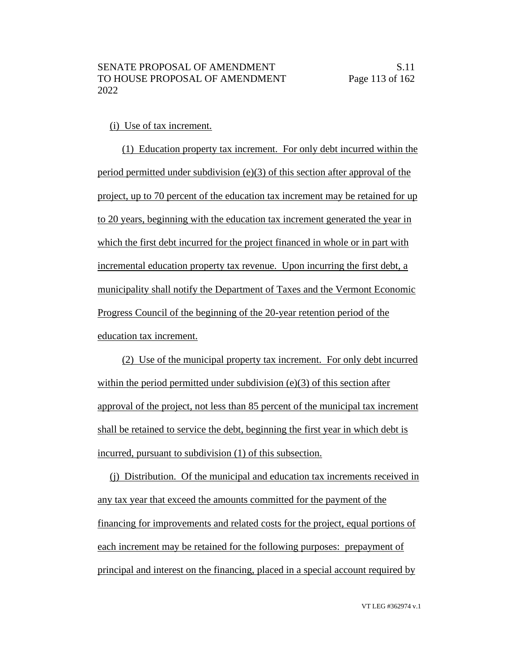#### (i) Use of tax increment.

(1) Education property tax increment. For only debt incurred within the period permitted under subdivision (e)(3) of this section after approval of the project, up to 70 percent of the education tax increment may be retained for up to 20 years, beginning with the education tax increment generated the year in which the first debt incurred for the project financed in whole or in part with incremental education property tax revenue. Upon incurring the first debt, a municipality shall notify the Department of Taxes and the Vermont Economic Progress Council of the beginning of the 20-year retention period of the education tax increment.

(2) Use of the municipal property tax increment. For only debt incurred within the period permitted under subdivision (e)(3) of this section after approval of the project, not less than 85 percent of the municipal tax increment shall be retained to service the debt, beginning the first year in which debt is incurred, pursuant to subdivision (1) of this subsection.

(j) Distribution. Of the municipal and education tax increments received in any tax year that exceed the amounts committed for the payment of the financing for improvements and related costs for the project, equal portions of each increment may be retained for the following purposes: prepayment of principal and interest on the financing, placed in a special account required by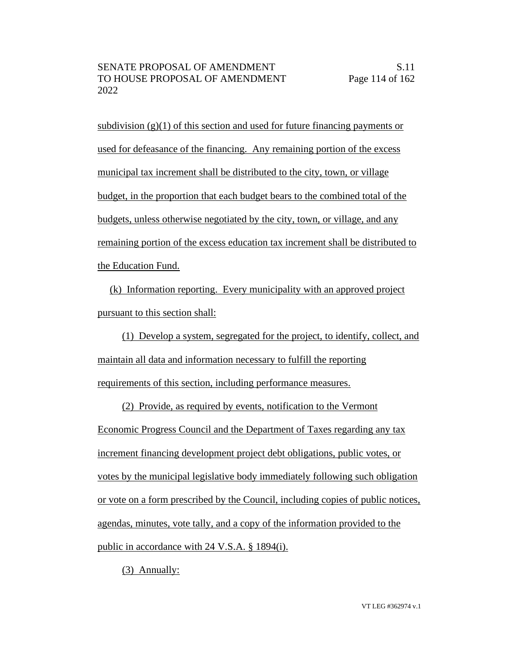subdivision  $(g)(1)$  of this section and used for future financing payments or used for defeasance of the financing. Any remaining portion of the excess municipal tax increment shall be distributed to the city, town, or village budget, in the proportion that each budget bears to the combined total of the budgets, unless otherwise negotiated by the city, town, or village, and any remaining portion of the excess education tax increment shall be distributed to the Education Fund.

(k) Information reporting. Every municipality with an approved project pursuant to this section shall:

(1) Develop a system, segregated for the project, to identify, collect, and maintain all data and information necessary to fulfill the reporting requirements of this section, including performance measures.

(2) Provide, as required by events, notification to the Vermont Economic Progress Council and the Department of Taxes regarding any tax increment financing development project debt obligations, public votes, or votes by the municipal legislative body immediately following such obligation or vote on a form prescribed by the Council, including copies of public notices, agendas, minutes, vote tally, and a copy of the information provided to the public in accordance with 24 V.S.A. § 1894(i).

(3) Annually: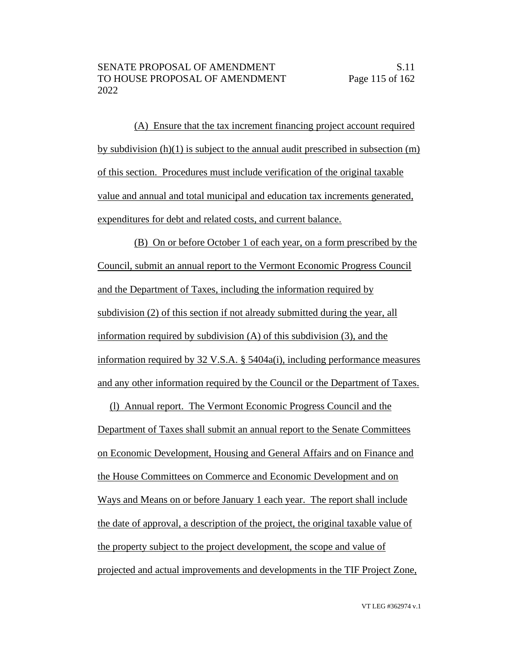(A) Ensure that the tax increment financing project account required by subdivision (h)(1) is subject to the annual audit prescribed in subsection (m) of this section. Procedures must include verification of the original taxable value and annual and total municipal and education tax increments generated, expenditures for debt and related costs, and current balance.

(B) On or before October 1 of each year, on a form prescribed by the Council, submit an annual report to the Vermont Economic Progress Council and the Department of Taxes, including the information required by subdivision (2) of this section if not already submitted during the year, all information required by subdivision (A) of this subdivision (3), and the information required by 32 V.S.A. § 5404a(i), including performance measures and any other information required by the Council or the Department of Taxes.

(l) Annual report. The Vermont Economic Progress Council and the Department of Taxes shall submit an annual report to the Senate Committees on Economic Development, Housing and General Affairs and on Finance and the House Committees on Commerce and Economic Development and on Ways and Means on or before January 1 each year. The report shall include the date of approval, a description of the project, the original taxable value of the property subject to the project development, the scope and value of projected and actual improvements and developments in the TIF Project Zone,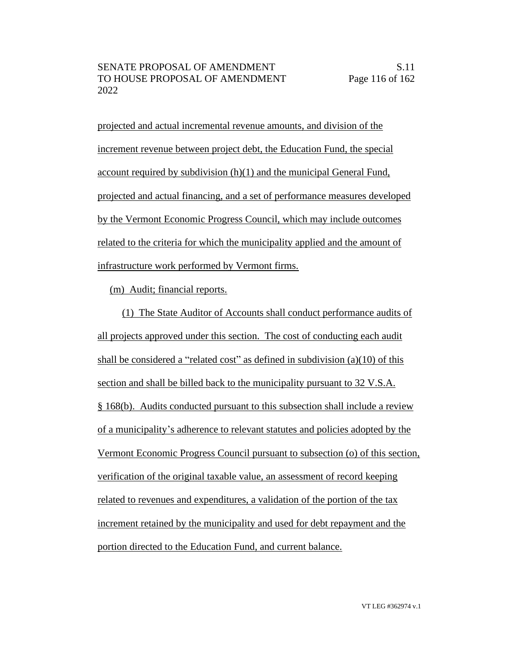projected and actual incremental revenue amounts, and division of the increment revenue between project debt, the Education Fund, the special account required by subdivision (h)(1) and the municipal General Fund, projected and actual financing, and a set of performance measures developed by the Vermont Economic Progress Council, which may include outcomes related to the criteria for which the municipality applied and the amount of infrastructure work performed by Vermont firms.

(m) Audit; financial reports.

(1) The State Auditor of Accounts shall conduct performance audits of all projects approved under this section. The cost of conducting each audit shall be considered a "related cost" as defined in subdivision (a)(10) of this section and shall be billed back to the municipality pursuant to 32 V.S.A. § 168(b). Audits conducted pursuant to this subsection shall include a review of a municipality's adherence to relevant statutes and policies adopted by the Vermont Economic Progress Council pursuant to subsection (o) of this section, verification of the original taxable value, an assessment of record keeping related to revenues and expenditures, a validation of the portion of the tax increment retained by the municipality and used for debt repayment and the portion directed to the Education Fund, and current balance.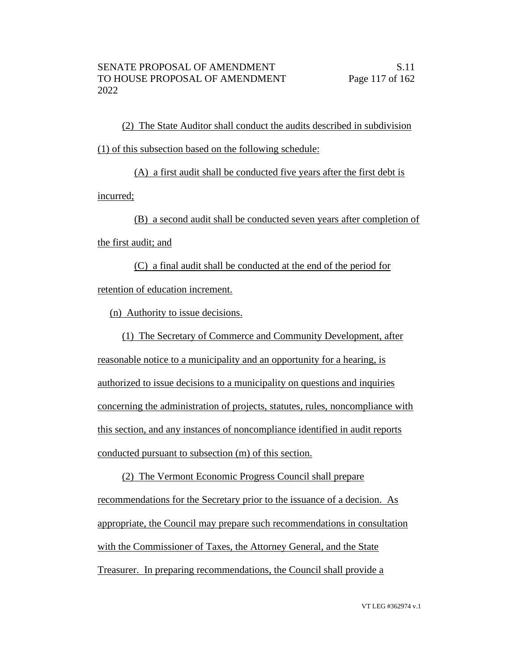(2) The State Auditor shall conduct the audits described in subdivision (1) of this subsection based on the following schedule:

(A) a first audit shall be conducted five years after the first debt is incurred;

(B) a second audit shall be conducted seven years after completion of the first audit; and

(C) a final audit shall be conducted at the end of the period for retention of education increment.

(n) Authority to issue decisions.

(1) The Secretary of Commerce and Community Development, after reasonable notice to a municipality and an opportunity for a hearing, is authorized to issue decisions to a municipality on questions and inquiries concerning the administration of projects, statutes, rules, noncompliance with this section, and any instances of noncompliance identified in audit reports conducted pursuant to subsection (m) of this section.

(2) The Vermont Economic Progress Council shall prepare recommendations for the Secretary prior to the issuance of a decision. As appropriate, the Council may prepare such recommendations in consultation with the Commissioner of Taxes, the Attorney General, and the State Treasurer. In preparing recommendations, the Council shall provide a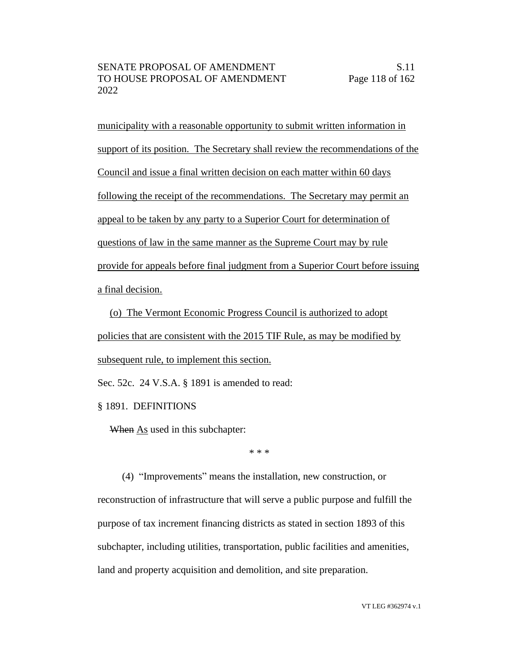municipality with a reasonable opportunity to submit written information in support of its position. The Secretary shall review the recommendations of the Council and issue a final written decision on each matter within 60 days following the receipt of the recommendations. The Secretary may permit an appeal to be taken by any party to a Superior Court for determination of questions of law in the same manner as the Supreme Court may by rule provide for appeals before final judgment from a Superior Court before issuing a final decision.

(o) The Vermont Economic Progress Council is authorized to adopt policies that are consistent with the 2015 TIF Rule, as may be modified by subsequent rule, to implement this section.

Sec. 52c. 24 V.S.A. § 1891 is amended to read:

§ 1891. DEFINITIONS

When As used in this subchapter:

\* \* \*

(4) "Improvements" means the installation, new construction, or reconstruction of infrastructure that will serve a public purpose and fulfill the purpose of tax increment financing districts as stated in section 1893 of this subchapter, including utilities, transportation, public facilities and amenities, land and property acquisition and demolition, and site preparation.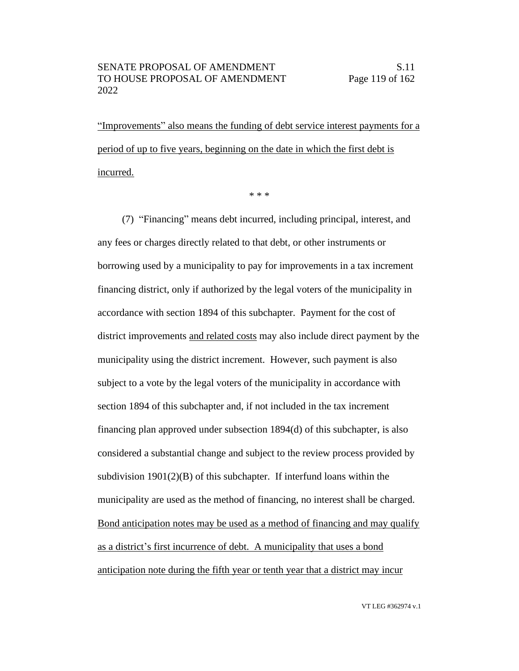"Improvements" also means the funding of debt service interest payments for a period of up to five years, beginning on the date in which the first debt is incurred.

\* \* \*

(7) "Financing" means debt incurred, including principal, interest, and any fees or charges directly related to that debt, or other instruments or borrowing used by a municipality to pay for improvements in a tax increment financing district, only if authorized by the legal voters of the municipality in accordance with section 1894 of this subchapter. Payment for the cost of district improvements and related costs may also include direct payment by the municipality using the district increment. However, such payment is also subject to a vote by the legal voters of the municipality in accordance with section 1894 of this subchapter and, if not included in the tax increment financing plan approved under subsection 1894(d) of this subchapter, is also considered a substantial change and subject to the review process provided by subdivision 1901(2)(B) of this subchapter. If interfund loans within the municipality are used as the method of financing, no interest shall be charged. Bond anticipation notes may be used as a method of financing and may qualify as a district's first incurrence of debt. A municipality that uses a bond anticipation note during the fifth year or tenth year that a district may incur

VT LEG #362974 v.1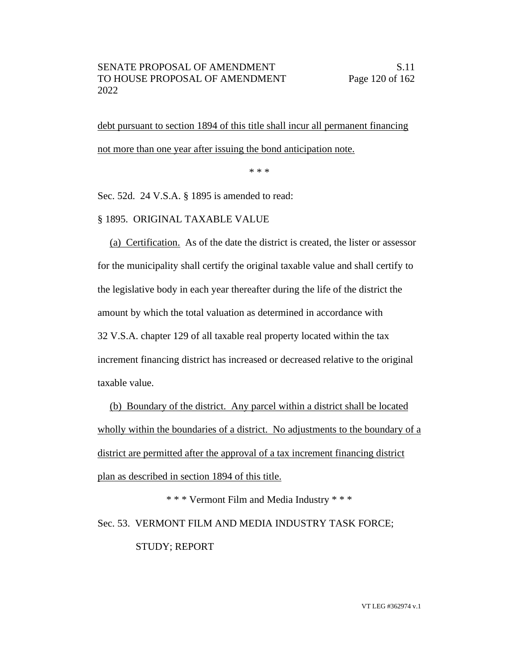debt pursuant to section 1894 of this title shall incur all permanent financing not more than one year after issuing the bond anticipation note.

\* \* \*

Sec. 52d. 24 V.S.A. § 1895 is amended to read:

# § 1895. ORIGINAL TAXABLE VALUE

(a) Certification. As of the date the district is created, the lister or assessor for the municipality shall certify the original taxable value and shall certify to the legislative body in each year thereafter during the life of the district the amount by which the total valuation as determined in accordance with 32 V.S.A. chapter 129 of all taxable real property located within the tax increment financing district has increased or decreased relative to the original taxable value.

(b) Boundary of the district. Any parcel within a district shall be located wholly within the boundaries of a district. No adjustments to the boundary of a district are permitted after the approval of a tax increment financing district plan as described in section 1894 of this title.

\* \* \* Vermont Film and Media Industry \* \* \* Sec. 53. VERMONT FILM AND MEDIA INDUSTRY TASK FORCE; STUDY; REPORT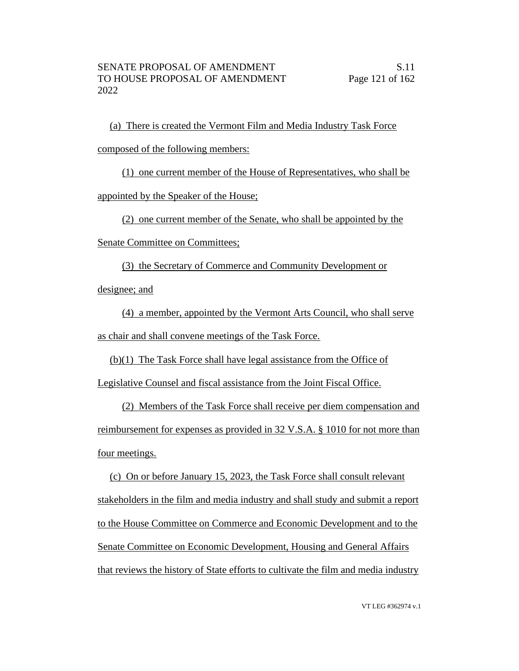(a) There is created the Vermont Film and Media Industry Task Force composed of the following members:

(1) one current member of the House of Representatives, who shall be

appointed by the Speaker of the House;

(2) one current member of the Senate, who shall be appointed by the

Senate Committee on Committees;

(3) the Secretary of Commerce and Community Development or designee; and

(4) a member, appointed by the Vermont Arts Council, who shall serve as chair and shall convene meetings of the Task Force.

(b)(1) The Task Force shall have legal assistance from the Office of

Legislative Counsel and fiscal assistance from the Joint Fiscal Office.

(2) Members of the Task Force shall receive per diem compensation and reimbursement for expenses as provided in 32 V.S.A. § 1010 for not more than four meetings.

(c) On or before January 15, 2023, the Task Force shall consult relevant stakeholders in the film and media industry and shall study and submit a report to the House Committee on Commerce and Economic Development and to the Senate Committee on Economic Development, Housing and General Affairs that reviews the history of State efforts to cultivate the film and media industry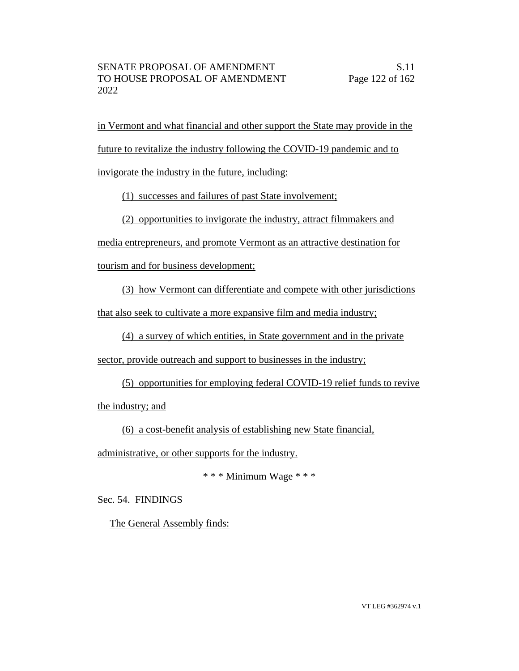in Vermont and what financial and other support the State may provide in the future to revitalize the industry following the COVID-19 pandemic and to invigorate the industry in the future, including:

(1) successes and failures of past State involvement;

(2) opportunities to invigorate the industry, attract filmmakers and

media entrepreneurs, and promote Vermont as an attractive destination for

tourism and for business development;

(3) how Vermont can differentiate and compete with other jurisdictions

that also seek to cultivate a more expansive film and media industry;

(4) a survey of which entities, in State government and in the private

sector, provide outreach and support to businesses in the industry;

(5) opportunities for employing federal COVID-19 relief funds to revive

the industry; and

(6) a cost-benefit analysis of establishing new State financial,

administrative, or other supports for the industry.

\* \* \* Minimum Wage \* \* \*

Sec. 54. FINDINGS

The General Assembly finds: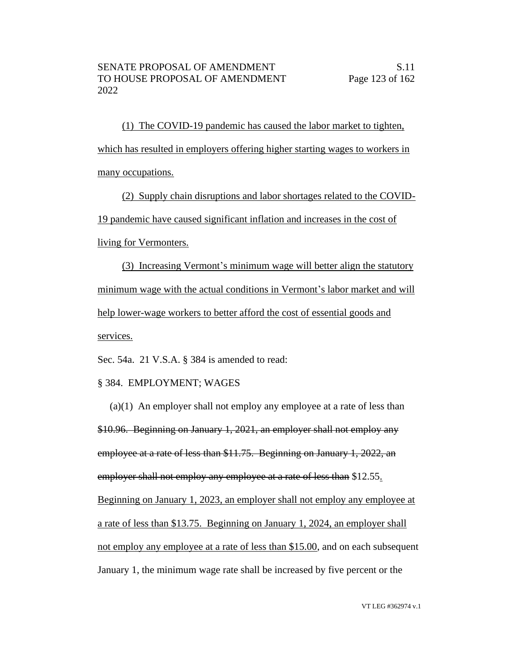(1) The COVID-19 pandemic has caused the labor market to tighten, which has resulted in employers offering higher starting wages to workers in many occupations.

(2) Supply chain disruptions and labor shortages related to the COVID-19 pandemic have caused significant inflation and increases in the cost of living for Vermonters.

(3) Increasing Vermont's minimum wage will better align the statutory minimum wage with the actual conditions in Vermont's labor market and will help lower-wage workers to better afford the cost of essential goods and services.

Sec. 54a. 21 V.S.A. § 384 is amended to read:

### § 384. EMPLOYMENT; WAGES

(a)(1) An employer shall not employ any employee at a rate of less than \$10.96. Beginning on January 1, 2021, an employer shall not employ any employee at a rate of less than \$11.75. Beginning on January 1, 2022, an employer shall not employ any employee at a rate of less than \$12.55. Beginning on January 1, 2023, an employer shall not employ any employee at a rate of less than \$13.75. Beginning on January 1, 2024, an employer shall not employ any employee at a rate of less than \$15.00, and on each subsequent January 1, the minimum wage rate shall be increased by five percent or the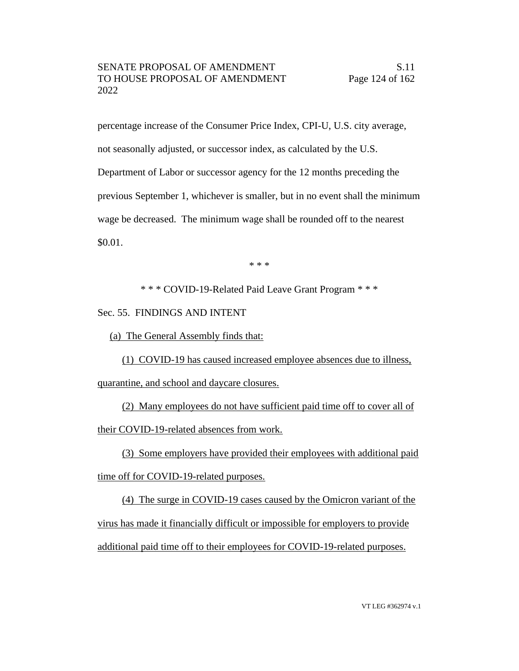percentage increase of the Consumer Price Index, CPI-U, U.S. city average, not seasonally adjusted, or successor index, as calculated by the U.S. Department of Labor or successor agency for the 12 months preceding the previous September 1, whichever is smaller, but in no event shall the minimum wage be decreased. The minimum wage shall be rounded off to the nearest \$0.01.

\* \* \*

\* \* \* COVID-19-Related Paid Leave Grant Program \* \* \*

Sec. 55. FINDINGS AND INTENT

(a) The General Assembly finds that:

(1) COVID-19 has caused increased employee absences due to illness,

quarantine, and school and daycare closures.

(2) Many employees do not have sufficient paid time off to cover all of their COVID-19-related absences from work.

(3) Some employers have provided their employees with additional paid time off for COVID-19-related purposes.

(4) The surge in COVID-19 cases caused by the Omicron variant of the virus has made it financially difficult or impossible for employers to provide additional paid time off to their employees for COVID-19-related purposes.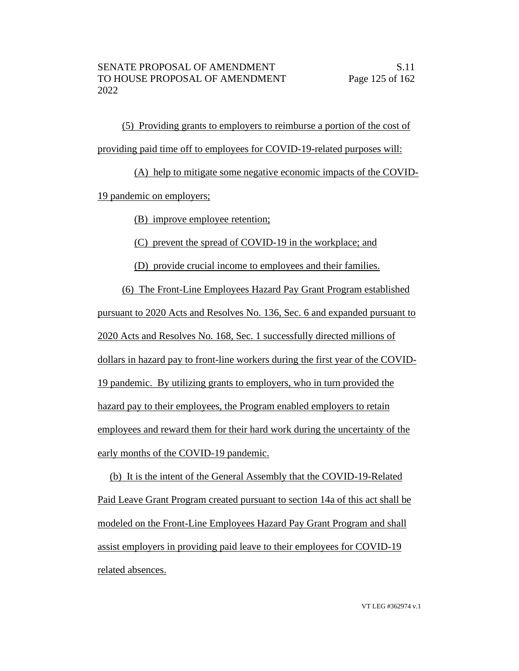(5) Providing grants to employers to reimburse a portion of the cost of providing paid time off to employees for COVID-19-related purposes will:

(A) help to mitigate some negative economic impacts of the COVID-19 pandemic on employers;

(B) improve employee retention;

(C) prevent the spread of COVID-19 in the workplace; and

(D) provide crucial income to employees and their families.

(6) The Front-Line Employees Hazard Pay Grant Program established pursuant to 2020 Acts and Resolves No. 136, Sec. 6 and expanded pursuant to 2020 Acts and Resolves No. 168, Sec. 1 successfully directed millions of dollars in hazard pay to front-line workers during the first year of the COVID-19 pandemic. By utilizing grants to employers, who in turn provided the hazard pay to their employees, the Program enabled employers to retain employees and reward them for their hard work during the uncertainty of the early months of the COVID-19 pandemic.

# (b) It is the intent of the General Assembly that the COVID-19-Related Paid Leave Grant Program created pursuant to section 14a of this act shall be modeled on the Front-Line Employees Hazard Pay Grant Program and shall assist employers in providing paid leave to their employees for COVID-19 related absences.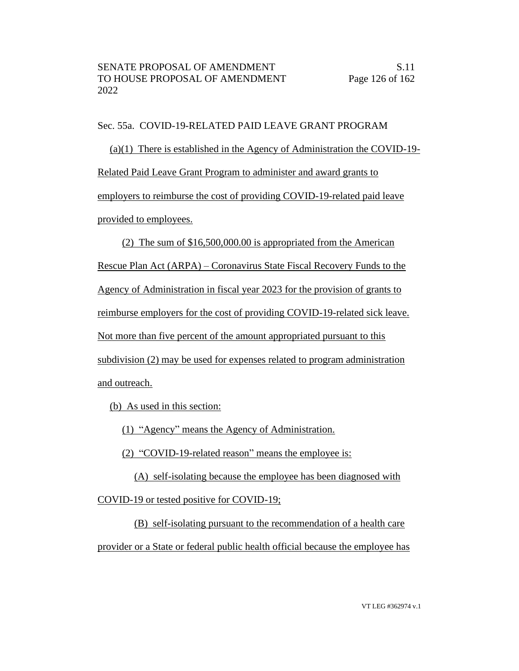Sec. 55a. COVID-19-RELATED PAID LEAVE GRANT PROGRAM

(a)(1) There is established in the Agency of Administration the COVID-19- Related Paid Leave Grant Program to administer and award grants to employers to reimburse the cost of providing COVID-19-related paid leave provided to employees.

(2) The sum of \$16,500,000.00 is appropriated from the American Rescue Plan Act (ARPA) – Coronavirus State Fiscal Recovery Funds to the Agency of Administration in fiscal year 2023 for the provision of grants to reimburse employers for the cost of providing COVID-19-related sick leave. Not more than five percent of the amount appropriated pursuant to this subdivision (2) may be used for expenses related to program administration and outreach.

(b) As used in this section:

(1) "Agency" means the Agency of Administration.

(2) "COVID-19-related reason" means the employee is:

(A) self-isolating because the employee has been diagnosed with

COVID-19 or tested positive for COVID-19;

(B) self-isolating pursuant to the recommendation of a health care

provider or a State or federal public health official because the employee has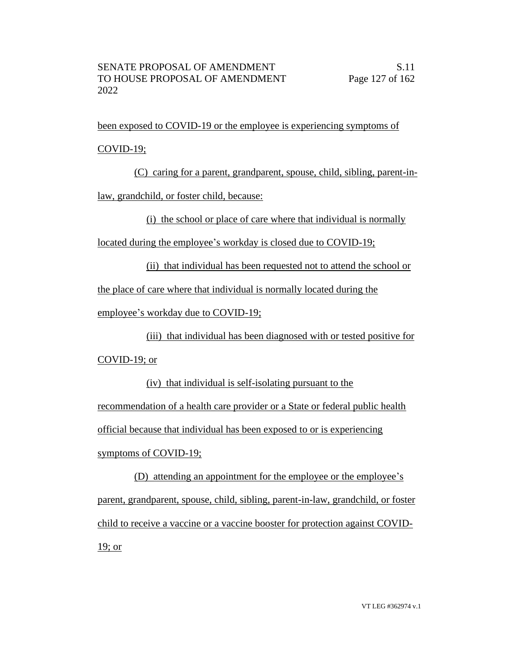been exposed to COVID-19 or the employee is experiencing symptoms of COVID-19;

(C) caring for a parent, grandparent, spouse, child, sibling, parent-inlaw, grandchild, or foster child, because:

(i) the school or place of care where that individual is normally

located during the employee's workday is closed due to COVID-19;

(ii) that individual has been requested not to attend the school or

the place of care where that individual is normally located during the

employee's workday due to COVID-19;

(iii) that individual has been diagnosed with or tested positive for COVID-19; or

(iv) that individual is self-isolating pursuant to the recommendation of a health care provider or a State or federal public health official because that individual has been exposed to or is experiencing symptoms of COVID-19;

(D) attending an appointment for the employee or the employee's parent, grandparent, spouse, child, sibling, parent-in-law, grandchild, or foster child to receive a vaccine or a vaccine booster for protection against COVID-19; or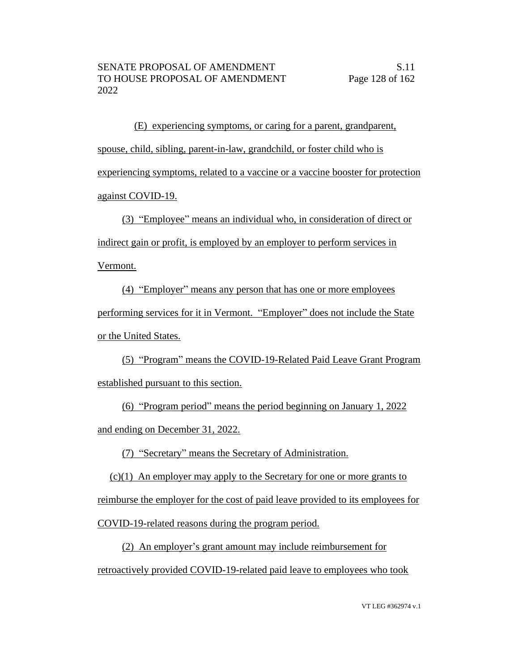(E) experiencing symptoms, or caring for a parent, grandparent, spouse, child, sibling, parent-in-law, grandchild, or foster child who is experiencing symptoms, related to a vaccine or a vaccine booster for protection against COVID-19.

(3) "Employee" means an individual who, in consideration of direct or indirect gain or profit, is employed by an employer to perform services in

Vermont.

(4) "Employer" means any person that has one or more employees performing services for it in Vermont. "Employer" does not include the State or the United States.

(5) "Program" means the COVID-19-Related Paid Leave Grant Program established pursuant to this section.

(6) "Program period" means the period beginning on January 1, 2022 and ending on December 31, 2022.

(7) "Secretary" means the Secretary of Administration.

(c)(1) An employer may apply to the Secretary for one or more grants to

reimburse the employer for the cost of paid leave provided to its employees for

COVID-19-related reasons during the program period.

(2) An employer's grant amount may include reimbursement for retroactively provided COVID-19-related paid leave to employees who took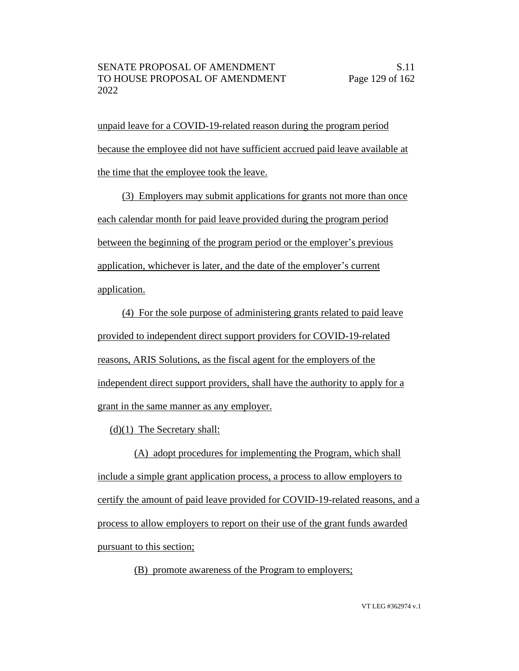unpaid leave for a COVID-19-related reason during the program period because the employee did not have sufficient accrued paid leave available at the time that the employee took the leave.

(3) Employers may submit applications for grants not more than once each calendar month for paid leave provided during the program period between the beginning of the program period or the employer's previous application, whichever is later, and the date of the employer's current application.

(4) For the sole purpose of administering grants related to paid leave provided to independent direct support providers for COVID-19-related reasons, ARIS Solutions, as the fiscal agent for the employers of the independent direct support providers, shall have the authority to apply for a grant in the same manner as any employer.

(d)(1) The Secretary shall:

(A) adopt procedures for implementing the Program, which shall include a simple grant application process, a process to allow employers to certify the amount of paid leave provided for COVID-19-related reasons, and a process to allow employers to report on their use of the grant funds awarded pursuant to this section;

(B) promote awareness of the Program to employers;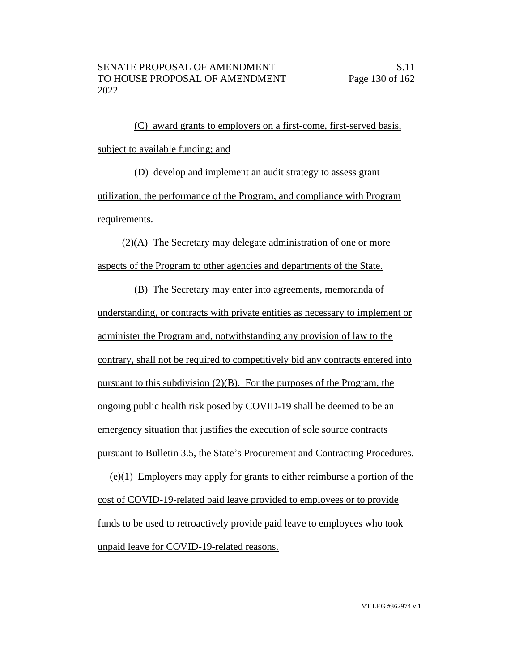(C) award grants to employers on a first-come, first-served basis, subject to available funding; and

(D) develop and implement an audit strategy to assess grant utilization, the performance of the Program, and compliance with Program requirements.

(2)(A) The Secretary may delegate administration of one or more aspects of the Program to other agencies and departments of the State.

(B) The Secretary may enter into agreements, memoranda of understanding, or contracts with private entities as necessary to implement or administer the Program and, notwithstanding any provision of law to the contrary, shall not be required to competitively bid any contracts entered into pursuant to this subdivision (2)(B). For the purposes of the Program, the ongoing public health risk posed by COVID-19 shall be deemed to be an emergency situation that justifies the execution of sole source contracts pursuant to Bulletin 3.5, the State's Procurement and Contracting Procedures.

(e)(1) Employers may apply for grants to either reimburse a portion of the cost of COVID-19-related paid leave provided to employees or to provide funds to be used to retroactively provide paid leave to employees who took unpaid leave for COVID-19-related reasons.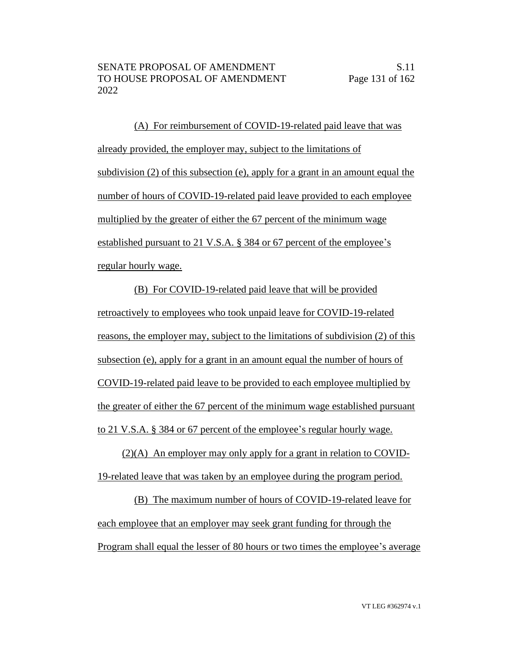(A) For reimbursement of COVID-19-related paid leave that was already provided, the employer may, subject to the limitations of subdivision (2) of this subsection (e), apply for a grant in an amount equal the number of hours of COVID-19-related paid leave provided to each employee multiplied by the greater of either the 67 percent of the minimum wage established pursuant to 21 V.S.A. § 384 or 67 percent of the employee's regular hourly wage.

(B) For COVID-19-related paid leave that will be provided retroactively to employees who took unpaid leave for COVID-19-related reasons, the employer may, subject to the limitations of subdivision (2) of this subsection (e), apply for a grant in an amount equal the number of hours of COVID-19-related paid leave to be provided to each employee multiplied by the greater of either the 67 percent of the minimum wage established pursuant to 21 V.S.A. § 384 or 67 percent of the employee's regular hourly wage.

(2)(A) An employer may only apply for a grant in relation to COVID-19-related leave that was taken by an employee during the program period.

(B) The maximum number of hours of COVID-19-related leave for each employee that an employer may seek grant funding for through the Program shall equal the lesser of 80 hours or two times the employee's average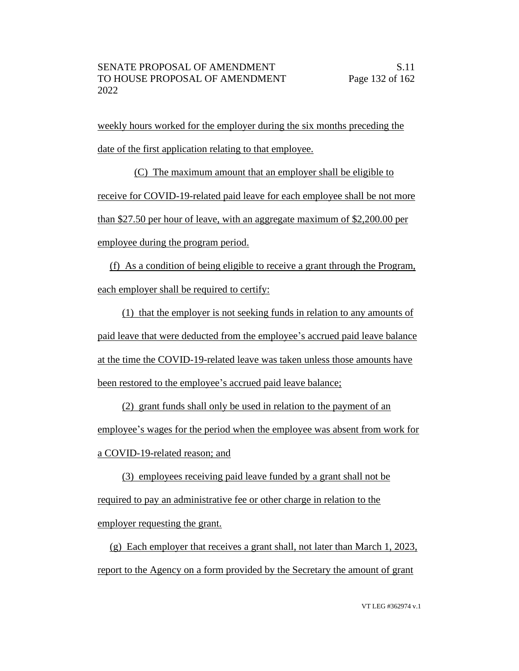weekly hours worked for the employer during the six months preceding the date of the first application relating to that employee.

(C) The maximum amount that an employer shall be eligible to receive for COVID-19-related paid leave for each employee shall be not more than \$27.50 per hour of leave, with an aggregate maximum of \$2,200.00 per employee during the program period.

(f) As a condition of being eligible to receive a grant through the Program, each employer shall be required to certify:

(1) that the employer is not seeking funds in relation to any amounts of paid leave that were deducted from the employee's accrued paid leave balance at the time the COVID-19-related leave was taken unless those amounts have been restored to the employee's accrued paid leave balance;

(2) grant funds shall only be used in relation to the payment of an employee's wages for the period when the employee was absent from work for a COVID-19-related reason; and

(3) employees receiving paid leave funded by a grant shall not be required to pay an administrative fee or other charge in relation to the employer requesting the grant.

(g) Each employer that receives a grant shall, not later than March 1, 2023, report to the Agency on a form provided by the Secretary the amount of grant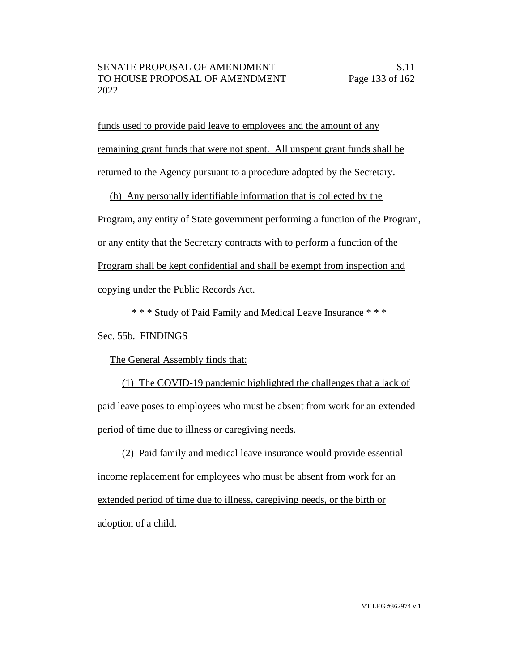funds used to provide paid leave to employees and the amount of any remaining grant funds that were not spent. All unspent grant funds shall be returned to the Agency pursuant to a procedure adopted by the Secretary.

(h) Any personally identifiable information that is collected by the Program, any entity of State government performing a function of the Program, or any entity that the Secretary contracts with to perform a function of the Program shall be kept confidential and shall be exempt from inspection and copying under the Public Records Act.

\* \* \* Study of Paid Family and Medical Leave Insurance \* \* \*

Sec. 55b. FINDINGS

The General Assembly finds that:

(1) The COVID-19 pandemic highlighted the challenges that a lack of paid leave poses to employees who must be absent from work for an extended period of time due to illness or caregiving needs.

(2) Paid family and medical leave insurance would provide essential income replacement for employees who must be absent from work for an extended period of time due to illness, caregiving needs, or the birth or adoption of a child.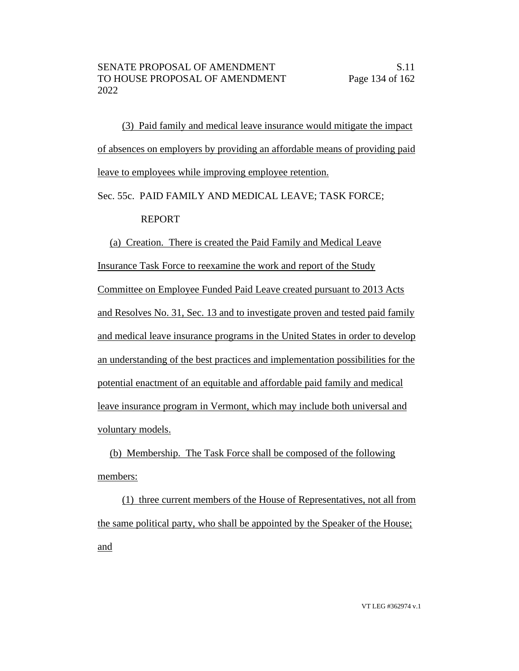(3) Paid family and medical leave insurance would mitigate the impact of absences on employers by providing an affordable means of providing paid leave to employees while improving employee retention.

Sec. 55c. PAID FAMILY AND MEDICAL LEAVE; TASK FORCE;

# REPORT

(a) Creation. There is created the Paid Family and Medical Leave Insurance Task Force to reexamine the work and report of the Study Committee on Employee Funded Paid Leave created pursuant to 2013 Acts and Resolves No. 31, Sec. 13 and to investigate proven and tested paid family and medical leave insurance programs in the United States in order to develop an understanding of the best practices and implementation possibilities for the potential enactment of an equitable and affordable paid family and medical leave insurance program in Vermont, which may include both universal and voluntary models.

(b) Membership. The Task Force shall be composed of the following members:

(1) three current members of the House of Representatives, not all from the same political party, who shall be appointed by the Speaker of the House; and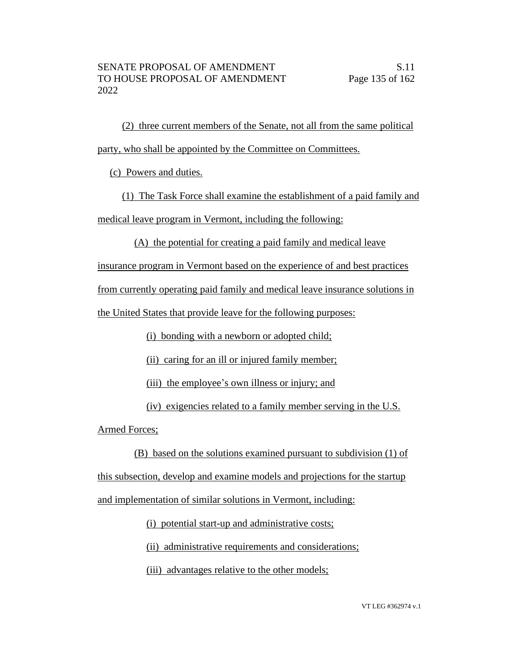(2) three current members of the Senate, not all from the same political party, who shall be appointed by the Committee on Committees.

(c) Powers and duties.

(1) The Task Force shall examine the establishment of a paid family and medical leave program in Vermont, including the following:

(A) the potential for creating a paid family and medical leave

insurance program in Vermont based on the experience of and best practices

from currently operating paid family and medical leave insurance solutions in

the United States that provide leave for the following purposes:

(i) bonding with a newborn or adopted child;

(ii) caring for an ill or injured family member;

(iii) the employee's own illness or injury; and

(iv) exigencies related to a family member serving in the U.S.

Armed Forces;

(B) based on the solutions examined pursuant to subdivision (1) of

this subsection, develop and examine models and projections for the startup

and implementation of similar solutions in Vermont, including:

(i) potential start-up and administrative costs;

(ii) administrative requirements and considerations;

(iii) advantages relative to the other models;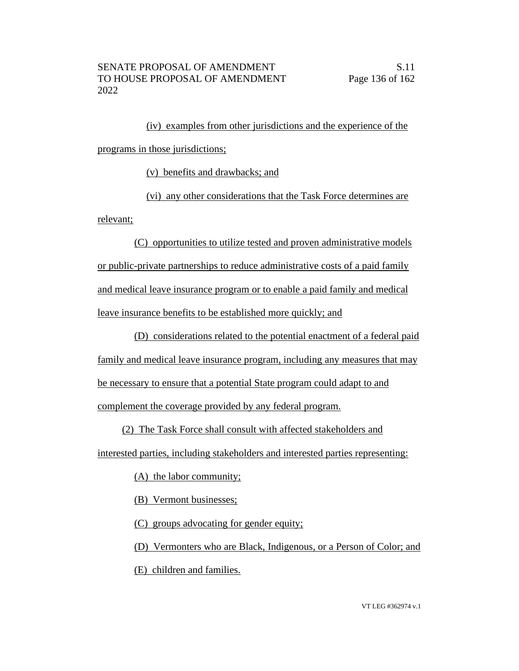(iv) examples from other jurisdictions and the experience of the programs in those jurisdictions;

(v) benefits and drawbacks; and

(vi) any other considerations that the Task Force determines are relevant;

(C) opportunities to utilize tested and proven administrative models or public-private partnerships to reduce administrative costs of a paid family and medical leave insurance program or to enable a paid family and medical leave insurance benefits to be established more quickly; and

(D) considerations related to the potential enactment of a federal paid family and medical leave insurance program, including any measures that may be necessary to ensure that a potential State program could adapt to and complement the coverage provided by any federal program.

(2) The Task Force shall consult with affected stakeholders and

interested parties, including stakeholders and interested parties representing:

(A) the labor community;

(B) Vermont businesses;

(C) groups advocating for gender equity;

(D) Vermonters who are Black, Indigenous, or a Person of Color; and (E) children and families.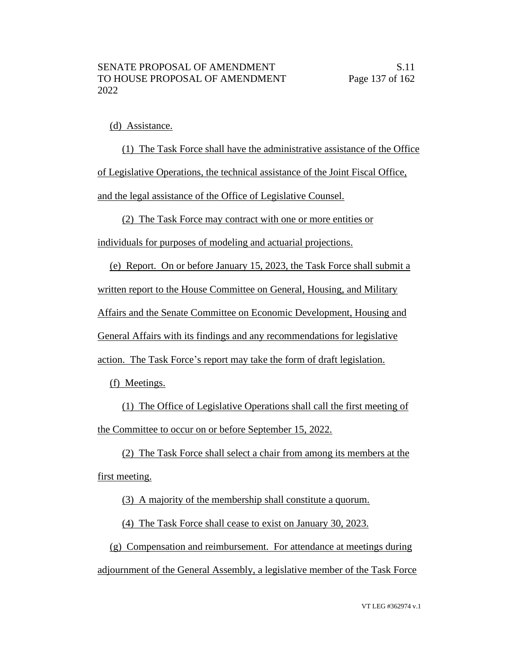## (d) Assistance.

(1) The Task Force shall have the administrative assistance of the Office of Legislative Operations, the technical assistance of the Joint Fiscal Office, and the legal assistance of the Office of Legislative Counsel.

(2) The Task Force may contract with one or more entities or

individuals for purposes of modeling and actuarial projections.

(e) Report. On or before January 15, 2023, the Task Force shall submit a

written report to the House Committee on General, Housing, and Military

Affairs and the Senate Committee on Economic Development, Housing and

General Affairs with its findings and any recommendations for legislative

action. The Task Force's report may take the form of draft legislation.

(f) Meetings.

(1) The Office of Legislative Operations shall call the first meeting of the Committee to occur on or before September 15, 2022.

(2) The Task Force shall select a chair from among its members at the first meeting.

(3) A majority of the membership shall constitute a quorum.

(4) The Task Force shall cease to exist on January 30, 2023.

(g) Compensation and reimbursement. For attendance at meetings during adjournment of the General Assembly, a legislative member of the Task Force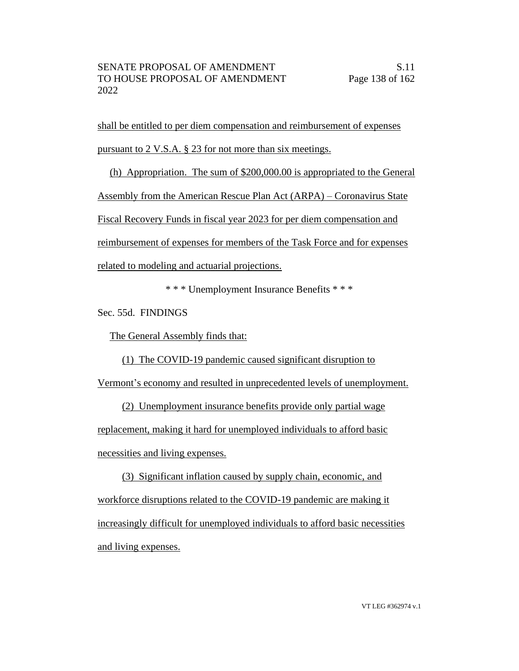shall be entitled to per diem compensation and reimbursement of expenses pursuant to 2 V.S.A. § 23 for not more than six meetings.

(h) Appropriation. The sum of \$200,000.00 is appropriated to the General Assembly from the American Rescue Plan Act (ARPA) – Coronavirus State Fiscal Recovery Funds in fiscal year 2023 for per diem compensation and reimbursement of expenses for members of the Task Force and for expenses related to modeling and actuarial projections.

\* \* \* Unemployment Insurance Benefits \* \* \*

Sec. 55d. FINDINGS

The General Assembly finds that:

(1) The COVID-19 pandemic caused significant disruption to

Vermont's economy and resulted in unprecedented levels of unemployment.

(2) Unemployment insurance benefits provide only partial wage replacement, making it hard for unemployed individuals to afford basic necessities and living expenses.

(3) Significant inflation caused by supply chain, economic, and workforce disruptions related to the COVID-19 pandemic are making it increasingly difficult for unemployed individuals to afford basic necessities and living expenses.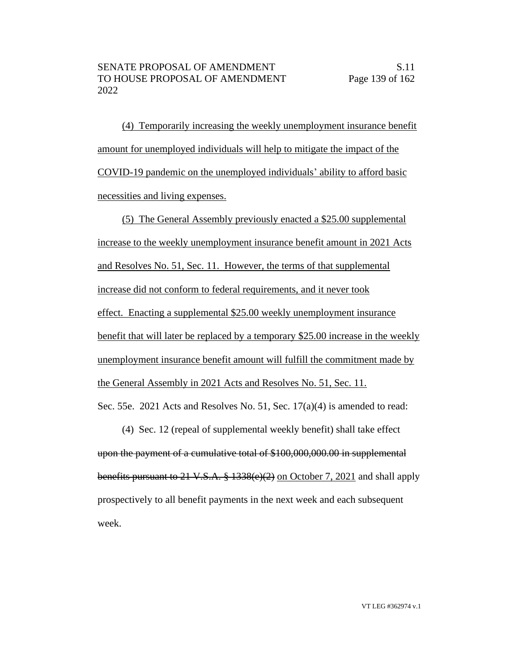(4) Temporarily increasing the weekly unemployment insurance benefit amount for unemployed individuals will help to mitigate the impact of the COVID-19 pandemic on the unemployed individuals' ability to afford basic necessities and living expenses.

(5) The General Assembly previously enacted a \$25.00 supplemental increase to the weekly unemployment insurance benefit amount in 2021 Acts and Resolves No. 51, Sec. 11. However, the terms of that supplemental increase did not conform to federal requirements, and it never took effect. Enacting a supplemental \$25.00 weekly unemployment insurance benefit that will later be replaced by a temporary \$25.00 increase in the weekly unemployment insurance benefit amount will fulfill the commitment made by the General Assembly in 2021 Acts and Resolves No. 51, Sec. 11. Sec. 55e. 2021 Acts and Resolves No. 51, Sec. 17(a)(4) is amended to read:

(4) Sec. 12 (repeal of supplemental weekly benefit) shall take effect upon the payment of a cumulative total of \$100,000,000.00 in supplemental benefits pursuant to 21 V.S.A.  $\frac{8}{3}$  1338(e)(2) on October 7, 2021 and shall apply prospectively to all benefit payments in the next week and each subsequent week.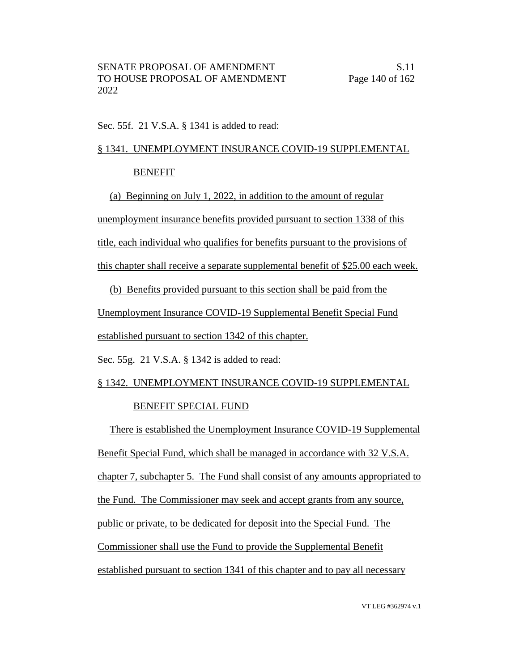Sec. 55f. 21 V.S.A. § 1341 is added to read:

# § 1341. UNEMPLOYMENT INSURANCE COVID-19 SUPPLEMENTAL

## BENEFIT

(a) Beginning on July 1, 2022, in addition to the amount of regular unemployment insurance benefits provided pursuant to section 1338 of this title, each individual who qualifies for benefits pursuant to the provisions of

this chapter shall receive a separate supplemental benefit of \$25.00 each week.

(b) Benefits provided pursuant to this section shall be paid from the

Unemployment Insurance COVID-19 Supplemental Benefit Special Fund

established pursuant to section 1342 of this chapter.

Sec. 55g. 21 V.S.A. § 1342 is added to read:

# § 1342. UNEMPLOYMENT INSURANCE COVID-19 SUPPLEMENTAL

### BENEFIT SPECIAL FUND

There is established the Unemployment Insurance COVID-19 Supplemental Benefit Special Fund, which shall be managed in accordance with 32 V.S.A. chapter 7, subchapter 5. The Fund shall consist of any amounts appropriated to the Fund. The Commissioner may seek and accept grants from any source, public or private, to be dedicated for deposit into the Special Fund. The Commissioner shall use the Fund to provide the Supplemental Benefit established pursuant to section 1341 of this chapter and to pay all necessary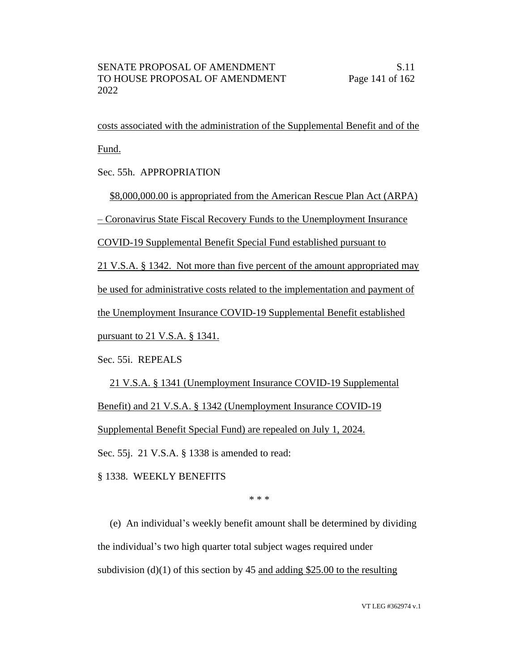costs associated with the administration of the Supplemental Benefit and of the Fund.

Sec. 55h. APPROPRIATION

\$8,000,000.00 is appropriated from the American Rescue Plan Act (ARPA)

– Coronavirus State Fiscal Recovery Funds to the Unemployment Insurance

COVID-19 Supplemental Benefit Special Fund established pursuant to

21 V.S.A. § 1342. Not more than five percent of the amount appropriated may

be used for administrative costs related to the implementation and payment of

the Unemployment Insurance COVID-19 Supplemental Benefit established

pursuant to 21 V.S.A. § 1341.

Sec. 55i. REPEALS

21 V.S.A. § 1341 (Unemployment Insurance COVID-19 Supplemental Benefit) and 21 V.S.A. § 1342 (Unemployment Insurance COVID-19 Supplemental Benefit Special Fund) are repealed on July 1, 2024. Sec. 55j. 21 V.S.A. § 1338 is amended to read:

§ 1338. WEEKLY BENEFITS

\* \* \*

(e) An individual's weekly benefit amount shall be determined by dividing the individual's two high quarter total subject wages required under subdivision (d)(1) of this section by 45 and adding \$25.00 to the resulting

VT LEG #362974 v.1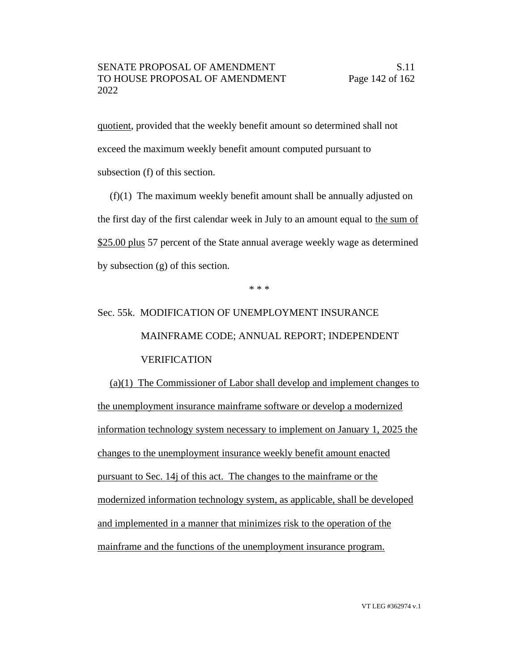quotient, provided that the weekly benefit amount so determined shall not exceed the maximum weekly benefit amount computed pursuant to subsection (f) of this section.

(f)(1) The maximum weekly benefit amount shall be annually adjusted on the first day of the first calendar week in July to an amount equal to the sum of \$25.00 plus 57 percent of the State annual average weekly wage as determined by subsection (g) of this section.

\* \* \*

# Sec. 55k. MODIFICATION OF UNEMPLOYMENT INSURANCE MAINFRAME CODE; ANNUAL REPORT; INDEPENDENT VERIFICATION

(a)(1) The Commissioner of Labor shall develop and implement changes to the unemployment insurance mainframe software or develop a modernized information technology system necessary to implement on January 1, 2025 the changes to the unemployment insurance weekly benefit amount enacted pursuant to Sec. 14j of this act. The changes to the mainframe or the modernized information technology system, as applicable, shall be developed and implemented in a manner that minimizes risk to the operation of the mainframe and the functions of the unemployment insurance program.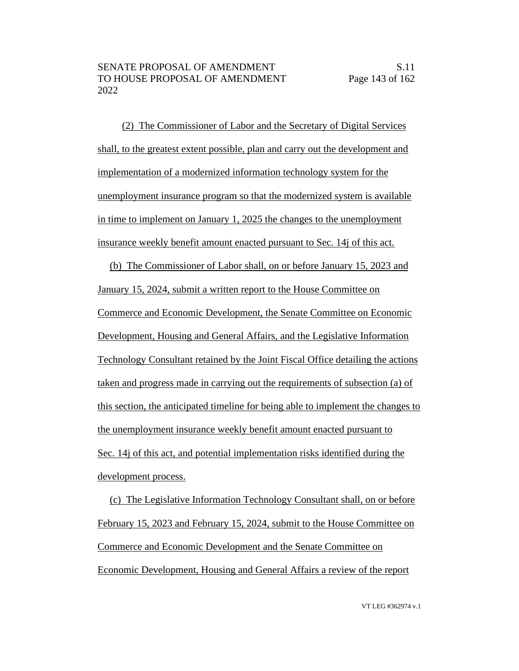(2) The Commissioner of Labor and the Secretary of Digital Services shall, to the greatest extent possible, plan and carry out the development and implementation of a modernized information technology system for the unemployment insurance program so that the modernized system is available in time to implement on January 1, 2025 the changes to the unemployment insurance weekly benefit amount enacted pursuant to Sec. 14j of this act.

(b) The Commissioner of Labor shall, on or before January 15, 2023 and January 15, 2024, submit a written report to the House Committee on Commerce and Economic Development, the Senate Committee on Economic Development, Housing and General Affairs, and the Legislative Information Technology Consultant retained by the Joint Fiscal Office detailing the actions taken and progress made in carrying out the requirements of subsection (a) of this section, the anticipated timeline for being able to implement the changes to the unemployment insurance weekly benefit amount enacted pursuant to Sec. 14j of this act, and potential implementation risks identified during the development process.

(c) The Legislative Information Technology Consultant shall, on or before February 15, 2023 and February 15, 2024, submit to the House Committee on Commerce and Economic Development and the Senate Committee on Economic Development, Housing and General Affairs a review of the report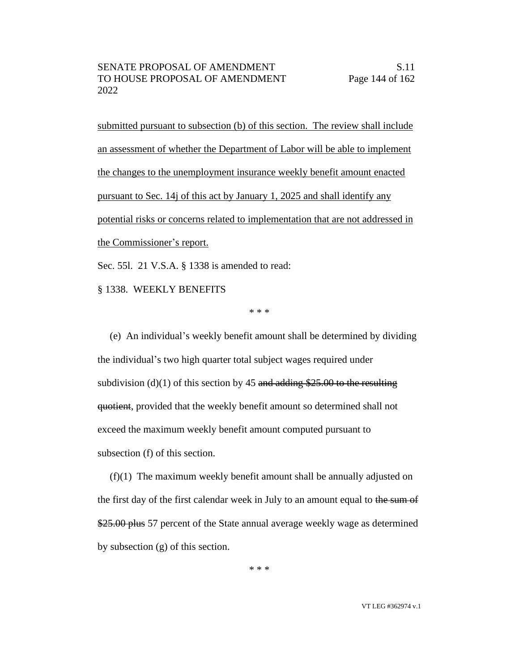submitted pursuant to subsection (b) of this section. The review shall include an assessment of whether the Department of Labor will be able to implement the changes to the unemployment insurance weekly benefit amount enacted pursuant to Sec. 14j of this act by January 1, 2025 and shall identify any potential risks or concerns related to implementation that are not addressed in the Commissioner's report.

Sec. 55l. 21 V.S.A. § 1338 is amended to read:

§ 1338. WEEKLY BENEFITS

\* \* \*

(e) An individual's weekly benefit amount shall be determined by dividing the individual's two high quarter total subject wages required under subdivision (d)(1) of this section by 45 and adding \$25.00 to the resulting quotient, provided that the weekly benefit amount so determined shall not exceed the maximum weekly benefit amount computed pursuant to subsection (f) of this section.

(f)(1) The maximum weekly benefit amount shall be annually adjusted on the first day of the first calendar week in July to an amount equal to the sum of \$25.00 plus 57 percent of the State annual average weekly wage as determined by subsection (g) of this section.

\* \* \*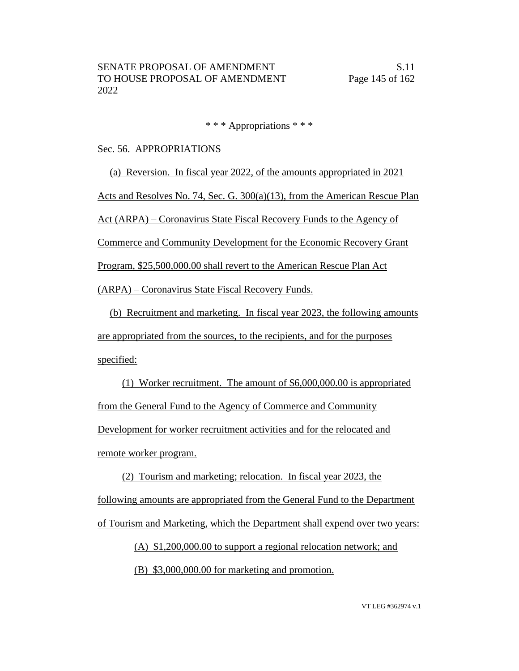\* \* \* Appropriations \* \* \*

#### Sec. 56. APPROPRIATIONS

(a) Reversion. In fiscal year 2022, of the amounts appropriated in 2021 Acts and Resolves No. 74, Sec. G. 300(a)(13), from the American Rescue Plan Act (ARPA) – Coronavirus State Fiscal Recovery Funds to the Agency of Commerce and Community Development for the Economic Recovery Grant Program, \$25,500,000.00 shall revert to the American Rescue Plan Act (ARPA) – Coronavirus State Fiscal Recovery Funds.

(b) Recruitment and marketing. In fiscal year 2023, the following amounts are appropriated from the sources, to the recipients, and for the purposes specified:

(1) Worker recruitment. The amount of \$6,000,000.00 is appropriated from the General Fund to the Agency of Commerce and Community Development for worker recruitment activities and for the relocated and remote worker program.

(2) Tourism and marketing; relocation. In fiscal year 2023, the following amounts are appropriated from the General Fund to the Department of Tourism and Marketing, which the Department shall expend over two years:

> (A) \$1,200,000.00 to support a regional relocation network; and (B) \$3,000,000.00 for marketing and promotion.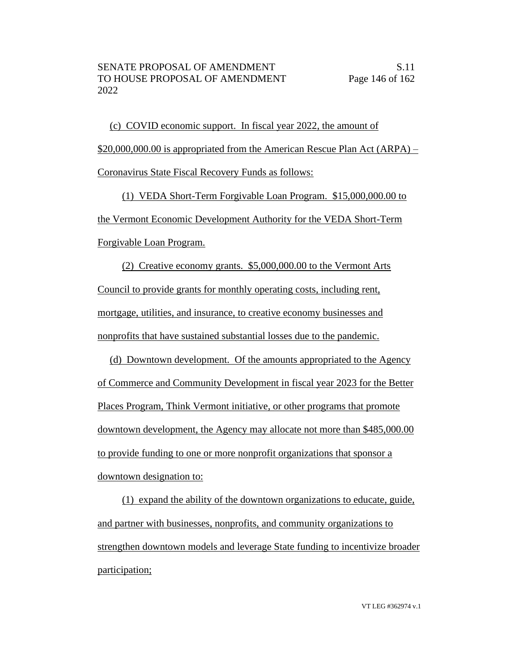(c) COVID economic support. In fiscal year 2022, the amount of \$20,000,000.00 is appropriated from the American Rescue Plan Act (ARPA) – Coronavirus State Fiscal Recovery Funds as follows:

(1) VEDA Short-Term Forgivable Loan Program. \$15,000,000.00 to the Vermont Economic Development Authority for the VEDA Short-Term Forgivable Loan Program.

(2) Creative economy grants. \$5,000,000.00 to the Vermont Arts Council to provide grants for monthly operating costs, including rent, mortgage, utilities, and insurance, to creative economy businesses and nonprofits that have sustained substantial losses due to the pandemic.

(d) Downtown development. Of the amounts appropriated to the Agency of Commerce and Community Development in fiscal year 2023 for the Better Places Program, Think Vermont initiative, or other programs that promote downtown development, the Agency may allocate not more than \$485,000.00 to provide funding to one or more nonprofit organizations that sponsor a downtown designation to:

(1) expand the ability of the downtown organizations to educate, guide, and partner with businesses, nonprofits, and community organizations to strengthen downtown models and leverage State funding to incentivize broader participation;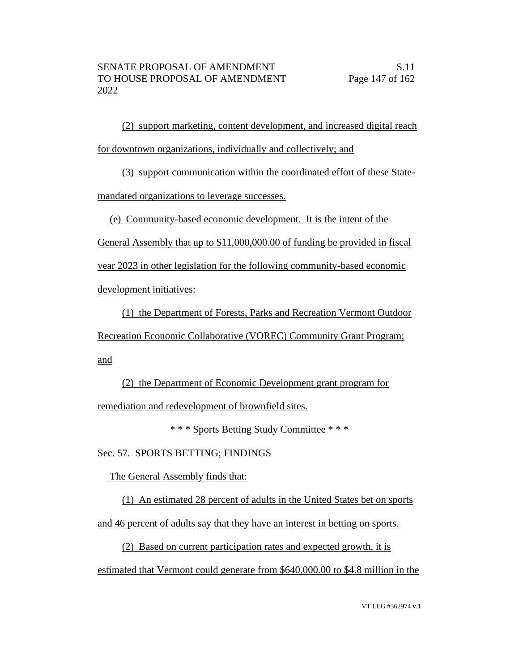(2) support marketing, content development, and increased digital reach for downtown organizations, individually and collectively; and

(3) support communication within the coordinated effort of these Statemandated organizations to leverage successes.

(e) Community-based economic development. It is the intent of the

General Assembly that up to \$11,000,000.00 of funding be provided in fiscal year 2023 in other legislation for the following community-based economic

development initiatives:

(1) the Department of Forests, Parks and Recreation Vermont Outdoor Recreation Economic Collaborative (VOREC) Community Grant Program; and

(2) the Department of Economic Development grant program for remediation and redevelopment of brownfield sites.

\* \* \* Sports Betting Study Committee \* \* \*

Sec. 57. SPORTS BETTING; FINDINGS

The General Assembly finds that:

(1) An estimated 28 percent of adults in the United States bet on sports

and 46 percent of adults say that they have an interest in betting on sports.

(2) Based on current participation rates and expected growth, it is estimated that Vermont could generate from \$640,000.00 to \$4.8 million in the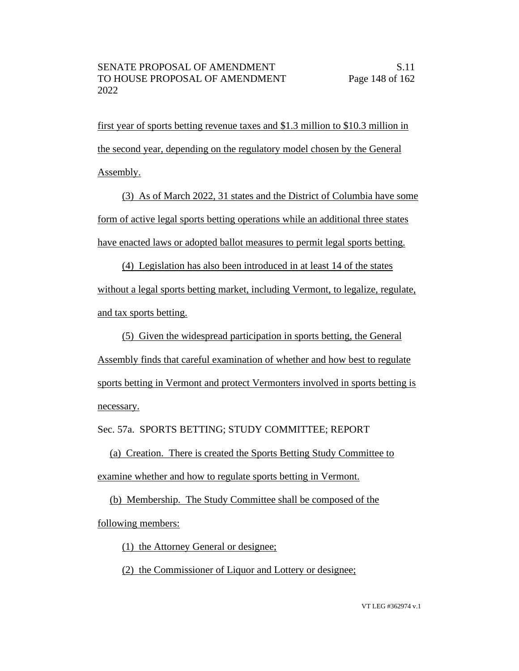first year of sports betting revenue taxes and \$1.3 million to \$10.3 million in the second year, depending on the regulatory model chosen by the General Assembly.

(3) As of March 2022, 31 states and the District of Columbia have some form of active legal sports betting operations while an additional three states have enacted laws or adopted ballot measures to permit legal sports betting.

(4) Legislation has also been introduced in at least 14 of the states without a legal sports betting market, including Vermont, to legalize, regulate, and tax sports betting.

(5) Given the widespread participation in sports betting, the General Assembly finds that careful examination of whether and how best to regulate sports betting in Vermont and protect Vermonters involved in sports betting is necessary.

Sec. 57a. SPORTS BETTING; STUDY COMMITTEE; REPORT

(a) Creation. There is created the Sports Betting Study Committee to examine whether and how to regulate sports betting in Vermont.

(b) Membership. The Study Committee shall be composed of the

following members:

(1) the Attorney General or designee;

(2) the Commissioner of Liquor and Lottery or designee;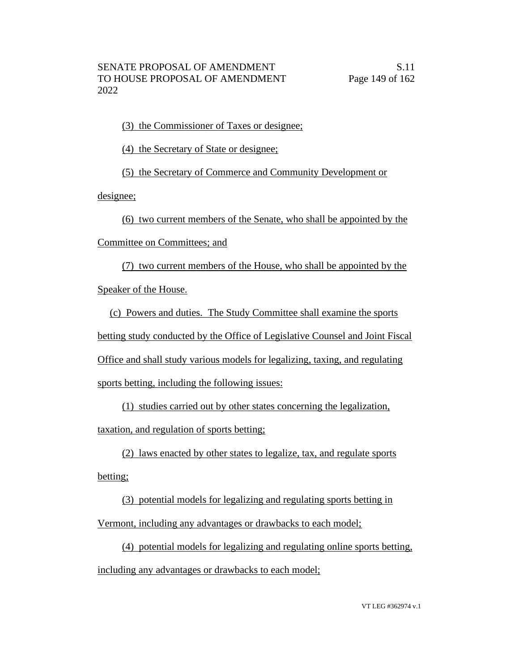(3) the Commissioner of Taxes or designee;

(4) the Secretary of State or designee;

(5) the Secretary of Commerce and Community Development or

designee;

(6) two current members of the Senate, who shall be appointed by the

Committee on Committees; and

(7) two current members of the House, who shall be appointed by the Speaker of the House.

(c) Powers and duties. The Study Committee shall examine the sports betting study conducted by the Office of Legislative Counsel and Joint Fiscal Office and shall study various models for legalizing, taxing, and regulating

sports betting, including the following issues:

(1) studies carried out by other states concerning the legalization,

taxation, and regulation of sports betting;

(2) laws enacted by other states to legalize, tax, and regulate sports

betting;

(3) potential models for legalizing and regulating sports betting in

Vermont, including any advantages or drawbacks to each model;

(4) potential models for legalizing and regulating online sports betting,

including any advantages or drawbacks to each model;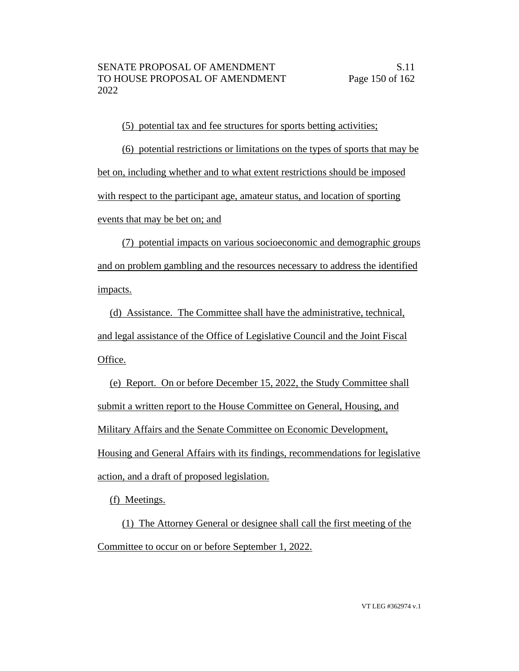(5) potential tax and fee structures for sports betting activities;

(6) potential restrictions or limitations on the types of sports that may be bet on, including whether and to what extent restrictions should be imposed with respect to the participant age, amateur status, and location of sporting events that may be bet on; and

(7) potential impacts on various socioeconomic and demographic groups and on problem gambling and the resources necessary to address the identified impacts.

(d) Assistance. The Committee shall have the administrative, technical, and legal assistance of the Office of Legislative Council and the Joint Fiscal Office.

(e) Report. On or before December 15, 2022, the Study Committee shall submit a written report to the House Committee on General, Housing, and Military Affairs and the Senate Committee on Economic Development, Housing and General Affairs with its findings, recommendations for legislative action, and a draft of proposed legislation.

(f) Meetings.

(1) The Attorney General or designee shall call the first meeting of the Committee to occur on or before September 1, 2022.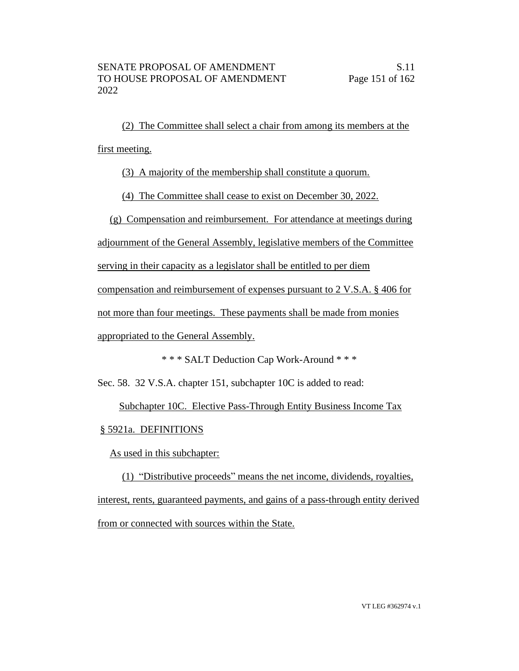(2) The Committee shall select a chair from among its members at the first meeting.

(3) A majority of the membership shall constitute a quorum.

(4) The Committee shall cease to exist on December 30, 2022.

(g) Compensation and reimbursement. For attendance at meetings during

adjournment of the General Assembly, legislative members of the Committee

serving in their capacity as a legislator shall be entitled to per diem

compensation and reimbursement of expenses pursuant to 2 V.S.A. § 406 for

not more than four meetings. These payments shall be made from monies

appropriated to the General Assembly.

\* \* \* SALT Deduction Cap Work-Around \* \* \*

Sec. 58. 32 V.S.A. chapter 151, subchapter 10C is added to read:

Subchapter 10C. Elective Pass-Through Entity Business Income Tax

§ 5921a. DEFINITIONS

As used in this subchapter:

(1) "Distributive proceeds" means the net income, dividends, royalties, interest, rents, guaranteed payments, and gains of a pass-through entity derived from or connected with sources within the State.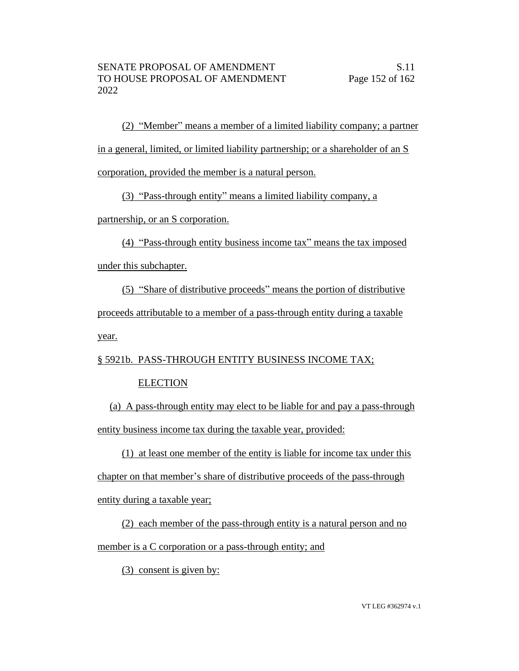(2) "Member" means a member of a limited liability company; a partner in a general, limited, or limited liability partnership; or a shareholder of an S corporation, provided the member is a natural person.

(3) "Pass-through entity" means a limited liability company, a

partnership, or an S corporation.

(4) "Pass-through entity business income tax" means the tax imposed under this subchapter.

(5) "Share of distributive proceeds" means the portion of distributive proceeds attributable to a member of a pass-through entity during a taxable year.

# § 5921b. PASS-THROUGH ENTITY BUSINESS INCOME TAX;

## **ELECTION**

(a) A pass-through entity may elect to be liable for and pay a pass-through entity business income tax during the taxable year, provided:

(1) at least one member of the entity is liable for income tax under this chapter on that member's share of distributive proceeds of the pass-through entity during a taxable year;

(2) each member of the pass-through entity is a natural person and no member is a C corporation or a pass-through entity; and

(3) consent is given by: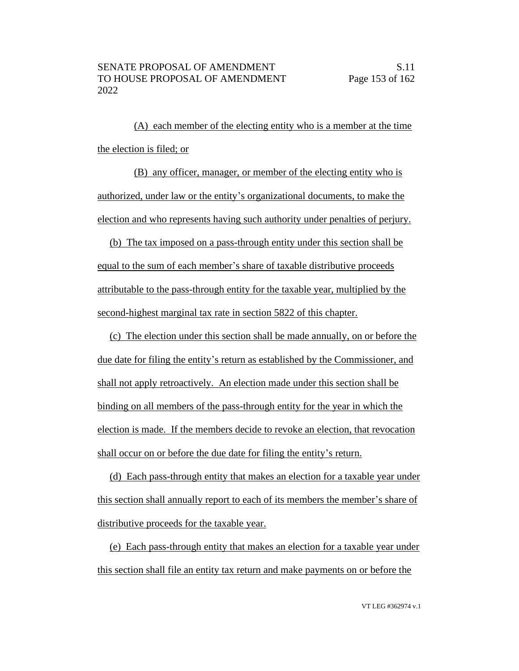(A) each member of the electing entity who is a member at the time the election is filed; or

(B) any officer, manager, or member of the electing entity who is authorized, under law or the entity's organizational documents, to make the election and who represents having such authority under penalties of perjury.

(b) The tax imposed on a pass-through entity under this section shall be equal to the sum of each member's share of taxable distributive proceeds attributable to the pass-through entity for the taxable year, multiplied by the second-highest marginal tax rate in section 5822 of this chapter.

(c) The election under this section shall be made annually, on or before the due date for filing the entity's return as established by the Commissioner, and shall not apply retroactively. An election made under this section shall be binding on all members of the pass-through entity for the year in which the election is made. If the members decide to revoke an election, that revocation shall occur on or before the due date for filing the entity's return.

(d) Each pass-through entity that makes an election for a taxable year under this section shall annually report to each of its members the member's share of distributive proceeds for the taxable year.

(e) Each pass-through entity that makes an election for a taxable year under this section shall file an entity tax return and make payments on or before the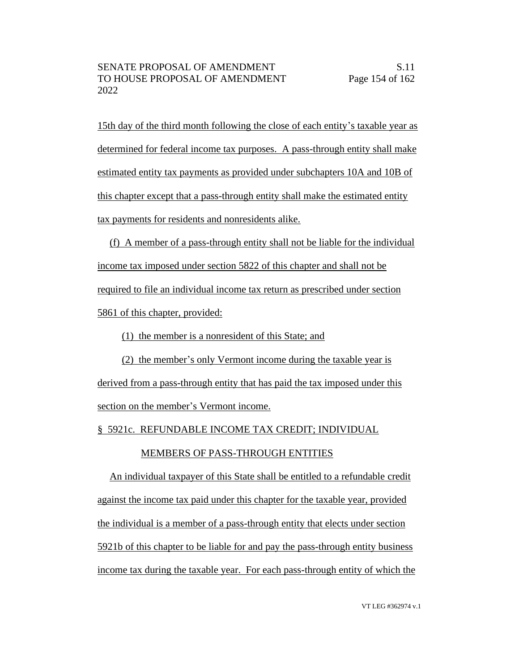15th day of the third month following the close of each entity's taxable year as determined for federal income tax purposes. A pass-through entity shall make estimated entity tax payments as provided under subchapters 10A and 10B of this chapter except that a pass-through entity shall make the estimated entity tax payments for residents and nonresidents alike.

(f) A member of a pass-through entity shall not be liable for the individual income tax imposed under section 5822 of this chapter and shall not be required to file an individual income tax return as prescribed under section 5861 of this chapter, provided:

(1) the member is a nonresident of this State; and

(2) the member's only Vermont income during the taxable year is

derived from a pass-through entity that has paid the tax imposed under this section on the member's Vermont income.

§ 5921c. REFUNDABLE INCOME TAX CREDIT; INDIVIDUAL

### MEMBERS OF PASS-THROUGH ENTITIES

An individual taxpayer of this State shall be entitled to a refundable credit against the income tax paid under this chapter for the taxable year, provided the individual is a member of a pass-through entity that elects under section 5921b of this chapter to be liable for and pay the pass-through entity business income tax during the taxable year. For each pass-through entity of which the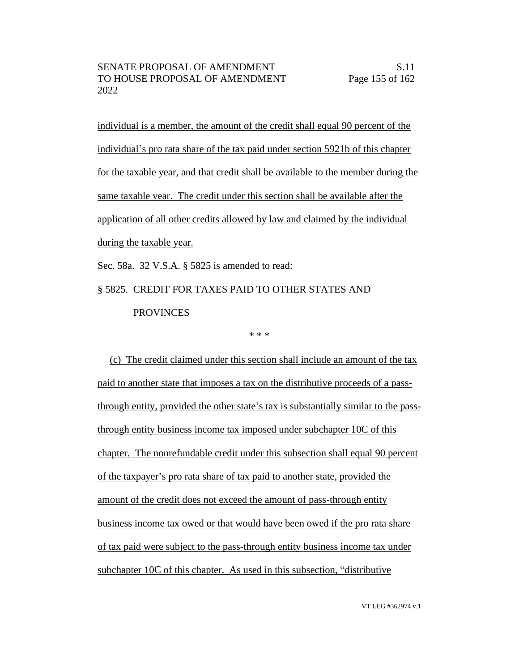individual is a member, the amount of the credit shall equal 90 percent of the individual's pro rata share of the tax paid under section 5921b of this chapter for the taxable year, and that credit shall be available to the member during the same taxable year. The credit under this section shall be available after the application of all other credits allowed by law and claimed by the individual during the taxable year.

Sec. 58a. 32 V.S.A. § 5825 is amended to read:

# § 5825. CREDIT FOR TAXES PAID TO OTHER STATES AND PROVINCES

#### \* \* \*

(c) The credit claimed under this section shall include an amount of the tax paid to another state that imposes a tax on the distributive proceeds of a passthrough entity, provided the other state's tax is substantially similar to the passthrough entity business income tax imposed under subchapter 10C of this chapter. The nonrefundable credit under this subsection shall equal 90 percent of the taxpayer's pro rata share of tax paid to another state, provided the amount of the credit does not exceed the amount of pass-through entity business income tax owed or that would have been owed if the pro rata share of tax paid were subject to the pass-through entity business income tax under subchapter 10C of this chapter. As used in this subsection, "distributive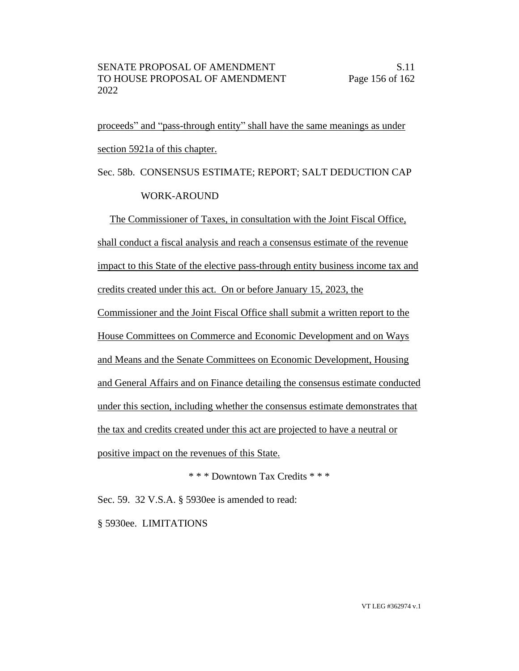proceeds" and "pass-through entity" shall have the same meanings as under section 5921a of this chapter.

# Sec. 58b. CONSENSUS ESTIMATE; REPORT; SALT DEDUCTION CAP WORK-AROUND

The Commissioner of Taxes, in consultation with the Joint Fiscal Office, shall conduct a fiscal analysis and reach a consensus estimate of the revenue impact to this State of the elective pass-through entity business income tax and credits created under this act. On or before January 15, 2023, the Commissioner and the Joint Fiscal Office shall submit a written report to the House Committees on Commerce and Economic Development and on Ways and Means and the Senate Committees on Economic Development, Housing and General Affairs and on Finance detailing the consensus estimate conducted under this section, including whether the consensus estimate demonstrates that the tax and credits created under this act are projected to have a neutral or positive impact on the revenues of this State.

\* \* \* Downtown Tax Credits \* \* \*

Sec. 59. 32 V.S.A. § 5930ee is amended to read:

§ 5930ee. LIMITATIONS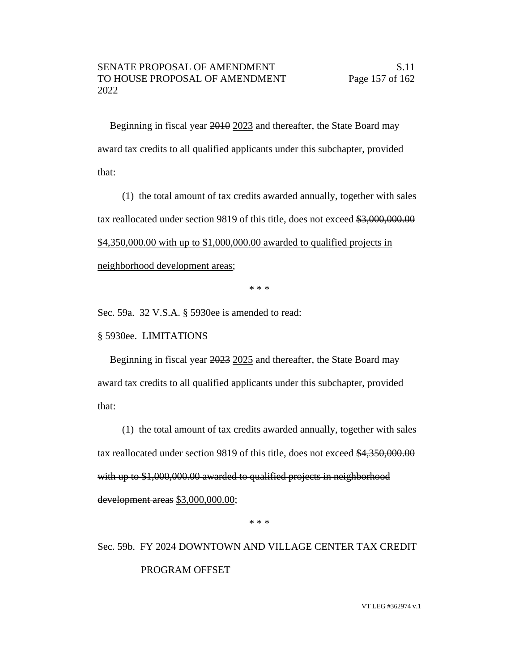Beginning in fiscal year 2010 2023 and thereafter, the State Board may award tax credits to all qualified applicants under this subchapter, provided that:

(1) the total amount of tax credits awarded annually, together with sales tax reallocated under section 9819 of this title, does not exceed \$3,000,000.00 \$4,350,000.00 with up to \$1,000,000.00 awarded to qualified projects in neighborhood development areas;

\* \* \*

Sec. 59a. 32 V.S.A. § 5930ee is amended to read:

#### § 5930ee. LIMITATIONS

Beginning in fiscal year 2023 2025 and thereafter, the State Board may award tax credits to all qualified applicants under this subchapter, provided that:

(1) the total amount of tax credits awarded annually, together with sales tax reallocated under section 9819 of this title, does not exceed \$4,350,000.00 with up to \$1,000,000.00 awarded to qualified projects in neighborhood development areas \$3,000,000.00;

\* \* \*

Sec. 59b. FY 2024 DOWNTOWN AND VILLAGE CENTER TAX CREDIT PROGRAM OFFSET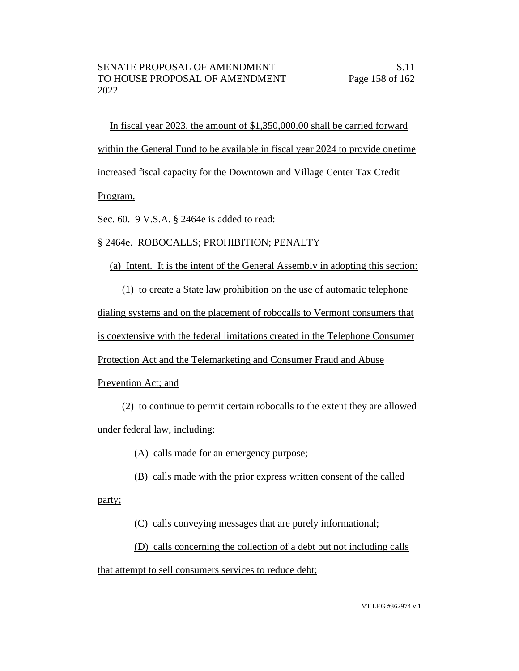In fiscal year 2023, the amount of \$1,350,000.00 shall be carried forward within the General Fund to be available in fiscal year 2024 to provide onetime increased fiscal capacity for the Downtown and Village Center Tax Credit

## Program.

Sec. 60. 9 V.S.A. § 2464e is added to read:

## § 2464e. ROBOCALLS; PROHIBITION; PENALTY

(a) Intent. It is the intent of the General Assembly in adopting this section:

(1) to create a State law prohibition on the use of automatic telephone

dialing systems and on the placement of robocalls to Vermont consumers that

is coextensive with the federal limitations created in the Telephone Consumer

Protection Act and the Telemarketing and Consumer Fraud and Abuse

Prevention Act; and

(2) to continue to permit certain robocalls to the extent they are allowed under federal law, including:

(A) calls made for an emergency purpose;

(B) calls made with the prior express written consent of the called

party;

(C) calls conveying messages that are purely informational;

(D) calls concerning the collection of a debt but not including calls

that attempt to sell consumers services to reduce debt;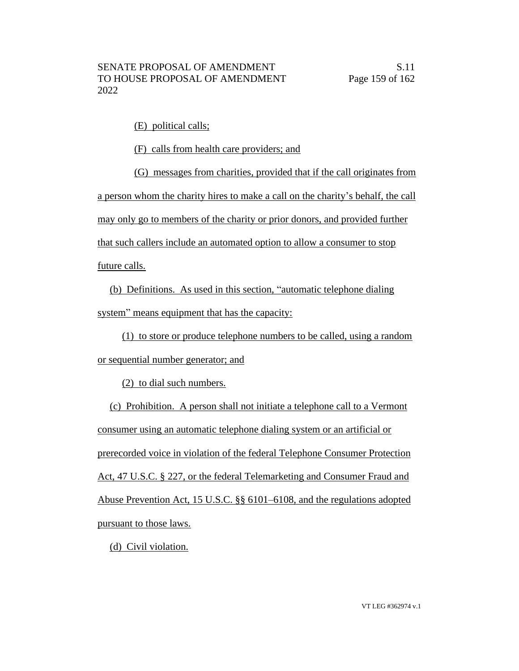(E) political calls;

(F) calls from health care providers; and

(G) messages from charities, provided that if the call originates from a person whom the charity hires to make a call on the charity's behalf, the call may only go to members of the charity or prior donors, and provided further that such callers include an automated option to allow a consumer to stop future calls.

(b) Definitions. As used in this section, "automatic telephone dialing system" means equipment that has the capacity:

(1) to store or produce telephone numbers to be called, using a random

or sequential number generator; and

(2) to dial such numbers.

(c) Prohibition. A person shall not initiate a telephone call to a Vermont consumer using an automatic telephone dialing system or an artificial or prerecorded voice in violation of the federal Telephone Consumer Protection Act, 47 U.S.C. § 227, or the federal Telemarketing and Consumer Fraud and Abuse Prevention Act, 15 U.S.C. §§ 6101–6108, and the regulations adopted pursuant to those laws.

(d) Civil violation.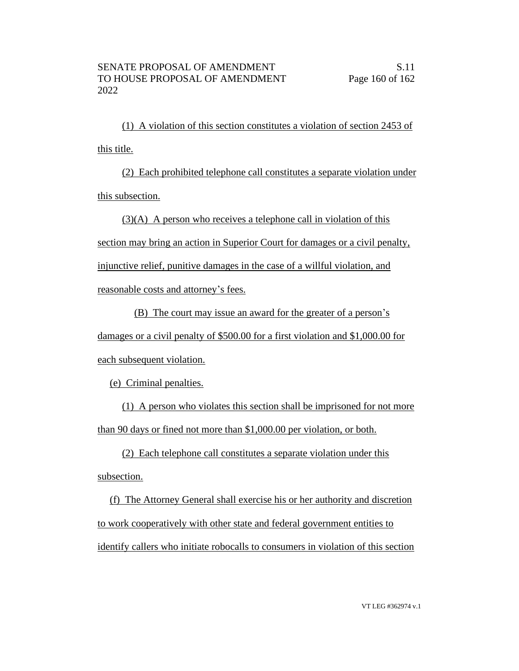(1) A violation of this section constitutes a violation of section 2453 of this title.

(2) Each prohibited telephone call constitutes a separate violation under this subsection.

(3)(A) A person who receives a telephone call in violation of this

section may bring an action in Superior Court for damages or a civil penalty,

injunctive relief, punitive damages in the case of a willful violation, and

reasonable costs and attorney's fees.

(B) The court may issue an award for the greater of a person's

damages or a civil penalty of \$500.00 for a first violation and \$1,000.00 for each subsequent violation.

(e) Criminal penalties.

(1) A person who violates this section shall be imprisoned for not more than 90 days or fined not more than \$1,000.00 per violation, or both.

(2) Each telephone call constitutes a separate violation under this subsection.

(f) The Attorney General shall exercise his or her authority and discretion to work cooperatively with other state and federal government entities to identify callers who initiate robocalls to consumers in violation of this section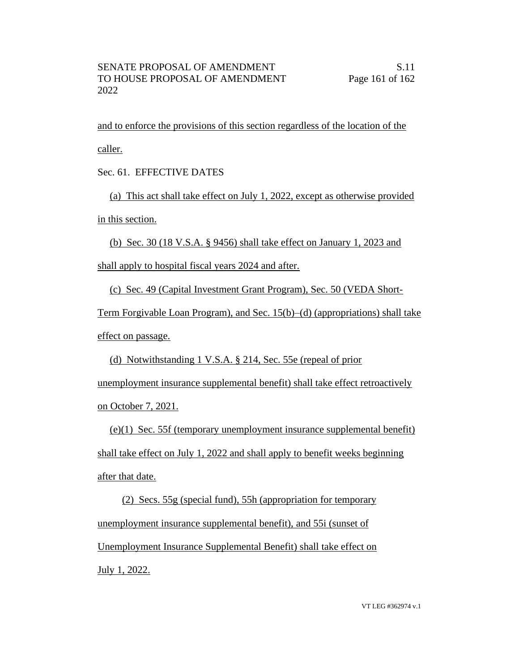and to enforce the provisions of this section regardless of the location of the caller.

Sec. 61. EFFECTIVE DATES

(a) This act shall take effect on July 1, 2022, except as otherwise provided in this section.

(b) Sec. 30 (18 V.S.A. § 9456) shall take effect on January 1, 2023 and

shall apply to hospital fiscal years 2024 and after.

(c) Sec. 49 (Capital Investment Grant Program), Sec. 50 (VEDA Short-

Term Forgivable Loan Program), and Sec. 15(b)–(d) (appropriations) shall take effect on passage.

(d) Notwithstanding 1 V.S.A. § 214, Sec. 55e (repeal of prior

unemployment insurance supplemental benefit) shall take effect retroactively on October 7, 2021.

(e)(1) Sec. 55f (temporary unemployment insurance supplemental benefit) shall take effect on July 1, 2022 and shall apply to benefit weeks beginning after that date.

(2) Secs. 55g (special fund), 55h (appropriation for temporary unemployment insurance supplemental benefit), and 55i (sunset of Unemployment Insurance Supplemental Benefit) shall take effect on July 1, 2022.